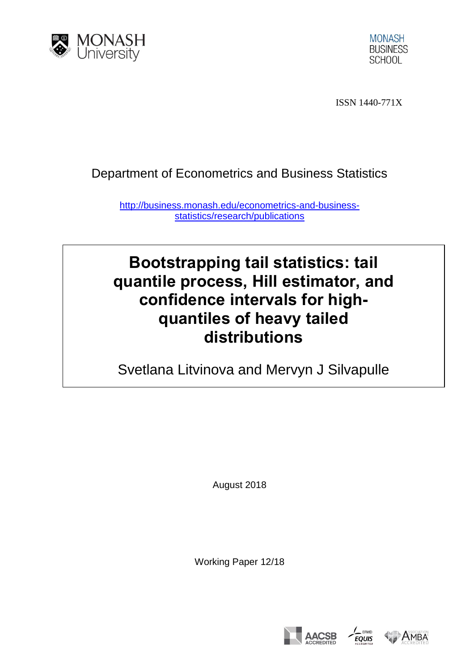



ISSN 1440-771X

## Department of Econometrics and Business Statistics

[http://business.monash.edu/econometrics-and-business](http://business.monash.edu/econometrics-and-business-statistics/research/publications)[statistics/research/publications](http://business.monash.edu/econometrics-and-business-statistics/research/publications)

# **Bootstrapping tail statistics: tail quantile process, Hill estimator, and confidence intervals for highquantiles of heavy tailed distributions**

Svetlana Litvinova and Mervyn J Silvapulle

August 2018

Working Paper 12/18





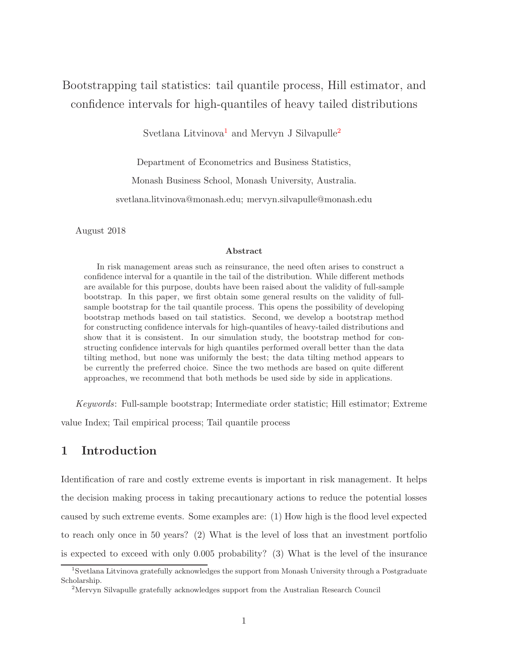### Bootstrapping tail statistics: tail quantile process, Hill estimator, and confidence intervals for high-quantiles of heavy tailed distributions

Svetlana Litvinova<sup>[1](#page-1-0)</sup> and Mervyn J Silvapulle<sup>[2](#page-1-1)</sup>

Department of Econometrics and Business Statistics,

Monash Business School, Monash University, Australia.

svetlana.litvinova@monash.edu; mervyn.silvapulle@monash.edu

August 2018

#### Abstract

In risk management areas such as reinsurance, the need often arises to construct a confidence interval for a quantile in the tail of the distribution. While different methods are available for this purpose, doubts have been raised about the validity of full-sample bootstrap. In this paper, we first obtain some general results on the validity of fullsample bootstrap for the tail quantile process. This opens the possibility of developing bootstrap methods based on tail statistics. Second, we develop a bootstrap method for constructing confidence intervals for high-quantiles of heavy-tailed distributions and show that it is consistent. In our simulation study, the bootstrap method for constructing confidence intervals for high quantiles performed overall better than the data tilting method, but none was uniformly the best; the data tilting method appears to be currently the preferred choice. Since the two methods are based on quite different approaches, we recommend that both methods be used side by side in applications.

*Keywords*: Full-sample bootstrap; Intermediate order statistic; Hill estimator; Extreme

value Index; Tail empirical process; Tail quantile process

#### 1 Introduction

Identification of rare and costly extreme events is important in risk management. It helps the decision making process in taking precautionary actions to reduce the potential losses caused by such extreme events. Some examples are: (1) How high is the flood level expected to reach only once in 50 years? (2) What is the level of loss that an investment portfolio is expected to exceed with only 0.005 probability? (3) What is the level of the insurance

<sup>1</sup> Svetlana Litvinova gratefully acknowledges the support from Monash University through a Postgraduate Scholarship.

<span id="page-1-1"></span><span id="page-1-0"></span><sup>&</sup>lt;sup>2</sup>Mervyn Silvapulle gratefully acknowledges support from the Australian Research Council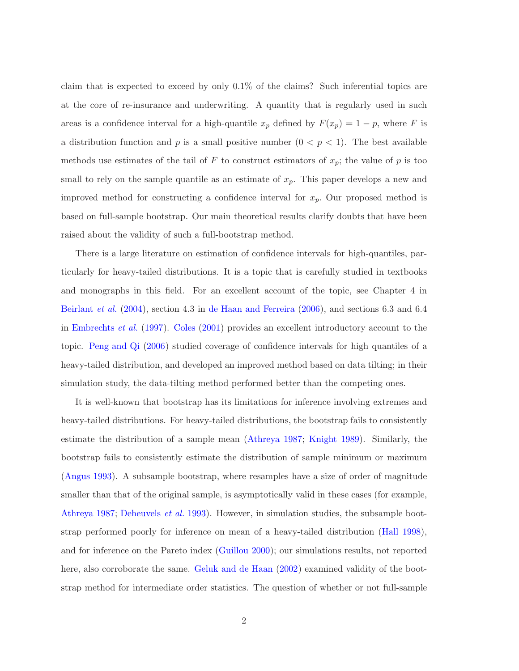claim that is expected to exceed by only 0.1% of the claims? Such inferential topics are at the core of re-insurance and underwriting. A quantity that is regularly used in such areas is a confidence interval for a high-quantile  $x_p$  defined by  $F(x_p) = 1 - p$ , where F is a distribution function and p is a small positive number  $(0 < p < 1)$ . The best available methods use estimates of the tail of F to construct estimators of  $x_p$ ; the value of p is too small to rely on the sample quantile as an estimate of  $x_p$ . This paper develops a new and improved method for constructing a confidence interval for  $x_p$ . Our proposed method is based on full-sample bootstrap. Our main theoretical results clarify doubts that have been raised about the validity of such a full-bootstrap method.

There is a large literature on estimation of confidence intervals for high-quantiles, particularly for heavy-tailed distributions. It is a topic that is carefully studied in textbooks and monographs in this field. For an excellent account of the topic, see Chapter 4 in [Beirlant](#page-13-0) *et al.* [\(2004](#page-13-0)), section 4.3 in [de Haan and Ferreira](#page-13-1) [\(2006\)](#page-13-1), and sections 6.3 and 6.4 in [Embrechts](#page-14-0) *et al.* [\(1997](#page-14-0)). [Coles](#page-13-2) [\(2001](#page-13-2)) provides an excellent introductory account to the topic. [Peng and Qi](#page-14-1) [\(2006](#page-14-1)) studied coverage of confidence intervals for high quantiles of a heavy-tailed distribution, and developed an improved method based on data tilting; in their simulation study, the data-tilting method performed better than the competing ones.

It is well-known that bootstrap has its limitations for inference involving extremes and heavy-tailed distributions. For heavy-tailed distributions, the bootstrap fails to consistently estimate the distribution of a sample mean [\(Athreya 1987](#page-13-3); [Knight 1989](#page-14-2)). Similarly, the bootstrap fails to consistently estimate the distribution of sample minimum or maximum [\(Angus 1993\)](#page-13-4). A subsample bootstrap, where resamples have a size of order of magnitude smaller than that of the original sample, is asymptotically valid in these cases (for example, [Athreya 1987](#page-13-3); [Deheuvels](#page-13-5) *et al.* [1993](#page-13-5)). However, in simulation studies, the subsample bootstrap performed poorly for inference on mean of a heavy-tailed distribution [\(Hall 1998\)](#page-14-3), and for inference on the Pareto index [\(Guillou 2000\)](#page-14-4); our simulations results, not reported here, also corroborate the same. [Geluk and de Haan](#page-14-5) [\(2002](#page-14-5)) examined validity of the bootstrap method for intermediate order statistics. The question of whether or not full-sample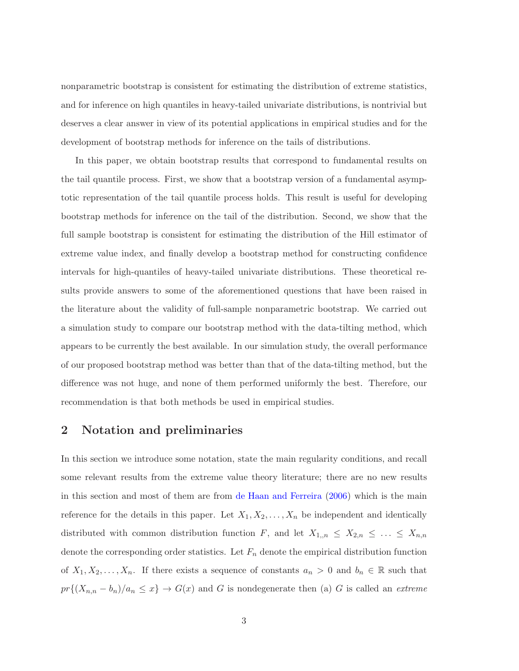nonparametric bootstrap is consistent for estimating the distribution of extreme statistics, and for inference on high quantiles in heavy-tailed univariate distributions, is nontrivial but deserves a clear answer in view of its potential applications in empirical studies and for the development of bootstrap methods for inference on the tails of distributions.

In this paper, we obtain bootstrap results that correspond to fundamental results on the tail quantile process. First, we show that a bootstrap version of a fundamental asymptotic representation of the tail quantile process holds. This result is useful for developing bootstrap methods for inference on the tail of the distribution. Second, we show that the full sample bootstrap is consistent for estimating the distribution of the Hill estimator of extreme value index, and finally develop a bootstrap method for constructing confidence intervals for high-quantiles of heavy-tailed univariate distributions. These theoretical results provide answers to some of the aforementioned questions that have been raised in the literature about the validity of full-sample nonparametric bootstrap. We carried out a simulation study to compare our bootstrap method with the data-tilting method, which appears to be currently the best available. In our simulation study, the overall performance of our proposed bootstrap method was better than that of the data-tilting method, but the difference was not huge, and none of them performed uniformly the best. Therefore, our recommendation is that both methods be used in empirical studies.

### <span id="page-3-0"></span>2 Notation and preliminaries

In this section we introduce some notation, state the main regularity conditions, and recall some relevant results from the extreme value theory literature; there are no new results in this section and most of them are from [de Haan and Ferreira](#page-13-1) [\(2006\)](#page-13-1) which is the main reference for the details in this paper. Let  $X_1, X_2, \ldots, X_n$  be independent and identically distributed with common distribution function F, and let  $X_{1,n} \leq X_{2,n} \leq \ldots \leq X_{n,n}$ denote the corresponding order statistics. Let  $F_n$  denote the empirical distribution function of  $X_1, X_2, \ldots, X_n$ . If there exists a sequence of constants  $a_n > 0$  and  $b_n \in \mathbb{R}$  such that  $pr\{(X_{n,n}-b_n)/a_n \leq x\} \to G(x)$  and G is nondegenerate then (a) G is called an *extreme*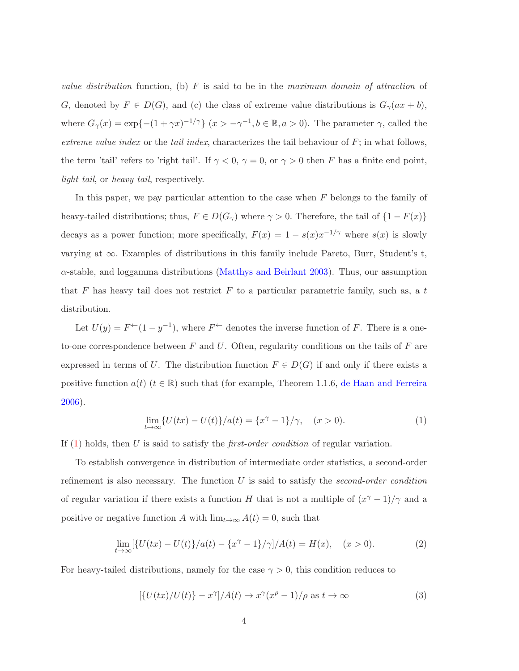*value distribution* function, (b) F is said to be in the *maximum domain of attraction* of G, denoted by  $F \in D(G)$ , and (c) the class of extreme value distributions is  $G_{\gamma}(ax+b)$ , where  $G_{\gamma}(x) = \exp\{- (1 + \gamma x)^{-1/\gamma}\}\ (x > -\gamma^{-1}, b \in \mathbb{R}, a > 0).$  The parameter  $\gamma$ , called the *extreme value index* or the *tail index*, characterizes the tail behaviour of F; in what follows, the term 'tail' refers to 'right tail'. If  $\gamma < 0$ ,  $\gamma = 0$ , or  $\gamma > 0$  then F has a finite end point, *light tail*, or *heavy tail*, respectively.

In this paper, we pay particular attention to the case when  $F$  belongs to the family of heavy-tailed distributions; thus,  $F \in D(G_{\gamma})$  where  $\gamma > 0$ . Therefore, the tail of  $\{1 - F(x)\}$ decays as a power function; more specifically,  $F(x) = 1 - s(x)x^{-1/\gamma}$  where  $s(x)$  is slowly varying at  $\infty$ . Examples of distributions in this family include Pareto, Burr, Student's t,  $\alpha$ -stable, and loggamma distributions [\(Matthys and Beirlant 2003](#page-14-6)). Thus, our assumption that F has heavy tail does not restrict  $F$  to a particular parametric family, such as, a t distribution.

Let  $U(y) = F^{\leftarrow}(1 - y^{-1})$ , where  $F^{\leftarrow}$  denotes the inverse function of F. There is a oneto-one correspondence between  $F$  and  $U$ . Often, regularity conditions on the tails of  $F$  are expressed in terms of U. The distribution function  $F \in D(G)$  if and only if there exists a positive function  $a(t)$  ( $t \in \mathbb{R}$ ) such that (for example, Theorem 1.1.6, [de Haan and Ferreira](#page-13-1) [2006\)](#page-13-1).

<span id="page-4-0"></span>
$$
\lim_{t \to \infty} \{ U(tx) - U(t) \} / a(t) = \{ x^{\gamma} - 1 \} / \gamma, \quad (x > 0).
$$
 (1)

If [\(1\)](#page-4-0) holds, then U is said to satisfy the *first-order condition* of regular variation.

To establish convergence in distribution of intermediate order statistics, a second-order refinement is also necessary. The function U is said to satisfy the *second-order condition* of regular variation if there exists a function H that is not a multiple of  $(x^{\gamma} - 1)/\gamma$  and a positive or negative function A with  $\lim_{t\to\infty} A(t) = 0$ , such that

<span id="page-4-1"></span>
$$
\lim_{t \to \infty} [\{U(tx) - U(t)\}/a(t) - \{x^{\gamma} - 1\}/\gamma]/A(t) = H(x), \quad (x > 0).
$$
 (2)

For heavy-tailed distributions, namely for the case  $\gamma > 0$ , this condition reduces to

$$
[\{U(tx)/U(t)\} - x^{\gamma}]/A(t) \to x^{\gamma}(x^{\rho} - 1)/\rho \text{ as } t \to \infty
$$
\n(3)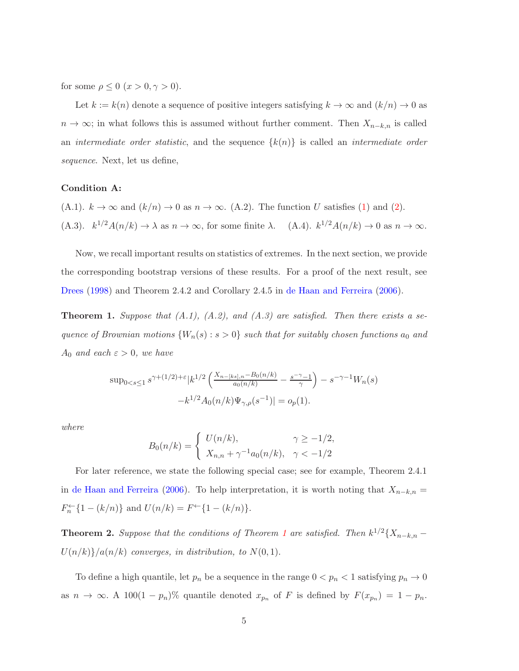for some  $\rho \leq 0$   $(x > 0, \gamma > 0)$ .

Let  $k := k(n)$  denote a sequence of positive integers satisfying  $k \to \infty$  and  $(k/n) \to 0$  as  $n \to \infty$ ; in what follows this is assumed without further comment. Then  $X_{n-k,n}$  is called an *intermediate order statistic*, and the sequence {k(n)} is called an *intermediate order sequence*. Next, let us define,

#### Condition A:

(A.1).  $k \to \infty$  and  $(k/n) \to 0$  as  $n \to \infty$ . (A.2). The function U satisfies [\(1\)](#page-4-0) and [\(2\)](#page-4-1). (A.3).  $k^{1/2}A(n/k) \to \lambda$  as  $n \to \infty$ , for some finite  $\lambda$ . (A.4).  $k^{1/2}A(n/k) \to 0$  as  $n \to \infty$ .

Now, we recall important results on statistics of extremes. In the next section, we provide the corresponding bootstrap versions of these results. For a proof of the next result, see [Drees](#page-13-6) [\(1998](#page-13-6)) and Theorem 2.4.2 and Corollary 2.4.5 in [de Haan and Ferreira](#page-13-1) [\(2006](#page-13-1)).

<span id="page-5-0"></span>**Theorem 1.** Suppose that  $(A.1)$ ,  $(A.2)$ , and  $(A.3)$  are satisfied. Then there exists a se*quence of Brownian motions*  ${W_n(s) : s > 0}$  *such that for suitably chosen functions*  $a_0$  *and*  $A_0$  *and each*  $\varepsilon > 0$ *, we have* 

$$
\sup_{0 < s \le 1} s^{\gamma + (1/2) + \varepsilon} |k^{1/2} \left( \frac{X_{n-[ks], n} - B_0(n/k)}{a_0(n/k)} - \frac{s^{-\gamma} - 1}{\gamma} \right) - s^{-\gamma - 1} W_n(s)
$$
\n
$$
-k^{1/2} A_0(n/k) \Psi_{\gamma, \rho}(s^{-1})| = o_p(1).
$$

*where*

$$
B_0(n/k) = \begin{cases} U(n/k), & \gamma \ge -1/2, \\ X_{n,n} + \gamma^{-1} a_0(n/k), & \gamma < -1/2 \end{cases}
$$

For later reference, we state the following special case; see for example, Theorem 2.4.1 in [de Haan and Ferreira](#page-13-1) [\(2006](#page-13-1)). To help interpretation, it is worth noting that  $X_{n-k,n}$  =  $F_n^{\leftarrow} \{1 - (k/n)\}\$  and  $U(n/k) = F^{\leftarrow} \{1 - (k/n)\}.$ 

<span id="page-5-1"></span>**Theorem 2.** Suppose that the conditions of Theorem [1](#page-5-0) are satisfied. Then  $k^{1/2}\lbrace X_{n-k,n} U(n/k)$  $\{a(n/k)$  *converges, in distribution, to*  $N(0, 1)$ *.* 

To define a high quantile, let  $p_n$  be a sequence in the range  $0 < p_n < 1$  satisfying  $p_n \to 0$ as  $n \to \infty$ . A 100(1 – p<sub>n</sub>)% quantile denoted  $x_{p_n}$  of F is defined by  $F(x_{p_n}) = 1 - p_n$ .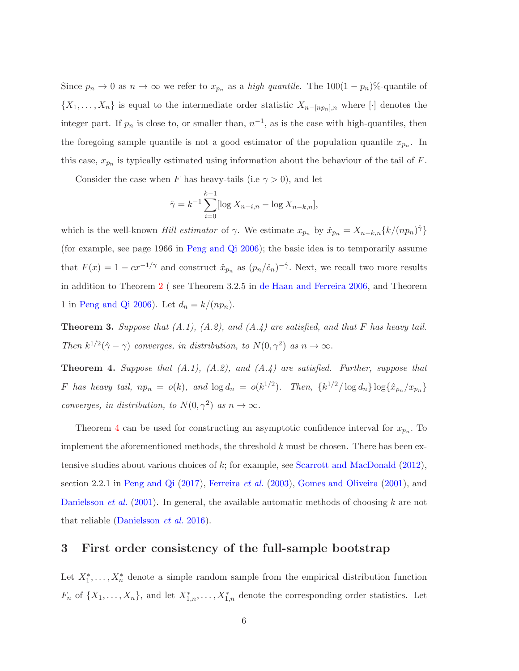Since  $p_n \to 0$  as  $n \to \infty$  we refer to  $x_{p_n}$  as a *high quantile*. The 100(1 – p<sub>n</sub>)%-quantile of  $\{X_1, \ldots, X_n\}$  is equal to the intermediate order statistic  $X_{n-[np_n],n}$  where [·] denotes the integer part. If  $p_n$  is close to, or smaller than,  $n^{-1}$ , as is the case with high-quantiles, then the foregoing sample quantile is not a good estimator of the population quantile  $x_{p_n}$ . In this case,  $x_{p_n}$  is typically estimated using information about the behaviour of the tail of F.

Consider the case when F has heavy-tails (i.e  $\gamma > 0$ ), and let

$$
\hat{\gamma} = k^{-1} \sum_{i=0}^{k-1} [\log X_{n-i,n} - \log X_{n-k,n}],
$$

which is the well-known *Hill estimator* of  $\gamma$ . We estimate  $x_{p_n}$  by  $\hat{x}_{p_n} = X_{n-k,n} \{k/(np_n)\hat{\gamma}\}\$ (for example, see page 1966 in [Peng and Qi 2006\)](#page-14-1); the basic idea is to temporarily assume that  $F(x) = 1 - cx^{-1/\gamma}$  and construct  $\hat{x}_{p_n}$  as  $(p_n/\hat{c}_n)^{-\hat{\gamma}}$ . Next, we recall two more results in addition to Theorem [2](#page-5-1) ( see Theorem 3.2.5 in [de Haan and Ferreira 2006](#page-13-1), and Theorem 1 in [Peng and Qi 2006](#page-14-1)). Let  $d_n = k/(np_n)$ .

<span id="page-6-1"></span>Theorem 3. *Suppose that (A.1), (A.2), and (A.4) are satisfied, and that* F *has heavy tail. Then*  $k^{1/2}(\hat{\gamma} - \gamma)$  *converges, in distribution, to*  $N(0, \gamma^2)$  *as*  $n \to \infty$ *.* 

<span id="page-6-0"></span>Theorem 4. *Suppose that (A.1), (A.2), and (A.4) are satisfied. Further, suppose that* F has heavy tail,  $np_n = o(k)$ , and  $\log d_n = o(k^{1/2})$ . Then,  $\{k^{1/2}/\log d_n\} \log{\{\hat{x}_{p_n}/x_{p_n}\}}$ *converges, in distribution, to*  $N(0, \gamma^2)$  *as*  $n \to \infty$ *.* 

Theorem [4](#page-6-0) can be used for constructing an asymptotic confidence interval for  $x_{p_n}$ . To implement the aforementioned methods, the threshold  $k$  must be chosen. There has been extensive studies about various choices of  $k$ ; for example, see [Scarrott and MacDonald](#page-15-0) [\(2012](#page-15-0)), section 2.2.1 in [Peng and Qi](#page-14-7) [\(2017](#page-14-7)), [Ferreira](#page-14-8) *et al.* [\(2003\)](#page-14-8), [Gomes and Oliveira](#page-14-9) [\(2001](#page-14-9)), and [Danielsson](#page-13-7) *et al.* [\(2001](#page-13-7)). In general, the available automatic methods of choosing k are not that reliable [\(Danielsson](#page-13-8) *et al.* [2016](#page-13-8)).

#### 3 First order consistency of the full-sample bootstrap

Let  $X_1^*, \ldots, X_n^*$  denote a simple random sample from the empirical distribution function  $F_n$  of  $\{X_1,\ldots,X_n\}$ , and let  $X_{1,n}^*,\ldots,X_{1,n}^*$  denote the corresponding order statistics. Let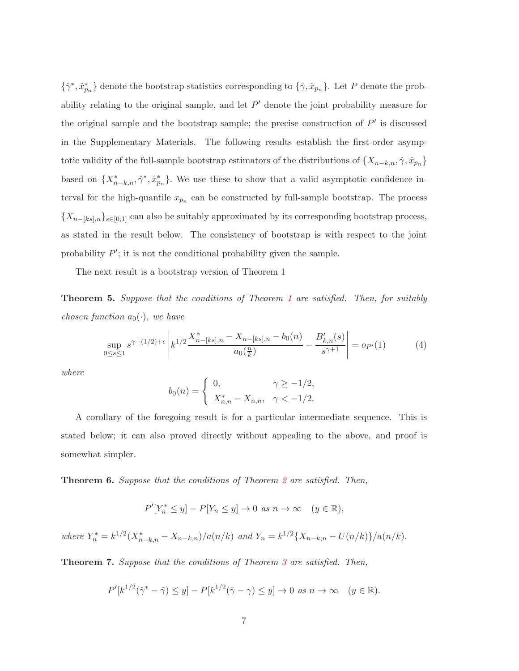$\{\hat{\gamma}^*, \hat{x}_{p_n}^*\}$  denote the bootstrap statistics corresponding to  $\{\hat{\gamma}, \hat{x}_{p_n}\}$ . Let P denote the probability relating to the original sample, and let  $P'$  denote the joint probability measure for the original sample and the bootstrap sample; the precise construction of  $P'$  is discussed in the Supplementary Materials. The following results establish the first-order asymptotic validity of the full-sample bootstrap estimators of the distributions of  $\{X_{n-k,n}, \hat{\gamma}, \hat{x}_{p_n}\}$ based on  $\{X_{n-k,n}^*, \hat{\gamma}^*, \hat{x}_{p_n}^*\}$ . We use these to show that a valid asymptotic confidence interval for the high-quantile  $x_{p_n}$  can be constructed by full-sample bootstrap. The process  ${X_{n-[ks],n}}_{s\in[0,1]}$  can also be suitably approximated by its corresponding bootstrap process, as stated in the result below. The consistency of bootstrap is with respect to the joint probability  $P'$ ; it is not the conditional probability given the sample.

The next result is a bootstrap version of Theorem [1](#page-5-0)

Theorem 5. *Suppose that the conditions of Theorem [1](#page-5-0) are satisfied. Then, for suitably chosen function*  $a_0(\cdot)$ *, we have* 

$$
\sup_{0 \le s \le 1} s^{\gamma + (1/2) + \epsilon} \left| k^{1/2} \frac{X_{n-[ks],n}^* - X_{n-[ks],n} - b_0(n)}{a_0(\frac{n}{k})} - \frac{B'_{k,n}(s)}{s^{\gamma+1}} \right| = o_{P'}(1) \tag{4}
$$

*where*

$$
b_0(n) = \begin{cases} 0, & \gamma \ge -1/2, \\ X_{n,n}^* - X_{n,n}, & \gamma < -1/2. \end{cases}
$$

A corollary of the foregoing result is for a particular intermediate sequence. This is stated below; it can also proved directly without appealing to the above, and proof is somewhat simpler.

Theorem 6. *Suppose that the conditions of Theorem [2](#page-5-1) are satisfied. Then,*

$$
P'[Y_n^* \le y] - P[Y_n \le y] \to 0 \text{ as } n \to \infty \quad (y \in \mathbb{R}),
$$

*where*  $Y_n^* = k^{1/2} (X_{n-k,n}^* - X_{n-k,n})/a(n/k)$  *and*  $Y_n = k^{1/2} \{X_{n-k,n} - U(n/k)\}/a(n/k)$ .

Theorem 7. *Suppose that the conditions of Theorem [3](#page-6-1) are satisfied. Then,*

$$
P'[k^{1/2}(\hat{\gamma}^* - \hat{\gamma}) \le y] - P[k^{1/2}(\hat{\gamma} - \gamma) \le y] \to 0 \text{ as } n \to \infty \quad (y \in \mathbb{R}).
$$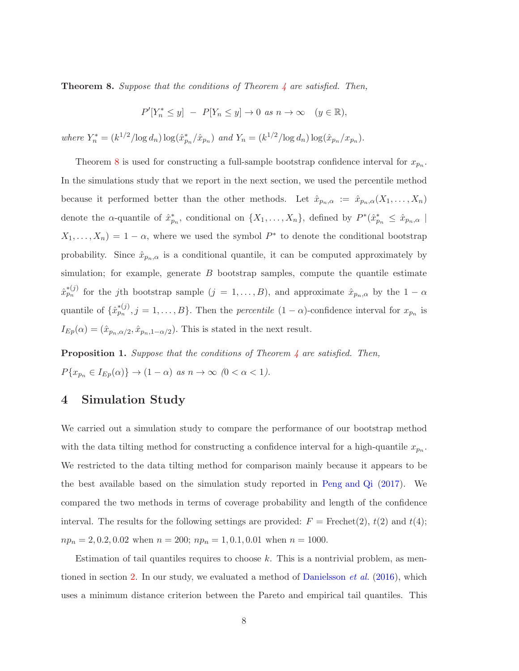<span id="page-8-0"></span>Theorem 8. *Suppose that the conditions of Theorem [4](#page-6-0) are satisfied. Then,*

$$
P'[Y_n^* \le y] - P[Y_n \le y] \to 0 \text{ as } n \to \infty \quad (y \in \mathbb{R}),
$$

*where*  $Y_n^* = (k^{1/2}/\log d_n) \log(\hat{x}_{p_n}^*/\hat{x}_{p_n})$  *and*  $Y_n = (k^{1/2}/\log d_n) \log(\hat{x}_{p_n}/x_{p_n})$ .

Theorem [8](#page-8-0) is used for constructing a full-sample bootstrap confidence interval for  $x_{p_n}$ . In the simulations study that we report in the next section, we used the percentile method because it performed better than the other methods. Let  $\hat{x}_{p_n,\alpha} := \hat{x}_{p_n,\alpha}(X_1,\ldots,X_n)$ denote the  $\alpha$ -quantile of  $\hat{x}_{p_n}^*$ , conditional on  $\{X_1,\ldots,X_n\}$ , defined by  $P^*(\hat{x}_{p_n}^* \leq \hat{x}_{p_n,\alpha})$  $X_1, \ldots, X_n$  = 1 –  $\alpha$ , where we used the symbol  $P^*$  to denote the conditional bootstrap probability. Since  $\hat{x}_{p_n,\alpha}$  is a conditional quantile, it can be computed approximately by simulation; for example, generate  $B$  bootstrap samples, compute the quantile estimate  $\hat{x}_{p_n}^{*(j)}$  for the jth bootstrap sample  $(j = 1, ..., B)$ , and approximate  $\hat{x}_{p_n,\alpha}$  by the  $1 - \alpha$ quantile of  $\{\hat{x}_{p_n}^{*(j)}, j = 1, \ldots, B\}$ . Then the *percentile*  $(1 - \alpha)$ -confidence interval for  $x_{p_n}$  is  $I_{Ep}(\alpha) = (\hat{x}_{p_n,\alpha/2}, \hat{x}_{p_n,1-\alpha/2})$ . This is stated in the next result.

Proposition 1. *Suppose that the conditions of Theorem [4](#page-6-0) are satisfied. Then,*  $P\{x_{p_n} \in I_{Ep}(\alpha)\} \to (1-\alpha) \text{ as } n \to \infty \text{ (}0 < \alpha < 1\text{).}$ 

### 4 Simulation Study

We carried out a simulation study to compare the performance of our bootstrap method with the data tilting method for constructing a confidence interval for a high-quantile  $x_{p_n}$ . We restricted to the data tilting method for comparison mainly because it appears to be the best available based on the simulation study reported in [Peng and Qi](#page-14-7) [\(2017](#page-14-7)). We compared the two methods in terms of coverage probability and length of the confidence interval. The results for the following settings are provided:  $F = \text{Frechet}(2), t(2)$  and  $t(4)$ ;  $np_n = 2, 0.2, 0.02$  when  $n = 200$ ;  $np_n = 1, 0.1, 0.01$  when  $n = 1000$ .

Estimation of tail quantiles requires to choose  $k$ . This is a nontrivial problem, as mentioned in section [2.](#page-3-0) In our study, we evaluated a method of [Danielsson](#page-13-8) *et al.* [\(2016](#page-13-8)), which uses a minimum distance criterion between the Pareto and empirical tail quantiles. This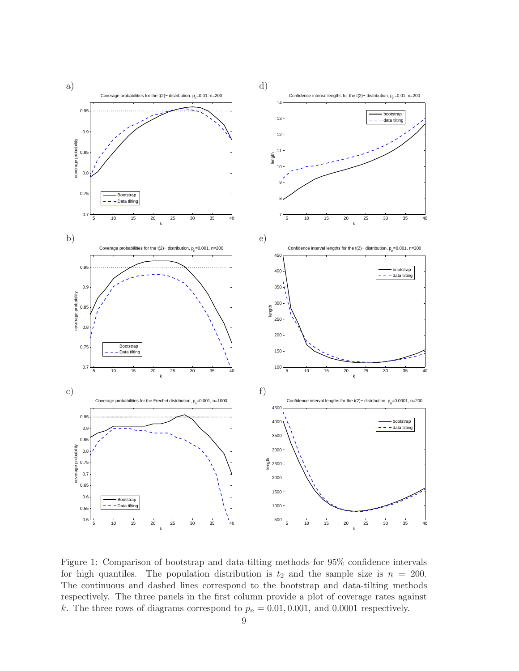<span id="page-9-0"></span>

Figure 1: Comparison of bootstrap and data-tilting methods for 95% confidence intervals for high quantiles. The population distribution is  $t_2$  and the sample size is  $n = 200$ . The continuous and dashed lines correspond to the bootstrap and data-tilting methods respectively. The three panels in the first column provide a plot of coverage rates against k. The three rows of diagrams correspond to  $p_n = 0.01, 0.001$ , and  $0.0001$  respectively.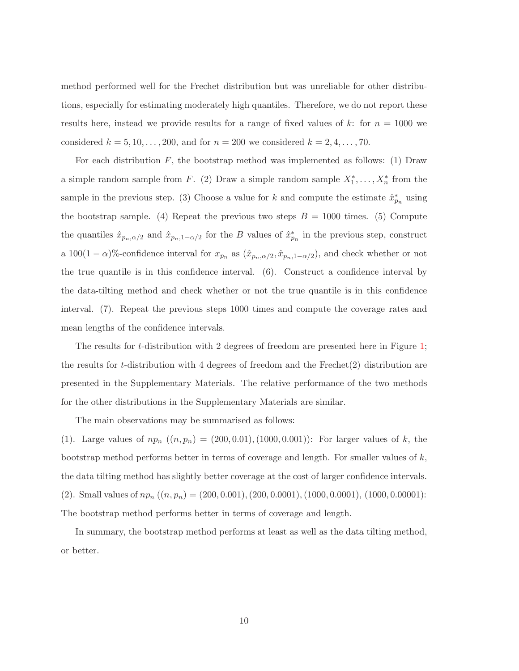method performed well for the Frechet distribution but was unreliable for other distributions, especially for estimating moderately high quantiles. Therefore, we do not report these results here, instead we provide results for a range of fixed values of k: for  $n = 1000$  we considered  $k = 5, 10, ..., 200$ , and for  $n = 200$  we considered  $k = 2, 4, ..., 70$ .

For each distribution  $F$ , the bootstrap method was implemented as follows: (1) Draw a simple random sample from F. (2) Draw a simple random sample  $X_1^*, \ldots, X_n^*$  from the sample in the previous step. (3) Choose a value for k and compute the estimate  $\hat{x}_{p_n}^*$  using the bootstrap sample. (4) Repeat the previous two steps  $B = 1000$  times. (5) Compute the quantiles  $\hat{x}_{p_n,\alpha/2}$  and  $\hat{x}_{p_n,1-\alpha/2}$  for the B values of  $\hat{x}_{p_n}^*$  in the previous step, construct a 100(1 –  $\alpha$ )%-confidence interval for  $x_{p_n}$  as  $(\hat{x}_{p_n,\alpha/2}, \hat{x}_{p_n,1-\alpha/2})$ , and check whether or not the true quantile is in this confidence interval. (6). Construct a confidence interval by the data-tilting method and check whether or not the true quantile is in this confidence interval. (7). Repeat the previous steps 1000 times and compute the coverage rates and mean lengths of the confidence intervals.

The results for t-distribution with 2 degrees of freedom are presented here in Figure [1;](#page-9-0) the results for t-distribution with 4 degrees of freedom and the Frechet(2) distribution are presented in the Supplementary Materials. The relative performance of the two methods for the other distributions in the Supplementary Materials are similar.

The main observations may be summarised as follows:

(1). Large values of  $np_n$   $((n, p_n) = (200, 0.01), (1000, 0.001))$ : For larger values of k, the bootstrap method performs better in terms of coverage and length. For smaller values of  $k$ , the data tilting method has slightly better coverage at the cost of larger confidence intervals. (2). Small values of  $np_n$   $((n, p_n) = (200, 0.001), (200, 0.0001), (1000, 0.0001), (1000, 0.00001)$ : The bootstrap method performs better in terms of coverage and length.

In summary, the bootstrap method performs at least as well as the data tilting method, or better.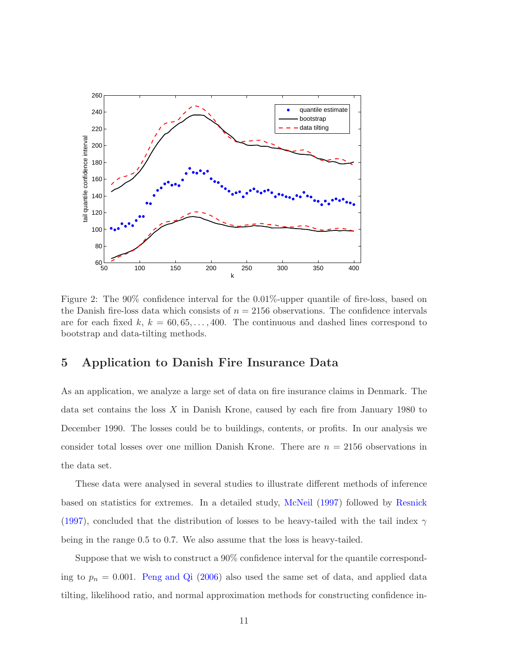<span id="page-11-0"></span>

Figure 2: The 90% confidence interval for the 0.01%-upper quantile of fire-loss, based on the Danish fire-loss data which consists of  $n = 2156$  observations. The confidence intervals are for each fixed k,  $k = 60, 65, \ldots, 400$ . The continuous and dashed lines correspond to bootstrap and data-tilting methods.

#### 5 Application to Danish Fire Insurance Data

As an application, we analyze a large set of data on fire insurance claims in Denmark. The data set contains the loss X in Danish Krone, caused by each fire from January 1980 to December 1990. The losses could be to buildings, contents, or profits. In our analysis we consider total losses over one million Danish Krone. There are  $n = 2156$  observations in the data set.

These data were analysed in several studies to illustrate different methods of inference based on statistics for extremes. In a detailed study, [McNeil](#page-14-10) [\(1997](#page-14-10)) followed by [Resnick](#page-14-11) [\(1997](#page-14-11)), concluded that the distribution of losses to be heavy-tailed with the tail index  $\gamma$ being in the range 0.5 to 0.7. We also assume that the loss is heavy-tailed.

Suppose that we wish to construct a 90% confidence interval for the quantile corresponding to  $p_n = 0.001$ . [Peng and Qi](#page-14-1) [\(2006](#page-14-1)) also used the same set of data, and applied data tilting, likelihood ratio, and normal approximation methods for constructing confidence in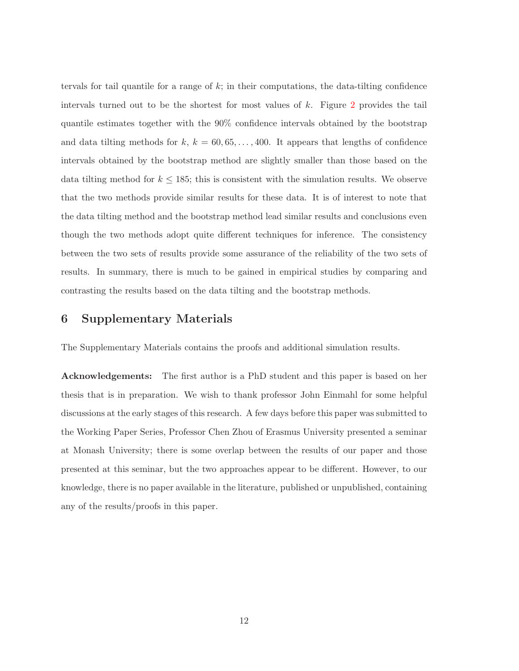tervals for tail quantile for a range of  $k$ ; in their computations, the data-tilting confidence intervals turned out to be the shortest for most values of  $k$ . Figure [2](#page-11-0) provides the tail quantile estimates together with the 90% confidence intervals obtained by the bootstrap and data tilting methods for  $k, k = 60, 65, \ldots, 400$ . It appears that lengths of confidence intervals obtained by the bootstrap method are slightly smaller than those based on the data tilting method for  $k \leq 185$ ; this is consistent with the simulation results. We observe that the two methods provide similar results for these data. It is of interest to note that the data tilting method and the bootstrap method lead similar results and conclusions even though the two methods adopt quite different techniques for inference. The consistency between the two sets of results provide some assurance of the reliability of the two sets of results. In summary, there is much to be gained in empirical studies by comparing and contrasting the results based on the data tilting and the bootstrap methods.

#### 6 Supplementary Materials

The Supplementary Materials contains the proofs and additional simulation results.

Acknowledgements: The first author is a PhD student and this paper is based on her thesis that is in preparation. We wish to thank professor John Einmahl for some helpful discussions at the early stages of this research. A few days before this paper was submitted to the Working Paper Series, Professor Chen Zhou of Erasmus University presented a seminar at Monash University; there is some overlap between the results of our paper and those presented at this seminar, but the two approaches appear to be different. However, to our knowledge, there is no paper available in the literature, published or unpublished, containing any of the results/proofs in this paper.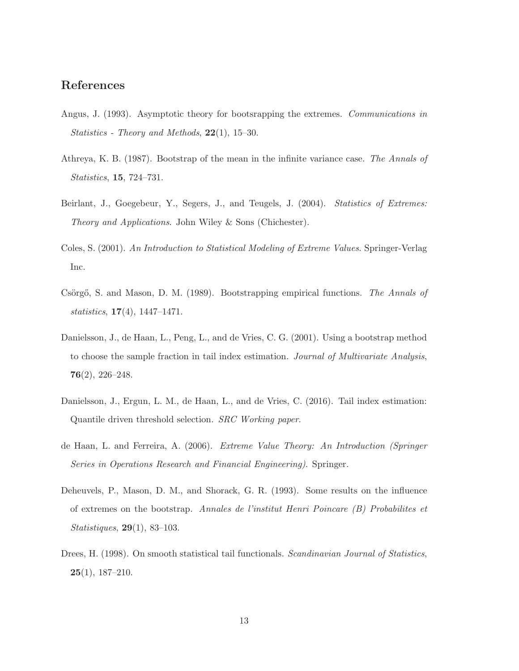### References

- <span id="page-13-4"></span>Angus, J. (1993). Asymptotic theory for bootsrapping the extremes. *Communications in Statistics - Theory and Methods*, 22(1), 15–30.
- <span id="page-13-3"></span>Athreya, K. B. (1987). Bootstrap of the mean in the infinite variance case. *The Annals of Statistics*, 15, 724–731.
- <span id="page-13-0"></span>Beirlant, J., Goegebeur, Y., Segers, J., and Teugels, J. (2004). *Statistics of Extremes: Theory and Applications*. John Wiley & Sons (Chichester).
- <span id="page-13-2"></span>Coles, S. (2001). *An Introduction to Statistical Modeling of Extreme Values*. Springer-Verlag Inc.
- Csörgő, S. and Mason, D. M. (1989). Bootstrapping empirical functions. *The Annals of statistics*, 17(4), 1447–1471.
- <span id="page-13-7"></span>Danielsson, J., de Haan, L., Peng, L., and de Vries, C. G. (2001). Using a bootstrap method to choose the sample fraction in tail index estimation. *Journal of Multivariate Analysis*,  $76(2)$ , 226-248.
- <span id="page-13-8"></span>Danielsson, J., Ergun, L. M., de Haan, L., and de Vries, C. (2016). Tail index estimation: Quantile driven threshold selection. *SRC Working paper*.
- <span id="page-13-1"></span>de Haan, L. and Ferreira, A. (2006). *Extreme Value Theory: An Introduction (Springer Series in Operations Research and Financial Engineering)*. Springer.
- <span id="page-13-5"></span>Deheuvels, P., Mason, D. M., and Shorack, G. R. (1993). Some results on the influence of extremes on the bootstrap. *Annales de l'institut Henri Poincare (B) Probabilites et Statistiques*, 29(1), 83–103.
- <span id="page-13-6"></span>Drees, H. (1998). On smooth statistical tail functionals. *Scandinavian Journal of Statistics*, 25(1), 187–210.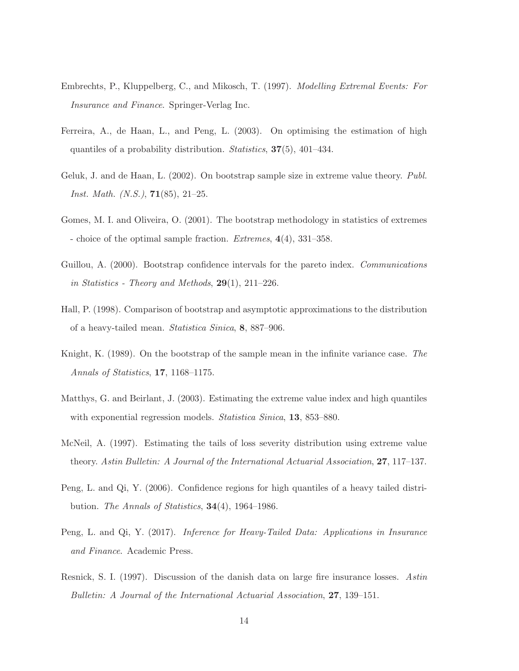- <span id="page-14-0"></span>Embrechts, P., Kluppelberg, C., and Mikosch, T. (1997). *Modelling Extremal Events: For Insurance and Finance*. Springer-Verlag Inc.
- <span id="page-14-8"></span>Ferreira, A., de Haan, L., and Peng, L. (2003). On optimising the estimation of high quantiles of a probability distribution. *Statistics*, 37(5), 401–434.
- <span id="page-14-5"></span>Geluk, J. and de Haan, L. (2002). On bootstrap sample size in extreme value theory. *Publ. Inst. Math. (N.S.)*, 71(85), 21–25.
- <span id="page-14-9"></span>Gomes, M. I. and Oliveira, O. (2001). The bootstrap methodology in statistics of extremes - choice of the optimal sample fraction. *Extremes*, 4(4), 331–358.
- <span id="page-14-4"></span>Guillou, A. (2000). Bootstrap confidence intervals for the pareto index. *Communications in Statistics - Theory and Methods*, 29(1), 211–226.
- <span id="page-14-3"></span>Hall, P. (1998). Comparison of bootstrap and asymptotic approximations to the distribution of a heavy-tailed mean. *Statistica Sinica*, 8, 887–906.
- <span id="page-14-2"></span>Knight, K. (1989). On the bootstrap of the sample mean in the infinite variance case. *The Annals of Statistics*, 17, 1168–1175.
- <span id="page-14-6"></span>Matthys, G. and Beirlant, J. (2003). Estimating the extreme value index and high quantiles with exponential regression models. *Statistica Sinica*, 13, 853–880.
- <span id="page-14-10"></span>McNeil, A. (1997). Estimating the tails of loss severity distribution using extreme value theory. *Astin Bulletin: A Journal of the International Actuarial Association*, 27, 117–137.
- <span id="page-14-1"></span>Peng, L. and Qi, Y. (2006). Confidence regions for high quantiles of a heavy tailed distribution. *The Annals of Statistics*, 34(4), 1964–1986.
- <span id="page-14-7"></span>Peng, L. and Qi, Y. (2017). *Inference for Heavy-Tailed Data: Applications in Insurance and Finance*. Academic Press.
- <span id="page-14-11"></span>Resnick, S. I. (1997). Discussion of the danish data on large fire insurance losses. *Astin Bulletin: A Journal of the International Actuarial Association*, 27, 139–151.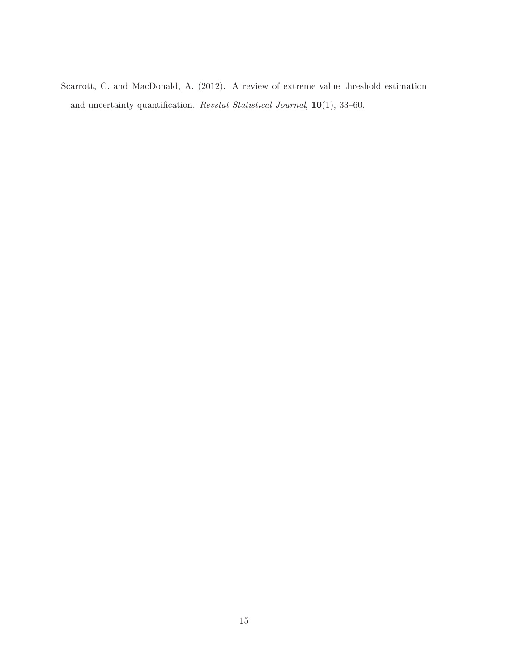<span id="page-15-0"></span>Scarrott, C. and MacDonald, A. (2012). A review of extreme value threshold estimation and uncertainty quantification. *Revstat Statistical Journal*, 10(1), 33–60.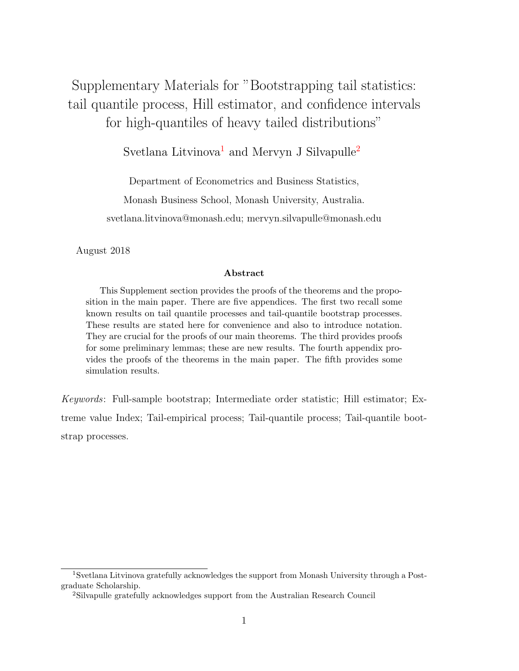# <span id="page-16-2"></span>Supplementary Materials for "Bootstrapping tail statistics: tail quantile process, Hill estimator, and confidence intervals for high-quantiles of heavy tailed distributions"

### Svetlana Litvinova<sup>[1](#page-16-0)</sup> and Mervyn J Silvapulle<sup>[2](#page-16-1)</sup>

Department of Econometrics and Business Statistics,

Monash Business School, Monash University, Australia.

svetlana.litvinova@monash.edu; mervyn.silvapulle@monash.edu

August 2018

#### Abstract

This Supplement section provides the proofs of the theorems and the proposition in the main paper. There are five appendices. The first two recall some known results on tail quantile processes and tail-quantile bootstrap processes. These results are stated here for convenience and also to introduce notation. They are crucial for the proofs of our main theorems. The third provides proofs for some preliminary lemmas; these are new results. The fourth appendix provides the proofs of the theorems in the main paper. The fifth provides some simulation results.

Keywords: Full-sample bootstrap; Intermediate order statistic; Hill estimator; Extreme value Index; Tail-empirical process; Tail-quantile process; Tail-quantile bootstrap processes.

<span id="page-16-0"></span><sup>1</sup>Svetlana Litvinova gratefully acknowledges the support from Monash University through a Postgraduate Scholarship.

<span id="page-16-1"></span><sup>2</sup>Silvapulle gratefully acknowledges support from the Australian Research Council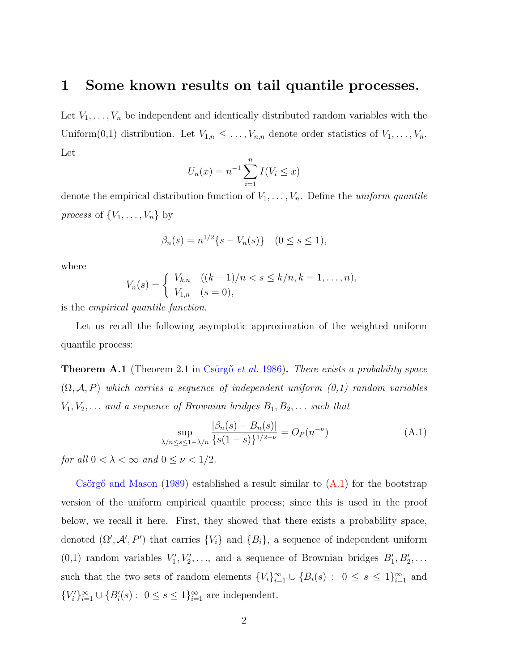### <span id="page-17-1"></span>1 Some known results on tail quantile processes.

Let  $V_1, \ldots, V_n$  be independent and identically distributed random variables with the Uniform $(0,1)$  distribution. Let  $V_{1,n} \leq \ldots, V_{n,n}$  denote order statistics of  $V_1, \ldots, V_n$ . Let

$$
U_n(x) = n^{-1} \sum_{i=1}^n I(V_i \le x)
$$

denote the empirical distribution function of  $V_1, \ldots, V_n$ . Define the *uniform quantile process* of  $\{V_1, \ldots, V_n\}$  by

$$
\beta_n(s) = n^{1/2} \{ s - V_n(s) \} \quad (0 \le s \le 1),
$$

where

$$
V_n(s) = \begin{cases} V_{k,n} & ((k-1)/n < s \le k/n, k = 1, \dots, n), \\ V_{1,n} & (s = 0), \end{cases}
$$

is the empirical quantile function.

Let us recall the following asymptotic approximation of the weighted uniform quantile process:

**Theorem A.1** (Theorem 2.1 in Csörgő et al. [1986\)](#page-56-0). There exists a probability space  $(\Omega, \mathcal{A}, P)$  which carries a sequence of independent uniform  $(0,1)$  random variables  $V_1, V_2, \ldots$  and a sequence of Brownian bridges  $B_1, B_2, \ldots$  such that

<span id="page-17-0"></span>
$$
\sup_{\lambda/n \le s \le 1 - \lambda/n} \frac{|\beta_n(s) - B_n(s)|}{\{s(1-s)\}^{1/2 - \nu}} = O_P(n^{-\nu})
$$
\n(A.1)

for all  $0 < \lambda < \infty$  and  $0 \le \nu < 1/2$ .

Csörgő and Mason  $(1989)$  established a result similar to  $(A.1)$  for the bootstrap version of the uniform empirical quantile process; since this is used in the proof below, we recall it here. First, they showed that there exists a probability space, denoted  $(\Omega', \mathcal{A}', P')$  that carries  $\{V_i\}$  and  $\{B_i\}$ , a sequence of independent uniform  $(0,1)$  random variables  $V'_1, V'_2, \ldots$ , and a sequence of Brownian bridges  $B'_1, B'_2, \ldots$ such that the two sets of random elements  $\{V_i\}_{i=1}^{\infty} \cup \{B_i(s) : 0 \le s \le 1\}_{i=1}^{\infty}$  and  ${V_i'}_{i=1}^{\infty} \cup {B_i'(s) : 0 \le s \le 1}_{i=1}^{\infty}$  are independent.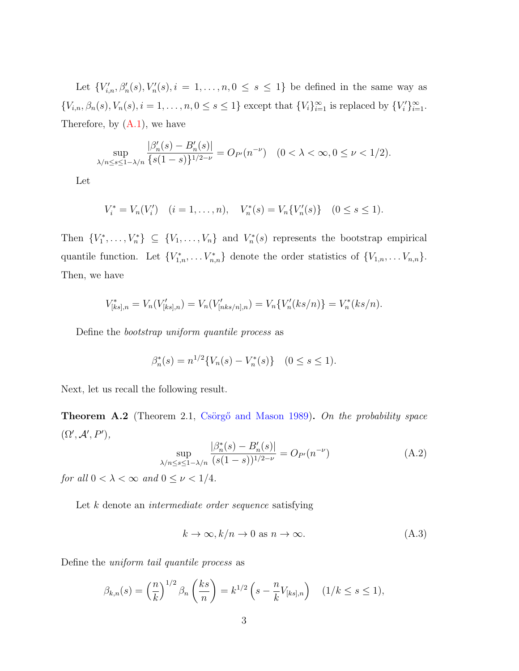Let  ${V'_{i,n}, \beta'_n(s), V'_n(s), i = 1, \ldots, n, 0 \le s \le 1}$  be defined in the same way as  ${V_{i,n}, \beta_n(s), V_n(s), i = 1, \ldots, n, 0 \le s \le 1}$  except that  ${V_i}_{i=1}^{\infty}$  is replaced by  ${V'_i}_{i=1}^{\infty}$ . Therefore, by  $(A.1)$ , we have

$$
\sup_{\lambda/n \le s \le 1-\lambda/n} \frac{|\beta_n'(s) - B_n'(s)|}{\{s(1-s)\}^{1/2-\nu}} = O_{P'}(n^{-\nu}) \quad (0 < \lambda < \infty, 0 \le \nu < 1/2).
$$

Let

$$
V_i^* = V_n(V_i') \quad (i = 1, ..., n), \quad V_n^*(s) = V_n\{V_n'(s)\} \quad (0 \le s \le 1).
$$

Then  $\{V_1^*,\ldots,V_n^*\}\subseteq \{V_1,\ldots,V_n\}$  and  $V_n^*(s)$  represents the bootstrap empirical quantile function. Let  ${V_{1,n}^*, \ldots V_{n,n}^*}$  denote the order statistics of  ${V_{1,n}, \ldots V_{n,n}}$ . Then, we have

$$
V_{[ks],n}^* = V_n(V_{[ks],n}') = V_n(V_{[nks/n],n}') = V_n\{V_n'(ks/n)\} = V_n^*(ks/n).
$$

Define the bootstrap uniform quantile process as

$$
\beta_n^*(s) = n^{1/2} \{ V_n(s) - V_n^*(s) \} \quad (0 \le s \le 1).
$$

Next, let us recall the following result.

<span id="page-18-1"></span>**Theorem A.2** (Theorem 2.1, Csörgő and Mason [1989\)](#page-56-1). On the probability space  $(\Omega', \mathcal{A}', P'),$ 

<span id="page-18-0"></span>
$$
\sup_{\lambda/n \le s \le 1 - \lambda/n} \frac{|\beta_n^*(s) - B_n'(s)|}{(s(1-s))^{1/2 - \nu}} = O_{P'}(n^{-\nu})
$$
(A.2)

for all  $0 < \lambda < \infty$  and  $0 \leq \nu < 1/4$ .

Let k denote an *intermediate order sequence* satisfying

$$
k \to \infty, k/n \to 0 \text{ as } n \to \infty. \tag{A.3}
$$

Define the uniform tail quantile process as

$$
\beta_{k,n}(s) = \left(\frac{n}{k}\right)^{1/2} \beta_n\left(\frac{ks}{n}\right) = k^{1/2}\left(s - \frac{n}{k}V_{[ks],n}\right) \quad (1/k \le s \le 1),
$$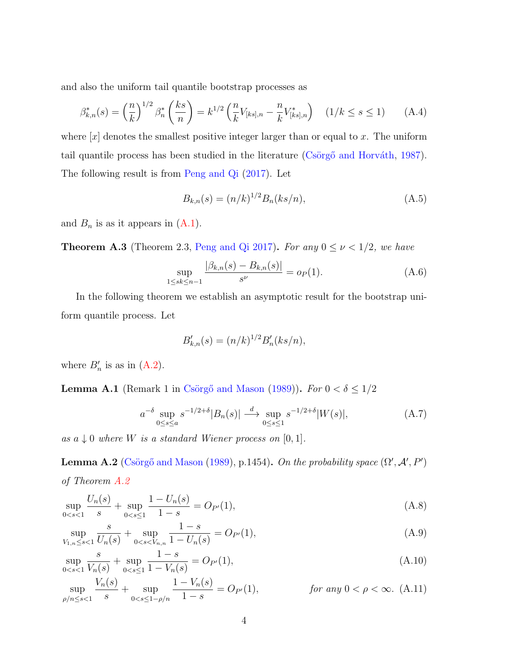and also the uniform tail quantile bootstrap processes as

<span id="page-19-4"></span>
$$
\beta_{k,n}^*(s) = \left(\frac{n}{k}\right)^{1/2} \beta_n^* \left(\frac{ks}{n}\right) = k^{1/2} \left(\frac{n}{k} V_{[ks],n} - \frac{n}{k} V_{[ks],n}^*\right) \quad (1/k \le s \le 1) \tag{A.4}
$$

where  $[x]$  denotes the smallest positive integer larger than or equal to x. The uniform tail quantile process has been studied in the literature (Csörgő and Horváth, [1987\)](#page-56-2). The following result is from [Peng and Qi](#page-56-3) [\(2017\)](#page-56-3). Let

<span id="page-19-0"></span>
$$
B_{k,n}(s) = (n/k)^{1/2} B_n(ks/n), \tag{A.5}
$$

and  $B_n$  is as it appears in  $(A.1)$ .

<span id="page-19-3"></span>**Theorem A.3** (Theorem 2.3, [Peng and Qi](#page-56-3) [2017\)](#page-56-3). For any  $0 \le \nu < 1/2$ , we have

$$
\sup_{1 \le sk \le n-1} \frac{|\beta_{k,n}(s) - B_{k,n}(s)|}{s^{\nu}} = o_P(1). \tag{A.6}
$$

In the following theorem we establish an asymptotic result for the bootstrap uniform quantile process. Let

$$
B'_{k,n}(s) = (n/k)^{1/2} B'_n(ks/n),
$$

where  $B'_n$  is as in  $(A.2)$ .

<span id="page-19-1"></span>**Lemma A.1** (Remark 1 in Csörgő and Mason [\(1989\)](#page-56-1)). For  $0 < \delta \leq 1/2$ 

$$
a^{-\delta} \sup_{0 \le s \le a} s^{-1/2+\delta} |B_n(s)| \stackrel{d}{\longrightarrow} \sup_{0 \le s \le 1} s^{-1/2+\delta} |W(s)|,
$$
 (A.7)

as  $a \downarrow 0$  where W is a standard Wiener process on  $[0,1]$ .

<span id="page-19-2"></span>**Lemma A.2** (Csörgő and Mason [\(1989\)](#page-56-1), p.1454). On the probability space  $(\Omega', \mathcal{A}', P')$ of Theorem [A.2](#page-18-1)

$$
\sup_{0 < s < 1} \frac{U_n(s)}{s} + \sup_{0 < s \le 1} \frac{1 - U_n(s)}{1 - s} = O_{P'}(1),\tag{A.8}
$$

$$
\sup_{V_{1,n}\leq s<1} \frac{s}{U_n(s)} + \sup_{0
$$

$$
\sup_{0 < s < 1} \frac{s}{V_n(s)} + \sup_{0 < s \le 1} \frac{1 - s}{1 - V_n(s)} = O_{P'}(1),\tag{A.10}
$$

$$
\sup_{\rho/n \le s < 1} \frac{V_n(s)}{s} + \sup_{0 < s \le 1 - \rho/n} \frac{1 - V_n(s)}{1 - s} = O_{P'}(1), \qquad \text{for any } 0 < \rho < \infty. \tag{A.11}
$$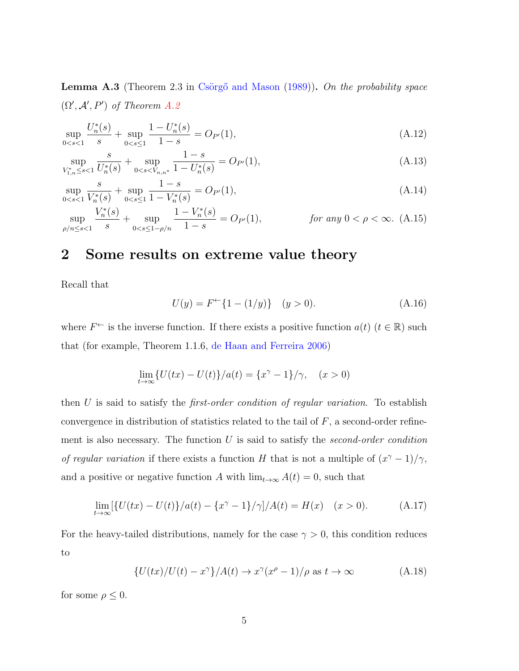<span id="page-20-2"></span>**Lemma A.3** (Theorem 2.3 in Csörgő and Mason  $(1989)$ ). On the probability space  $(\Omega', \mathcal{A}', P')$  of Theorem [A.2](#page-18-1)

$$
\sup_{0 < s < 1} \frac{U_n^*(s)}{s} + \sup_{0 < s \le 1} \frac{1 - U_n^*(s)}{1 - s} = O_{P'}(1),\tag{A.12}
$$

$$
\sup_{V_{1,n}^* \le s < 1} \frac{s}{U_n^*(s)} + \sup_{0 < s < V_{n,n^*}} \frac{1-s}{1 - U_n^*(s)} = O_{P'}(1),\tag{A.13}
$$

$$
\sup_{0 < s < 1} \frac{s}{V_n^*(s)} + \sup_{0 < s \le 1} \frac{1 - s}{1 - V_n^*(s)} = O_{P'}(1),\tag{A.14}
$$

$$
\sup_{\rho/n \le s < 1} \frac{V_n^*(s)}{s} + \sup_{0 < s \le 1 - \rho/n} \frac{1 - V_n^*(s)}{1 - s} = O_{P'}(1), \qquad \text{for any } 0 < \rho < \infty. \tag{A.15}
$$

### 2 Some results on extreme value theory

Recall that

<span id="page-20-3"></span>
$$
U(y) = F^{\leftarrow} \{ 1 - (1/y) \} \quad (y > 0). \tag{A.16}
$$

where  $F^{\leftarrow}$  is the inverse function. If there exists a positive function  $a(t)$   $(t \in \mathbb{R})$  such that (for example, Theorem 1.1.6, [de Haan and Ferreira](#page-56-4) [2006\)](#page-56-4)

$$
\lim_{t \to \infty} \{ U(tx) - U(t) \} / a(t) = \{ x^{\gamma} - 1 \} / \gamma, \quad (x > 0)
$$

then  $U$  is said to satisfy the *first-order condition of regular variation*. To establish convergence in distribution of statistics related to the tail of  $F$ , a second-order refinement is also necessary. The function  $U$  is said to satisfy the *second-order condition* of regular variation if there exists a function H that is not a multiple of  $(x^{\gamma}-1)/\gamma$ , and a positive or negative function A with  $\lim_{t\to\infty} A(t) = 0$ , such that

<span id="page-20-0"></span>
$$
\lim_{t \to \infty} [\{U(tx) - U(t)\}/a(t) - \{x^{\gamma} - 1\}/\gamma]/A(t) = H(x) \quad (x > 0).
$$
 (A.17)

For the heavy-tailed distributions, namely for the case  $\gamma > 0$ , this condition reduces to

<span id="page-20-1"></span>
$$
\{U(tx)/U(t) - x^{\gamma}\}/A(t) \to x^{\gamma}(x^{\rho} - 1)/\rho \text{ as } t \to \infty
$$
 (A.18)

for some  $\rho \leq 0$ .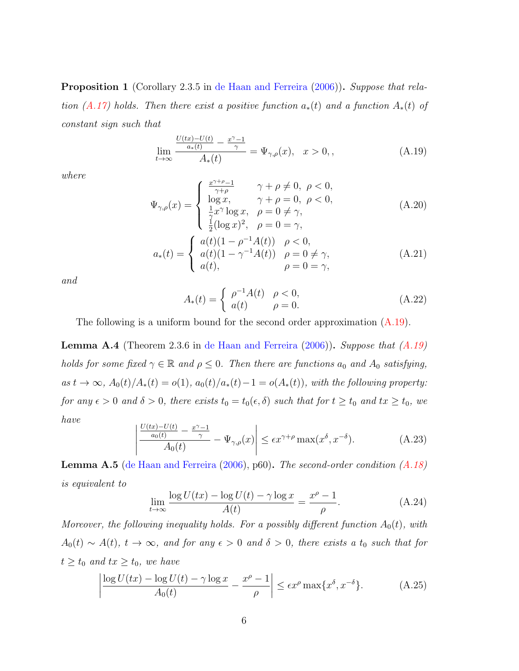### <span id="page-21-4"></span>Proposition 1 (Corollary 2.3.5 in [de Haan and Ferreira](#page-56-4) [\(2006\)](#page-56-4)). Suppose that rela-tion [\(A.17\)](#page-20-0) holds. Then there exist a positive function  $a_*(t)$  and a function  $A_*(t)$  of constant sign such that

<span id="page-21-0"></span>
$$
\lim_{t \to \infty} \frac{\frac{U(tx) - U(t)}{a_*(t)} - \frac{x^{\gamma} - 1}{\gamma}}{A_*(t)} = \Psi_{\gamma, \rho}(x), \quad x > 0,
$$
\n(A.19)

where

$$
\Psi_{\gamma,\rho}(x) = \begin{cases}\n\frac{x^{\gamma+\rho}-1}{\gamma+\rho} & \gamma + \rho \neq 0, \ \rho < 0, \\
\log x, & \gamma + \rho = 0, \ \rho < 0, \\
\frac{1}{2}x^{\gamma} \log x, & \rho = 0 \neq \gamma, \\
\frac{1}{2}(\log x)^{2}, & \rho = 0 = \gamma, \\
a_{*}(t) = \begin{cases}\na(t)(1-\rho^{-1}A(t)) & \rho < 0, \\
a(t)(1-\gamma^{-1}A(t)) & \rho = 0 \neq \gamma, \\
a(t), & \rho = 0 = \gamma,\n\end{cases} (A.21)
$$

and

$$
A_*(t) = \begin{cases} \rho^{-1}A(t) & \rho < 0, \\ a(t) & \rho = 0. \end{cases}
$$
 (A.22)

The following is a uniform bound for the second order approximation  $(A.19)$ .

<span id="page-21-1"></span>**Lemma A.4** (Theorem 2.3.6 in [de Haan and Ferreira](#page-56-4)  $(2006)$ ). Suppose that  $(A.19)$ holds for some fixed  $\gamma \in \mathbb{R}$  and  $\rho \leq 0$ . Then there are functions  $a_0$  and  $A_0$  satisfying, as  $t \to \infty$ ,  $A_0(t)/A_*(t) = o(1)$ ,  $a_0(t)/a_*(t) - 1 = o(A_*(t))$ , with the following property: for any  $\epsilon > 0$  and  $\delta > 0$ , there exists  $t_0 = t_0(\epsilon, \delta)$  such that for  $t \ge t_0$  and  $tx \ge t_0$ , we have

<span id="page-21-2"></span>
$$
\left| \frac{\frac{U(tx) - U(t)}{a_0(t)} - \frac{x^{\gamma} - 1}{\gamma}}{A_0(t)} - \Psi_{\gamma, \rho}(x) \right| \le \epsilon x^{\gamma + \rho} \max(x^{\delta}, x^{-\delta}). \tag{A.23}
$$

**Lemma A.5** [\(de Haan and Ferreira](#page-56-4) [\(2006\)](#page-56-4), p60). The second-order condition  $(A.18)$ is equivalent to

$$
\lim_{t \to \infty} \frac{\log U(tx) - \log U(t) - \gamma \log x}{A(t)} = \frac{x^{\rho} - 1}{\rho}.
$$
\n(A.24)

Moreover, the following inequality holds. For a possibly different function  $A_0(t)$ , with  $A_0(t) \sim A(t)$ ,  $t \to \infty$ , and for any  $\epsilon > 0$  and  $\delta > 0$ , there exists a  $t_0$  such that for  $t \ge t_0$  and  $tx \ge t_0$ , we have

<span id="page-21-3"></span>
$$
\left| \frac{\log U(tx) - \log U(t) - \gamma \log x}{A_0(t)} - \frac{x^{\rho} - 1}{\rho} \right| \le \epsilon x^{\rho} \max\{x^{\delta}, x^{-\delta}\}.
$$
 (A.25)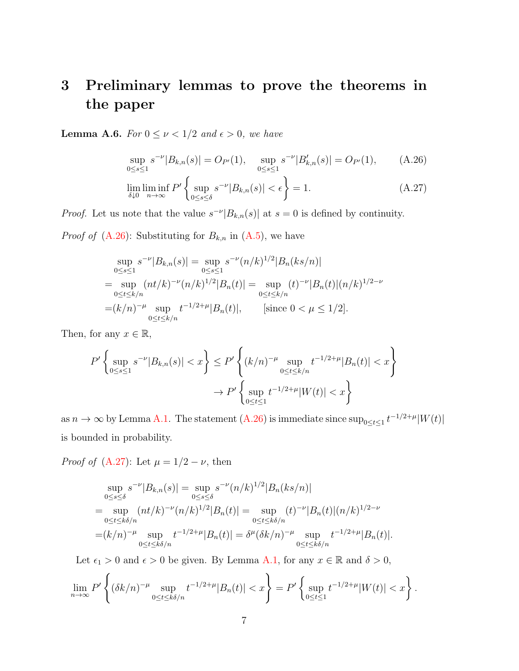# 3 Preliminary lemmas to prove the theorems in the paper

<span id="page-22-1"></span>**Lemma A.6.** For  $0 \le \nu < 1/2$  and  $\epsilon > 0$ , we have

<span id="page-22-0"></span>
$$
\sup_{0 \le s \le 1} s^{-\nu} |B_{k,n}(s)| = O_{P'}(1), \quad \sup_{0 \le s \le 1} s^{-\nu} |B'_{k,n}(s)| = O_{P'}(1), \tag{A.26}
$$

$$
\lim_{\delta \downarrow 0} \liminf_{n \to \infty} P' \left\{ \sup_{0 \le s \le \delta} s^{-\nu} |B_{k,n}(s)| < \epsilon \right\} = 1. \tag{A.27}
$$

*Proof.* Let us note that the value  $s^{-\nu} |B_{k,n}(s)|$  at  $s = 0$  is defined by continuity.

*Proof of* [\(A.26\)](#page-22-0): Substituting for  $B_{k,n}$  in [\(A.5\)](#page-19-0), we have

$$
\sup_{0 \le s \le 1} s^{-\nu} |B_{k,n}(s)| = \sup_{0 \le s \le 1} s^{-\nu} (n/k)^{1/2} |B_n(ks/n)|
$$
  
= 
$$
\sup_{0 \le t \le k/n} (nt/k)^{-\nu} (n/k)^{1/2} |B_n(t)| = \sup_{0 \le t \le k/n} (t)^{-\nu} |B_n(t)| (n/k)^{1/2 - \nu}
$$
  
= 
$$
(k/n)^{-\mu} \sup_{0 \le t \le k/n} t^{-1/2 + \mu} |B_n(t)|, \qquad \text{[since } 0 < \mu \le 1/2].
$$

Then, for any  $x \in \mathbb{R}$ ,

$$
P'\left\{\sup_{0\le s\le 1} s^{-\nu}|B_{k,n}(s)| < x\right\} \le P'\left\{(k/n)^{-\mu}\sup_{0\le t\le k/n} t^{-1/2+\mu}|B_n(t)| < x\right\}
$$
\n
$$
\to P'\left\{\sup_{0\le t\le 1} t^{-1/2+\mu}|W(t)| < x\right\}
$$

as  $n \to \infty$  by Lemma [A.1.](#page-19-1) The statement [\(A.26\)](#page-22-0) is immediate since  $\sup_{0 \le t \le 1} t^{-1/2+\mu}|W(t)|$ is bounded in probability.

*Proof of* [\(A.27\)](#page-22-0): Let  $\mu = 1/2 - \nu$ , then

$$
\sup_{0 \le s \le \delta} s^{-\nu} |B_{k,n}(s)| = \sup_{0 \le s \le \delta} s^{-\nu} (n/k)^{1/2} |B_n(ks/n)|
$$
  
= 
$$
\sup_{0 \le t \le k\delta/n} (nt/k)^{-\nu} (n/k)^{1/2} |B_n(t)| = \sup_{0 \le t \le k\delta/n} (t)^{-\nu} |B_n(t)| (n/k)^{1/2-\nu}
$$
  
= 
$$
(k/n)^{-\mu} \sup_{0 \le t \le k\delta/n} t^{-1/2+\mu} |B_n(t)| = \delta^{\mu} (\delta k/n)^{-\mu} \sup_{0 \le t \le k\delta/n} t^{-1/2+\mu} |B_n(t)|.
$$

Let  $\epsilon_1 > 0$  and  $\epsilon > 0$  be given. By Lemma [A.1,](#page-19-1) for any  $x \in \mathbb{R}$  and  $\delta > 0$ ,

$$
\lim_{n \to \infty} P' \left\{ (\delta k/n)^{-\mu} \sup_{0 \le t \le k\delta/n} t^{-1/2 + \mu} |B_n(t)| < x \right\} = P' \left\{ \sup_{0 \le t \le 1} t^{-1/2 + \mu} |W(t)| < x \right\}.
$$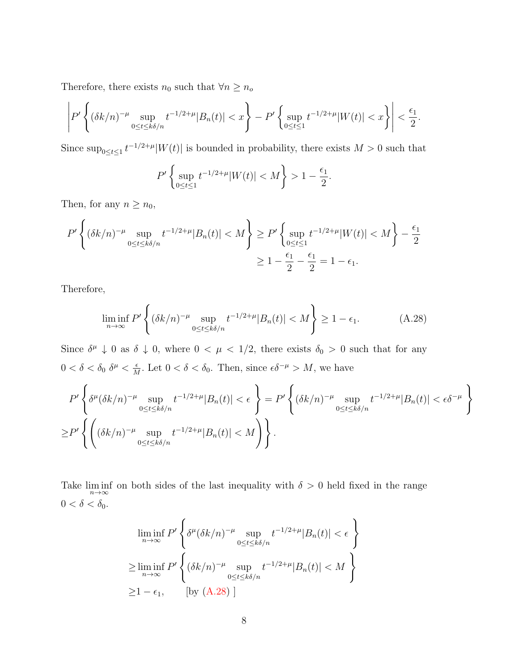Therefore, there exists  $n_0$  such that  $\forall n \geq n_0$ 

$$
\left| P' \left\{ (\delta k/n)^{-\mu} \sup_{0 \le t \le k\delta/n} t^{-1/2+\mu} |B_n(t)| < x \right\} - P' \left\{ \sup_{0 \le t \le 1} t^{-1/2+\mu} |W(t)| < x \right\} \right| < \frac{\epsilon_1}{2}.
$$

Since  $\sup_{0\leq t\leq 1} t^{-1/2+\mu}|W(t)|$  is bounded in probability, there exists  $M>0$  such that

$$
P'\left\{\sup_{0\leq t\leq 1}t^{-1/2+\mu}|W(t)| < M\right\} > 1 - \frac{\epsilon_1}{2}.
$$

Then, for any  $n \geq n_0$ ,

$$
P'\left\{ (\delta k/n)^{-\mu} \sup_{0 \le t \le k\delta/n} t^{-1/2+\mu} |B_n(t)| < M \right\} \ge P'\left\{ \sup_{0 \le t \le 1} t^{-1/2+\mu} |W(t)| < M \right\} - \frac{\epsilon_1}{2}
$$
\n
$$
\ge 1 - \frac{\epsilon_1}{2} - \frac{\epsilon_1}{2} = 1 - \epsilon_1.
$$

Therefore,

<span id="page-23-0"></span>
$$
\liminf_{n \to \infty} P' \left\{ (\delta k/n)^{-\mu} \sup_{0 \le t \le k\delta/n} t^{-1/2 + \mu} |B_n(t)| < M \right\} \ge 1 - \epsilon_1. \tag{A.28}
$$

Since  $\delta^{\mu} \downarrow 0$  as  $\delta \downarrow 0$ , where  $0 < \mu < 1/2$ , there exists  $\delta_0 > 0$  such that for any  $0 < \delta < \delta_0 \, \delta^{\mu} < \frac{\epsilon}{M}$  $\frac{\epsilon}{M}$ . Let  $0 < \delta < \delta_0$ . Then, since  $\epsilon \delta^{-\mu} > M$ , we have

$$
P'\left\{\delta^{\mu}(\delta k/n)^{-\mu}\sup_{0\leq t\leq k\delta/n}t^{-1/2+\mu}|B_n(t)|<\epsilon\right\}=P'\left\{(\delta k/n)^{-\mu}\sup_{0\leq t\leq k\delta/n}t^{-1/2+\mu}|B_n(t)|<\epsilon\delta^{-\mu}\right\}
$$

$$
\geq P'\left\{\left((\delta k/n)^{-\mu}\sup_{0\leq t\leq k\delta/n}t^{-1/2+\mu}|B_n(t)|
$$

Take  $\liminf_{n\to\infty}$  on both sides of the last inequality with  $\delta > 0$  held fixed in the range  $0 < \delta < \delta_0$ .

$$
\liminf_{n \to \infty} P' \left\{ \delta^{\mu} (\delta k/n)^{-\mu} \sup_{0 \le t \le k\delta/n} t^{-1/2 + \mu} |B_n(t)| < \epsilon \right\}
$$
  
\n
$$
\ge \liminf_{n \to \infty} P' \left\{ (\delta k/n)^{-\mu} \sup_{0 \le t \le k\delta/n} t^{-1/2 + \mu} |B_n(t)| < M \right\}
$$
  
\n
$$
\ge 1 - \epsilon_1, \qquad \text{[by (A.28)]}
$$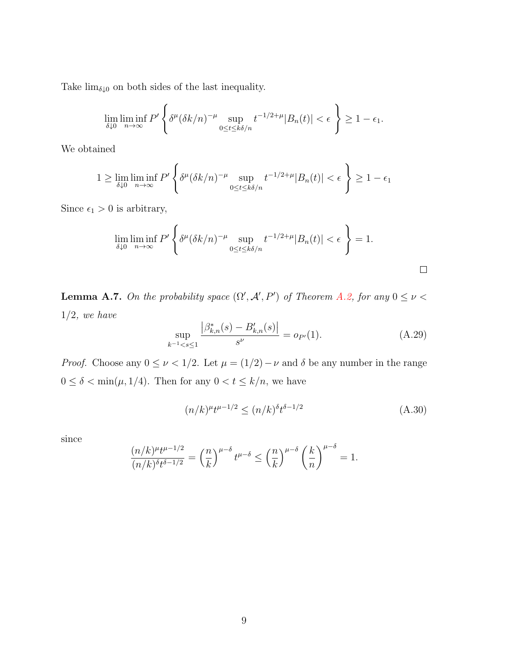Take  $\lim_{\delta \downarrow 0}$  on both sides of the last inequality.

$$
\lim_{\delta \downarrow 0} \liminf_{n \to \infty} P' \left\{ \delta^{\mu} (\delta k/n)^{-\mu} \sup_{0 \le t \le k\delta/n} t^{-1/2 + \mu} |B_n(t)| < \epsilon \right\} \ge 1 - \epsilon_1.
$$

We obtained

$$
1 \geq \lim_{\delta \downarrow 0} \liminf_{n \to \infty} P' \left\{ \delta^{\mu} (\delta k/n)^{-\mu} \sup_{0 \leq t \leq k\delta/n} t^{-1/2+\mu} |B_n(t)| < \epsilon \right\} \geq 1 - \epsilon_1
$$

Since  $\epsilon_1 > 0$  is arbitrary,

$$
\lim_{\delta \downarrow 0} \liminf_{n \to \infty} P' \left\{ \delta^{\mu} (\delta k/n)^{-\mu} \sup_{0 \le t \le k\delta/n} t^{-1/2 + \mu} |B_n(t)| < \epsilon \right\} = 1.
$$

<span id="page-24-2"></span>**Lemma A.7.** On the probability space  $(\Omega', \mathcal{A}', P')$  of Theorem [A.2,](#page-18-1) for any  $0 \leq \nu <$  $1/2$ , we have

<span id="page-24-1"></span>
$$
\sup_{k^{-1} < s \le 1} \frac{\left| \beta_{k,n}^*(s) - B_{k,n}'(s) \right|}{s^\nu} = o_{P'}(1). \tag{A.29}
$$

*Proof.* Choose any  $0 \leq \nu < 1/2$ . Let  $\mu = (1/2) - \nu$  and  $\delta$  be any number in the range  $0 \le \delta < \min(\mu, 1/4)$ . Then for any  $0 < t \le k/n$ , we have

<span id="page-24-0"></span>
$$
(n/k)^{\mu}t^{\mu-1/2} \le (n/k)^{\delta}t^{\delta-1/2}
$$
\n(A.30)

since

$$
\frac{(n/k)^{\mu}t^{\mu-1/2}}{(n/k)^{\delta}t^{\delta-1/2}} = \left(\frac{n}{k}\right)^{\mu-\delta}t^{\mu-\delta} \le \left(\frac{n}{k}\right)^{\mu-\delta}\left(\frac{k}{n}\right)^{\mu-\delta} = 1.
$$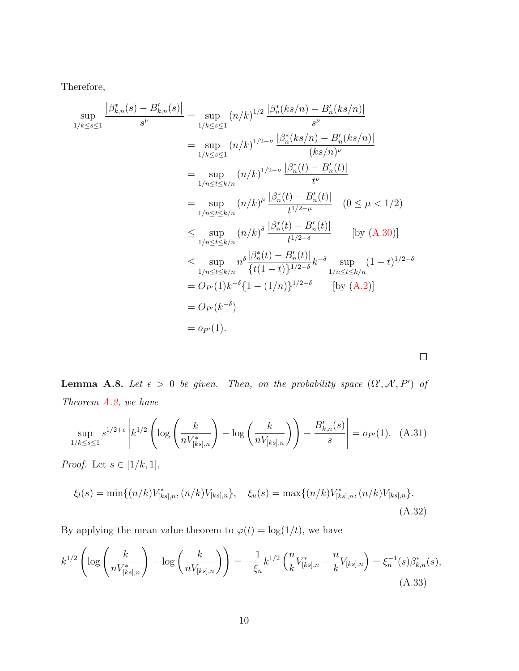Therefore,

$$
\sup_{1/k \le s \le 1} \frac{|\beta_{k,n}^*(s) - B_{k,n}'(s)|}{s^{\nu}} = \sup_{1/k \le s \le 1} (n/k)^{1/2} \frac{|\beta_n^*(ks/n) - B_n'(ks/n)|}{s^{\nu}}
$$
  
\n
$$
= \sup_{1/k \le s \le 1} (n/k)^{1/2 - \nu} \frac{|\beta_n^*(ks/n) - B_n'(ks/n)|}{(ks/n)^{\nu}}
$$
  
\n
$$
= \sup_{1/n \le t \le k/n} (n/k)^{1/2 - \nu} \frac{|\beta_n^*(t) - B_n'(t)|}{t^{\nu}}
$$
  
\n
$$
= \sup_{1/n \le t \le k/n} (n/k)^{\mu} \frac{|\beta_n^*(t) - B_n'(t)|}{t^{1/2 - \mu}} \quad (0 \le \mu < 1/2)
$$
  
\n
$$
\le \sup_{1/n \le t \le k/n} (n/k)^{\delta} \frac{|\beta_n^*(t) - B_n'(t)|}{t^{1/2 - \delta}} \quad \text{[by (A.30)]}
$$
  
\n
$$
\le \sup_{1/n \le t \le k/n} n^{\delta} \frac{|\beta_n^*(t) - B_n'(t)|}{\{t(1-t)\}^{1/2 - \delta}} k^{-\delta} \sup_{1/n \le t \le k/n} (1-t)^{1/2 - \delta}
$$
  
\n
$$
= O_{P'}(1)k^{-\delta} \{1 - (1/n)\}^{1/2 - \delta} \quad \text{[by (A.2)]}
$$
  
\n
$$
= O_{P'}(1).
$$

<span id="page-25-1"></span>**Lemma A.8.** Let  $\epsilon > 0$  be given. Then, on the probability space  $(\Omega', \mathcal{A}', P')$  of Theorem [A.2,](#page-18-1) we have

<span id="page-25-3"></span>
$$
\sup_{1/k \le s \le 1} s^{1/2 + \epsilon} \left| k^{1/2} \left( \log \left( \frac{k}{n V_{[ks],n}^*} \right) - \log \left( \frac{k}{n V_{[ks],n}} \right) \right) - \frac{B'_{k,n}(s)}{s} \right| = o_{P'}(1). \tag{A.31}
$$

 $\Box$ 

*Proof.* Let  $s \in [1/k, 1]$ ,

<span id="page-25-2"></span>
$$
\xi_l(s) = \min\{(n/k)V^*_{[ks],n}, (n/k)V_{[ks],n}\}, \quad \xi_u(s) = \max\{(n/k)V^*_{[ks],n}, (n/k)V_{[ks],n}\}.
$$
\n(A.32)

By applying the mean value theorem to  $\varphi(t) = \log(1/t)$ , we have

<span id="page-25-0"></span>
$$
k^{1/2} \left( \log \left( \frac{k}{n V_{[ks],n}^*} \right) - \log \left( \frac{k}{n V_{[ks],n}} \right) \right) = -\frac{1}{\xi_n} k^{1/2} \left( \frac{n}{k} V_{[ks],n}^* - \frac{n}{k} V_{[ks],n} \right) = \xi_n^{-1}(s) \beta_{k,n}^*(s),
$$
\n(A.33)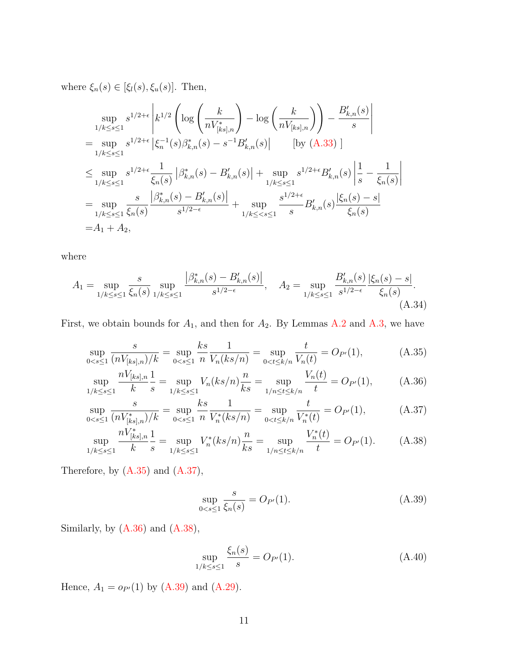where  $\xi_n(s) \in [\xi_l(s), \xi_u(s)]$ . Then,

$$
\sup_{1/k \le s \le 1} s^{1/2 + \epsilon} \left| k^{1/2} \left( \log \left( \frac{k}{n V_{[ks],n}^*} \right) - \log \left( \frac{k}{n V_{[ks],n}} \right) \right) - \frac{B'_{k,n}(s)}{s} \right|
$$
  
\n
$$
= \sup_{1/k \le s \le 1} s^{1/2 + \epsilon} \left| \xi_n^{-1}(s) \beta_{k,n}^*(s) - s^{-1} B'_{k,n}(s) \right| \qquad \text{[by (A.33)]}
$$
  
\n
$$
\le \sup_{1/k \le s \le 1} s^{1/2 + \epsilon} \frac{1}{\xi_n(s)} \left| \beta_{k,n}^*(s) - B'_{k,n}(s) \right| + \sup_{1/k \le s \le 1} s^{1/2 + \epsilon} B'_{k,n}(s) \left| \frac{1}{s} - \frac{1}{\xi_n(s)} \right|
$$
  
\n
$$
= \sup_{1/k \le s \le 1} \frac{s}{\xi_n(s)} \frac{\left| \beta_{k,n}^*(s) - B'_{k,n}(s) \right|}{s^{1/2 - \epsilon}} + \sup_{1/k \le s \le 1} \frac{s^{1/2 + \epsilon}}{s} B'_{k,n}(s) \frac{\left| \xi_n(s) - s \right|}{\xi_n(s)}
$$
  
\n
$$
= A_1 + A_2,
$$

where

<span id="page-26-5"></span>
$$
A_1 = \sup_{1/k \le s \le 1} \frac{s}{\xi_n(s)} \sup_{1/k \le s \le 1} \frac{\left|\beta_{k,n}^*(s) - B_{k,n}'(s)\right|}{s^{1/2 - \epsilon}}, \quad A_2 = \sup_{1/k \le s \le 1} \frac{B_{k,n}'(s)}{s^{1/2 - \epsilon}} \frac{\left|\xi_n(s) - s\right|}{\xi_n(s)}.
$$
\n(A.34)

First, we obtain bounds for  $A_1$ , and then for  $A_2$ . By Lemmas [A.2](#page-19-2) and [A.3,](#page-20-2) we have

$$
\sup_{0 < s \le 1} \frac{s}{(nV_{[ks],n})/k} = \sup_{0 < s \le 1} \frac{ks}{n} \frac{1}{V_n(ks/n)} = \sup_{0 < t \le k/n} \frac{t}{V_n(t)} = O_{P'}(1),\tag{A.35}
$$

$$
\sup_{1/k \le s \le 1} \frac{nV_{[ks],n}}{k} \frac{1}{s} = \sup_{1/k \le s \le 1} V_n(ks/n) \frac{n}{ks} = \sup_{1/n \le t \le k/n} \frac{V_n(t)}{t} = O_{P'}(1), \tag{A.36}
$$

$$
\sup_{0 < s \le 1} \frac{s}{(nV_{[ks],n}^*)/k} = \sup_{0 < s \le 1} \frac{ks}{n} \frac{1}{V_n^*(ks/n)} = \sup_{0 < t \le k/n} \frac{t}{V_n^*(t)} = O_{P'}(1),\tag{A.37}
$$

$$
\sup_{1/k \le s \le 1} \frac{nV_{[ks],n}^*}{k} \frac{1}{s} = \sup_{1/k \le s \le 1} V_n^*(ks/n) \frac{n}{ks} = \sup_{1/n \le t \le k/n} \frac{V_n^*(t)}{t} = O_{P'}(1). \tag{A.38}
$$

Therefore, by [\(A.35\)](#page-26-0) and [\(A.37\)](#page-26-1),

<span id="page-26-4"></span><span id="page-26-3"></span><span id="page-26-2"></span><span id="page-26-1"></span><span id="page-26-0"></span>
$$
\sup_{0 < s \le 1} \frac{s}{\xi_n(s)} = O_{P'}(1). \tag{A.39}
$$

Similarly, by [\(A.36\)](#page-26-2) and [\(A.38\)](#page-26-3),

<span id="page-26-6"></span>
$$
\sup_{1/k \le s \le 1} \frac{\xi_n(s)}{s} = O_{P'}(1). \tag{A.40}
$$

Hence,  $A_1 = o_{P'}(1)$  by [\(A.39\)](#page-26-4) and [\(A.29\)](#page-24-1).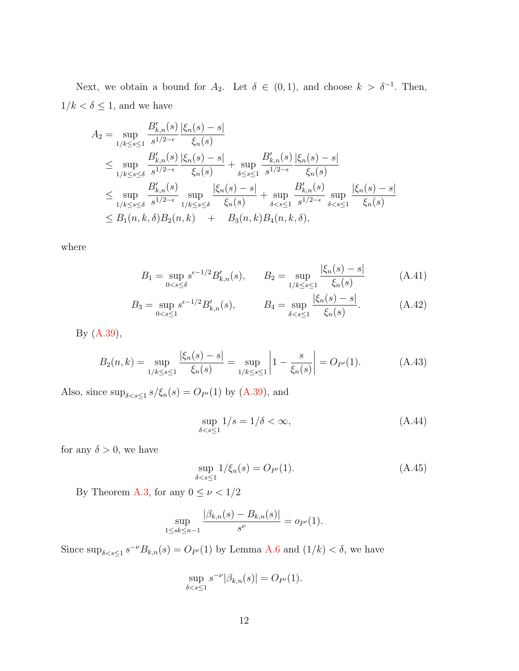Next, we obtain a bound for  $A_2$ . Let  $\delta \in (0,1)$ , and choose  $k > \delta^{-1}$ . Then,  $1/k < \delta \leq 1,$  and we have

$$
A_{2} = \sup_{1/k \le s \le 1} \frac{B'_{k,n}(s)}{s^{1/2-\epsilon}} \frac{|\xi_{n}(s) - s|}{\xi_{n}(s)}
$$
  
\n
$$
\le \sup_{1/k \le s \le \delta} \frac{B'_{k,n}(s)}{s^{1/2-\epsilon}} \frac{|\xi_{n}(s) - s|}{\xi_{n}(s)} + \sup_{\delta \le s \le 1} \frac{B'_{k,n}(s)}{s^{1/2-\epsilon}} \frac{|\xi_{n}(s) - s|}{\xi_{n}(s)}
$$
  
\n
$$
\le \sup_{1/k \le s \le \delta} \frac{B'_{k,n}(s)}{s^{1/2-\epsilon}} \sup_{1/k \le s \le \delta} \frac{|\xi_{n}(s) - s|}{\xi_{n}(s)} + \sup_{\delta < s \le 1} \frac{B'_{k,n}(s)}{s^{1/2-\epsilon}} \sup_{\delta < s \le 1} \frac{|\xi_{n}(s) - s|}{\xi_{n}(s)}
$$
  
\n
$$
\le B_{1}(n, k, \delta) B_{2}(n, k) + B_{3}(n, k) B_{4}(n, k, \delta),
$$

where

$$
B_1 = \sup_{0 < s \le \delta} s^{\epsilon - 1/2} B'_{k,n}(s), \qquad B_2 = \sup_{1/k \le s \le 1} \frac{|\xi_n(s) - s|}{\xi_n(s)} \tag{A.41}
$$

$$
B_3 = \sup_{0 < s \le 1} s^{\epsilon - 1/2} B'_{k,n}(s), \qquad B_4 = \sup_{\delta < s \le 1} \frac{|\xi_n(s) - s|}{\xi_n(s)}.\tag{A.42}
$$

By [\(A.39\)](#page-26-4),

<span id="page-27-1"></span>
$$
B_2(n,k) = \sup_{1/k \le s \le 1} \frac{|\xi_n(s) - s|}{\xi_n(s)} = \sup_{1/k \le s \le 1} \left| 1 - \frac{s}{\xi_n(s)} \right| = O_{P'}(1). \tag{A.43}
$$

Also, since  $\sup_{\delta \le s \le 1} s/\xi_n(s) = O_{P'}(1)$  by [\(A.39\)](#page-26-4), and

<span id="page-27-2"></span>
$$
\sup_{\delta < s \le 1} 1/s = 1/\delta < \infty,\tag{A.44}
$$

for any  $\delta > 0$ , we have

<span id="page-27-0"></span>
$$
\sup_{\delta < s \le 1} 1/\xi_n(s) = O_{P'}(1). \tag{A.45}
$$

By Theorem [A.3,](#page-19-3) for any  $0\leq \nu < 1/2$ 

$$
\sup_{1 \le sk \le n-1} \frac{|\beta_{k,n}(s) - B_{k,n}(s)|}{s^{\nu}} = o_{P'}(1).
$$

Since  $\sup_{\delta < s \leq 1} s^{-\nu} B_{k,n}(s) = O_{P'}(1)$  by Lemma [A.6](#page-22-1) and  $(1/k) < \delta$ , we have

$$
\sup_{\delta < s \le 1} s^{-\nu} |\beta_{k,n}(s)| = O_{P'}(1).
$$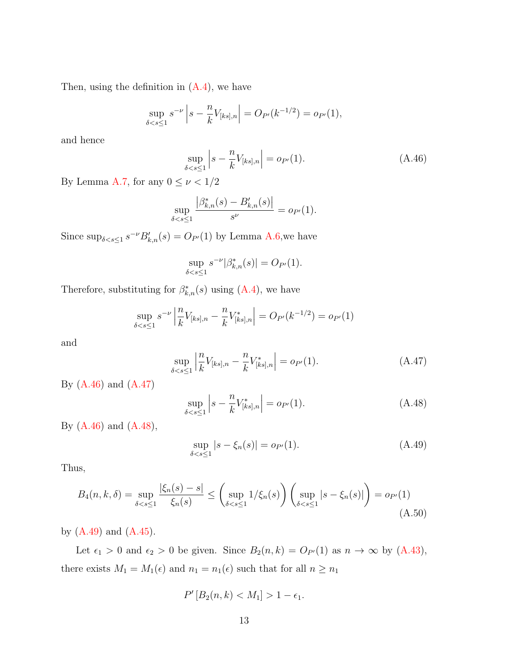Then, using the definition in  $(A.4)$ , we have

$$
\sup_{\delta < s \le 1} s^{-\nu} \left| s - \frac{n}{k} V_{[ks], n} \right| = O_{P'}(k^{-1/2}) = o_{P'}(1),
$$

and hence

<span id="page-28-0"></span>
$$
\sup_{\delta < s \le 1} \left| s - \frac{n}{k} V_{[ks], n} \right| = o_{P'}(1). \tag{A.46}
$$

By Lemma [A.7,](#page-24-2) for any  $0\leq \nu < 1/2$ 

$$
\sup_{\delta < s \le 1} \frac{\left| \beta_{k,n}^*(s) - B_{k,n}'(s) \right|}{s^{\nu}} = o_{P'}(1).
$$

Since  $\sup_{\delta \leq s \leq 1} s^{-\nu} B'_{k,n}(s) = O_{P'}(1)$  by Lemma [A.6,](#page-22-1) we have

$$
\sup_{\delta < s \le 1} s^{-\nu} |\beta^*_{k,n}(s)| = O_{P'}(1).
$$

Therefore, substituting for  $\beta^*_{k,n}(s)$  using  $(A.4)$ , we have

$$
\sup_{\delta < s \le 1} s^{-\nu} \left| \frac{n}{k} V_{[ks], n} - \frac{n}{k} V_{[ks], n}^* \right| = O_{P'}(k^{-1/2}) = o_{P'}(1)
$$

and

<span id="page-28-1"></span>
$$
\sup_{\delta < s \le 1} \left| \frac{n}{k} V_{[ks], n} - \frac{n}{k} V_{[ks], n}^* \right| = o_{P'}(1). \tag{A.47}
$$

By [\(A.46\)](#page-28-0) and [\(A.47\)](#page-28-1)

<span id="page-28-2"></span>
$$
\sup_{\delta < s \le 1} \left| s - \frac{n}{k} V_{[ks], n}^* \right| = o_{P'}(1). \tag{A.48}
$$

By [\(A.46\)](#page-28-0) and [\(A.48\)](#page-28-2),

<span id="page-28-3"></span>
$$
\sup_{\delta < s \le 1} |s - \xi_n(s)| = o_{P'}(1). \tag{A.49}
$$

Thus,

<span id="page-28-4"></span>
$$
B_4(n,k,\delta) = \sup_{\delta < s \le 1} \frac{|\xi_n(s) - s|}{\xi_n(s)} \le \left( \sup_{\delta < s \le 1} 1/\xi_n(s) \right) \left( \sup_{\delta < s \le 1} |s - \xi_n(s)| \right) = o_{P'}(1) \tag{A.50}
$$

by  $(A.49)$  and  $(A.45)$ .

Let  $\epsilon_1 > 0$  and  $\epsilon_2 > 0$  be given. Since  $B_2(n, k) = O_{P'}(1)$  as  $n \to \infty$  by [\(A.43\)](#page-27-1), there exists  $M_1 = M_1(\epsilon)$  and  $n_1 = n_1(\epsilon)$  such that for all  $n \geq n_1$ 

$$
P'[B_2(n,k) < M_1] > 1 - \epsilon_1.
$$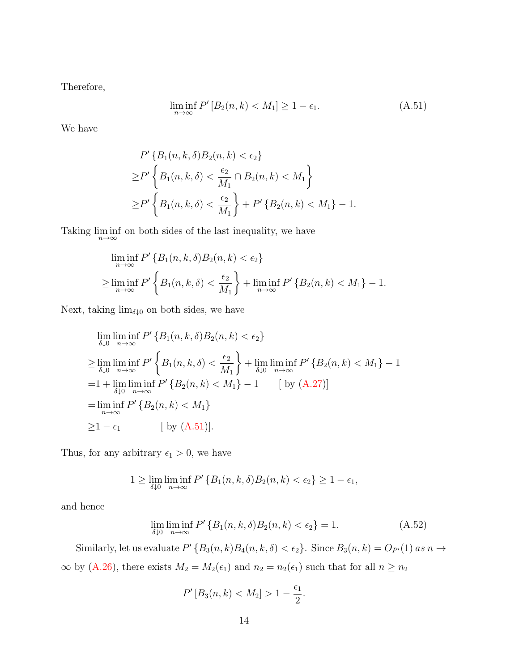Therefore,

<span id="page-29-0"></span>
$$
\liminf_{n \to \infty} P'[B_2(n, k) < M_1] \ge 1 - \epsilon_1. \tag{A.51}
$$

We have

$$
P'\{B_1(n, k, \delta)B_2(n, k) < \epsilon_2\}
$$
\n
$$
\geq P'\left\{B_1(n, k, \delta) < \frac{\epsilon_2}{M_1} \cap B_2(n, k) < M_1\right\}
$$
\n
$$
\geq P'\left\{B_1(n, k, \delta) < \frac{\epsilon_2}{M_1}\right\} + P'\{B_2(n, k) < M_1\} - 1.
$$

Taking  $\liminf_{n\to\infty}$  on both sides of the last inequality, we have

$$
\liminf_{n \to \infty} P' \left\{ B_1(n, k, \delta) B_2(n, k) < \epsilon_2 \right\}
$$
\n
$$
\geq \liminf_{n \to \infty} P' \left\{ B_1(n, k, \delta) < \frac{\epsilon_2}{M_1} \right\} + \liminf_{n \to \infty} P' \left\{ B_2(n, k) < M_1 \right\} - 1.
$$

Next, taking  $\lim_{\delta \downarrow 0}$  on both sides, we have

$$
\lim_{\delta \downarrow 0} \lim_{n \to \infty} P' \{ B_1(n, k, \delta) B_2(n, k) < \epsilon_2 \}
$$
\n
$$
\geq \lim_{\delta \downarrow 0} \lim_{n \to \infty} P' \left\{ B_1(n, k, \delta) < \frac{\epsilon_2}{M_1} \right\} + \lim_{\delta \downarrow 0} \lim_{n \to \infty} P' \{ B_2(n, k) < M_1 \} - 1
$$
\n
$$
= 1 + \lim_{\delta \downarrow 0} \lim_{n \to \infty} P' \{ B_2(n, k) < M_1 \} - 1 \qquad \text{[ by (A.27)]}
$$
\n
$$
= \lim_{n \to \infty} \inf_{P'} P' \{ B_2(n, k) < M_1 \}
$$
\n
$$
\geq 1 - \epsilon_1 \qquad \text{[ by (A.51)].}
$$

Thus, for any arbitrary  $\epsilon_1 > 0$ , we have

$$
1 \geq \lim_{\delta \downarrow 0} \liminf_{n \to \infty} P' \{ B_1(n, k, \delta) B_2(n, k) < \epsilon_2 \} \geq 1 - \epsilon_1,
$$

and hence

<span id="page-29-1"></span>
$$
\lim_{\delta \downarrow 0} \liminf_{n \to \infty} P' \{ B_1(n, k, \delta) B_2(n, k) < \epsilon_2 \} = 1. \tag{A.52}
$$

Similarly, let us evaluate  $P'$  { $B_3(n, k)B_4(n, k, \delta) < \epsilon_2$ }. Since  $B_3(n, k) = O_{P'}(1)$  as  $n \to$  $\infty$  by [\(A.26\)](#page-22-0), there exists  $M_2 = M_2(\epsilon_1)$  and  $n_2 = n_2(\epsilon_1)$  such that for all  $n \ge n_2$ 

$$
P'[B_3(n,k) < M_2] > 1 - \frac{\epsilon_1}{2}.
$$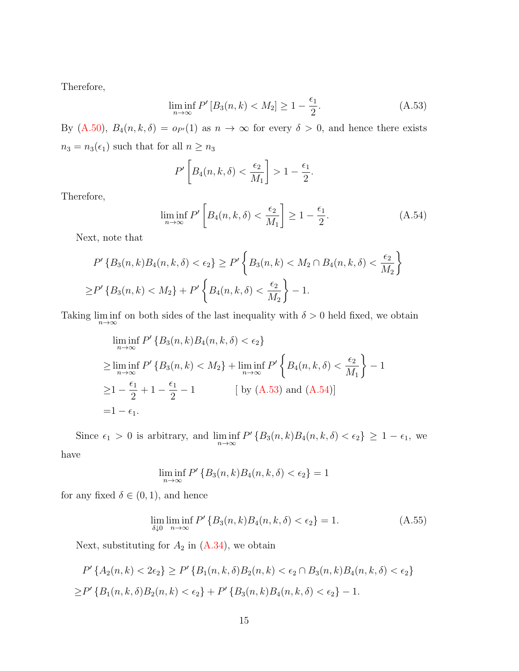Therefore,

<span id="page-30-0"></span>
$$
\liminf_{n \to \infty} P'[B_3(n, k) < M_2] \ge 1 - \frac{\epsilon_1}{2}.\tag{A.53}
$$

By [\(A.50\)](#page-28-4),  $B_4(n, k, \delta) = o_{P'}(1)$  as  $n \to \infty$  for every  $\delta > 0$ , and hence there exists  $n_3 = n_3(\epsilon_1)$  such that for all  $n \geq n_3$ 

$$
P'\left[B_4(n,k,\delta) < \frac{\epsilon_2}{M_1}\right] > 1 - \frac{\epsilon_1}{2}.
$$

Therefore,

<span id="page-30-1"></span>
$$
\liminf_{n \to \infty} P' \left[ B_4(n, k, \delta) < \frac{\epsilon_2}{M_1} \right] \ge 1 - \frac{\epsilon_1}{2}.\tag{A.54}
$$

Next, note that

$$
P'\left\{B_3(n,k)B_4(n,k,\delta) < \epsilon_2\right\} \ge P'\left\{B_3(n,k) < M_2 \cap B_4(n,k,\delta) < \frac{\epsilon_2}{M_2}\right\}
$$
\n
$$
\ge P'\left\{B_3(n,k) < M_2\right\} + P'\left\{B_4(n,k,\delta) < \frac{\epsilon_2}{M_2}\right\} - 1.
$$

Taking  $\liminf_{n\to\infty}$  on both sides of the last inequality with  $\delta > 0$  held fixed, we obtain

$$
\liminf_{n \to \infty} P' \{ B_3(n, k) B_4(n, k, \delta) < \epsilon_2 \}
$$
\n
$$
\geq \liminf_{n \to \infty} P' \{ B_3(n, k) < M_2 \} + \liminf_{n \to \infty} P' \left\{ B_4(n, k, \delta) < \frac{\epsilon_2}{M_1} \right\} - 1
$$
\n
$$
\geq 1 - \frac{\epsilon_1}{2} + 1 - \frac{\epsilon_1}{2} - 1 \qquad \text{[by (A.53) and (A.54)]}
$$
\n
$$
= 1 - \epsilon_1.
$$

Since  $\epsilon_1 > 0$  is arbitrary, and  $\liminf_{n \to \infty} P' \{B_3(n,k)B_4(n,k,\delta) < \epsilon_2\} \ge 1 - \epsilon_1$ , we

have

$$
\liminf_{n \to \infty} P' \{ B_3(n,k) B_4(n,k,\delta) < \epsilon_2 \} = 1
$$

for any fixed  $\delta \in (0,1)$ , and hence

<span id="page-30-2"></span>
$$
\lim_{\delta \downarrow 0} \liminf_{n \to \infty} P' \left\{ B_3(n, k) B_4(n, k, \delta) < \epsilon_2 \right\} = 1. \tag{A.55}
$$

Next, substituting for  $A_2$  in  $(A.34)$ , we obtain

$$
P'\{A_2(n,k) < 2\epsilon_2\} \ge P'\{B_1(n,k,\delta)B_2(n,k) < \epsilon_2 \cap B_3(n,k)B_4(n,k,\delta) < \epsilon_2\}
$$
\n
$$
\ge P'\{B_1(n,k,\delta)B_2(n,k) < \epsilon_2\} + P'\{B_3(n,k)B_4(n,k,\delta) < \epsilon_2\} - 1.
$$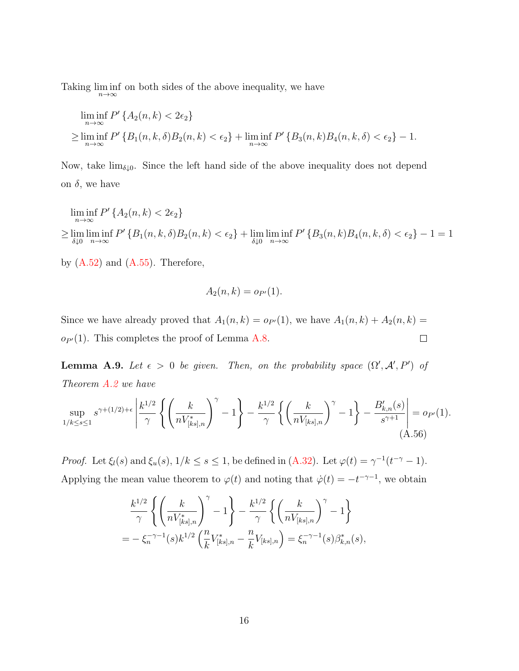Taking  $\liminf_{n\to\infty}$  on both sides of the above inequality, we have

$$
\liminf_{n \to \infty} P' \{ A_2(n, k) < 2\epsilon_2 \}
$$
\n
$$
\geq \liminf_{n \to \infty} P' \{ B_1(n, k, \delta) B_2(n, k) < \epsilon_2 \} + \liminf_{n \to \infty} P' \{ B_3(n, k) B_4(n, k, \delta) < \epsilon_2 \} - 1.
$$

Now, take  $\lim_{\delta \downarrow 0}$ . Since the left hand side of the above inequality does not depend on  $\delta$ , we have

$$
\liminf_{n \to \infty} P' \{ A_2(n, k) < 2\epsilon_2 \}
$$
\n
$$
\geq \lim_{\delta \downarrow 0} \liminf_{n \to \infty} P' \{ B_1(n, k, \delta) B_2(n, k) < \epsilon_2 \} + \lim_{\delta \downarrow 0} \liminf_{n \to \infty} P' \{ B_3(n, k) B_4(n, k, \delta) < \epsilon_2 \} - 1 = 1
$$

by  $(A.52)$  and  $(A.55)$ . Therefore,

$$
A_2(n,k) = o_{P'}(1).
$$

Since we have already proved that  $A_1(n, k) = o_{P'}(1)$ , we have  $A_1(n, k) + A_2(n, k) =$  $\Box$  $o_{P'}(1)$ . This completes the proof of Lemma [A.8.](#page-25-1)

**Lemma A.9.** Let  $\epsilon > 0$  be given. Then, on the probability space  $(\Omega', \mathcal{A}', P')$  of Theorem [A.2](#page-18-1) we have

<span id="page-31-0"></span>
$$
\sup_{1/k \le s \le 1} s^{\gamma + (1/2) + \epsilon} \left| \frac{k^{1/2}}{\gamma} \left\{ \left( \frac{k}{n V_{[ks],n}^*} \right)^{\gamma} - 1 \right\} - \frac{k^{1/2}}{\gamma} \left\{ \left( \frac{k}{n V_{[ks],n}} \right)^{\gamma} - 1 \right\} - \frac{B'_{k,n}(s)}{s^{\gamma+1}} \right| = o_{P'}(1).
$$
\n(A.56)

*Proof.* Let  $\xi_l(s)$  and  $\xi_u(s)$ ,  $1/k \le s \le 1$ , be defined in  $(A.32)$ . Let  $\varphi(t) = \gamma^{-1}(t^{-\gamma} - 1)$ . Applying the mean value theorem to  $\varphi(t)$  and noting that  $\dot{\varphi}(t) = -t^{-\gamma-1}$ , we obtain

$$
\frac{k^{1/2}}{\gamma} \left\{ \left( \frac{k}{n V_{[ks],n}^*} \right)^{\gamma} - 1 \right\} - \frac{k^{1/2}}{\gamma} \left\{ \left( \frac{k}{n V_{[ks],n}} \right)^{\gamma} - 1 \right\} \n= - \xi_n^{-\gamma - 1}(s) k^{1/2} \left( \frac{n}{k} V_{[ks],n}^* - \frac{n}{k} V_{[ks],n} \right) = \xi_n^{-\gamma - 1}(s) \beta_{k,n}^*(s),
$$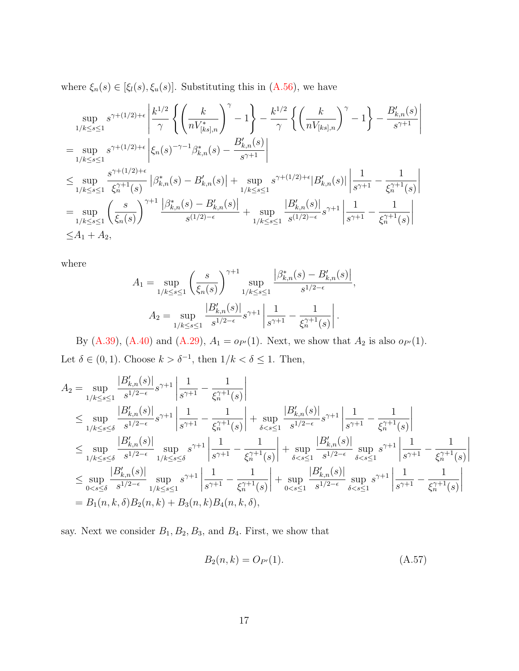where  $\xi_n(s) \in [\xi_l(s), \xi_u(s)]$ . Substituting this in [\(A.56\)](#page-31-0), we have

$$
\sup_{1/k \le s \le 1} s^{\gamma + (1/2) + \epsilon} \left| \frac{k^{1/2}}{\gamma} \left\{ \left( \frac{k}{n V_{[ks],n}^*} \right)^{\gamma} - 1 \right\} - \frac{k^{1/2}}{\gamma} \left\{ \left( \frac{k}{n V_{[ks],n}} \right)^{\gamma} - 1 \right\} - \frac{B'_{k,n}(s)}{s^{\gamma + 1}} \right\} \n= \sup_{1/k \le s \le 1} s^{\gamma + (1/2) + \epsilon} \left| \xi_n(s)^{-\gamma - 1} \beta_{k,n}^*(s) - \frac{B'_{k,n}(s)}{s^{\gamma + 1}} \right| \n\le \sup_{1/k \le s \le 1} \frac{s^{\gamma + (1/2) + \epsilon}}{\xi_n^{\gamma + 1}(s)} \left| \beta_{k,n}^*(s) - B'_{k,n}(s) \right| + \sup_{1/k \le s \le 1} s^{\gamma + (1/2) + \epsilon} |B'_{k,n}(s)| \left| \frac{1}{s^{\gamma + 1}} - \frac{1}{\xi_n^{\gamma + 1}(s)} \right| \n= \sup_{1/k \le s \le 1} \left( \frac{s}{\xi_n(s)} \right)^{\gamma + 1} \frac{\left| \beta_{k,n}^*(s) - B'_{k,n}(s) \right|}{s^{(1/2) - \epsilon}} + \sup_{1/k \le s \le 1} \frac{\left| B'_{k,n}(s) \right|}{s^{(1/2) - \epsilon}} s^{\gamma + 1} \left| \frac{1}{s^{\gamma + 1}} - \frac{1}{\xi_n^{\gamma + 1}(s)} \right| \n\le A_1 + A_2,
$$

where

$$
A_1 = \sup_{1/k \le s \le 1} \left( \frac{s}{\xi_n(s)} \right)^{\gamma+1} \sup_{1/k \le s \le 1} \frac{|\beta^*_{k,n}(s) - \beta'_{k,n}(s)|}{s^{1/2 - \epsilon}},
$$
  

$$
A_2 = \sup_{1/k \le s \le 1} \frac{|B'_{k,n}(s)|}{s^{1/2 - \epsilon}} s^{\gamma+1} \left| \frac{1}{s^{\gamma+1}} - \frac{1}{\xi_n^{\gamma+1}(s)} \right|.
$$

By [\(A.39\)](#page-26-4), [\(A.40\)](#page-26-6) and [\(A.29\)](#page-24-1),  $A_1 = o_{P'}(1)$ . Next, we show that  $A_2$  is also  $o_{P'}(1)$ . Let  $\delta \in (0,1)$ . Choose  $k > \delta^{-1}$ , then  $1/k < \delta \leq 1$ . Then,

$$
A_{2} = \sup_{1/k \leq s \leq 1} \frac{|B'_{k,n}(s)|}{s^{1/2 - \epsilon}} s^{\gamma + 1} \left| \frac{1}{s^{\gamma + 1}} - \frac{1}{\xi_{n}^{\gamma + 1}(s)} \right|
$$
  
\n
$$
\leq \sup_{1/k \leq s \leq \delta} \frac{|B'_{k,n}(s)|}{s^{1/2 - \epsilon}} s^{\gamma + 1} \left| \frac{1}{s^{\gamma + 1}} - \frac{1}{\xi_{n}^{\gamma + 1}(s)} \right| + \sup_{\delta < s \leq 1} \frac{|B'_{k,n}(s)|}{s^{1/2 - \epsilon}} s^{\gamma + 1} \left| \frac{1}{s^{\gamma + 1}} - \frac{1}{\xi_{n}^{\gamma + 1}(s)} \right|
$$
  
\n
$$
\leq \sup_{1/k \leq s \leq \delta} \frac{|B'_{k,n}(s)|}{s^{1/2 - \epsilon}} \sup_{1/k \leq s \leq \delta} s^{\gamma + 1} \left| \frac{1}{s^{\gamma + 1}} - \frac{1}{\xi_{n}^{\gamma + 1}(s)} \right| + \sup_{\delta < s \leq 1} \frac{|B'_{k,n}(s)|}{s^{1/2 - \epsilon}} \sup_{\delta < s \leq 1} s^{\gamma + 1} \left| \frac{1}{s^{\gamma + 1}} - \frac{1}{\xi_{n}^{\gamma + 1}(s)} \right|
$$
  
\n
$$
\leq \sup_{0 < s \leq \delta} \frac{|B'_{k,n}(s)|}{s^{1/2 - \epsilon}} \sup_{1/k \leq s \leq 1} s^{\gamma + 1} \left| \frac{1}{s^{\gamma + 1}} - \frac{1}{\xi_{n}^{\gamma + 1}(s)} \right| + \sup_{0 < s \leq 1} \frac{|B'_{k,n}(s)|}{s^{1/2 - \epsilon}} \sup_{\delta < s \leq 1} s^{\gamma + 1} \left| \frac{1}{s^{\gamma + 1}} - \frac{1}{\xi_{n}^{\gamma + 1}(s)} \right|
$$
  
\n
$$
= B_{1}(n, k, \delta) B_{2}(n, k) + B_{3}(n, k) B_{4}(n, k, \delta),
$$

say. Next we consider  $B_1, B_2, B_3$ , and  $B_4$ . First, we show that

<span id="page-32-0"></span>
$$
B_2(n,k) = O_{P'}(1). \tag{A.57}
$$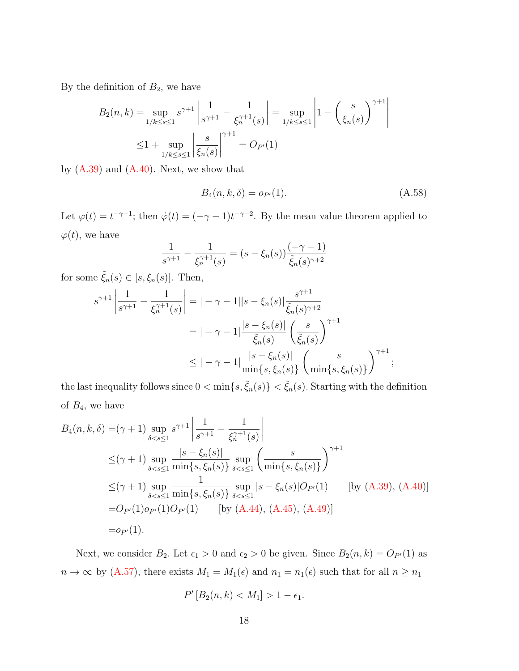By the definition of  $B_2$ , we have

$$
B_2(n,k) = \sup_{1/k \le s \le 1} s^{\gamma+1} \left| \frac{1}{s^{\gamma+1}} - \frac{1}{\xi_n^{\gamma+1}(s)} \right| = \sup_{1/k \le s \le 1} \left| 1 - \left( \frac{s}{\xi_n(s)} \right)^{\gamma+1} \right|
$$
  

$$
\le 1 + \sup_{1/k \le s \le 1} \left| \frac{s}{\xi_n(s)} \right|^{\gamma+1} = O_{P'}(1)
$$

by  $(A.39)$  and  $(A.40)$ . Next, we show that

<span id="page-33-0"></span>
$$
B_4(n, k, \delta) = o_{P'}(1). \tag{A.58}
$$

Let  $\varphi(t) = t^{-\gamma-1}$ ; then  $\dot{\varphi}(t) = (-\gamma - 1)t^{-\gamma-2}$ . By the mean value theorem applied to  $\varphi(t)$ , we have

$$
\frac{1}{s^{\gamma+1}} - \frac{1}{\xi_n^{\gamma+1}(s)} = (s - \xi_n(s)) \frac{(-\gamma - 1)}{\tilde{\xi}_n(s)^{\gamma+2}}
$$

for some  $\tilde{\xi}_n(s) \in [s, \xi_n(s)]$ . Then,

$$
s^{\gamma+1} \left| \frac{1}{s^{\gamma+1}} - \frac{1}{\xi_n^{\gamma+1}(s)} \right| = |-\gamma - 1||s - \xi_n(s)| \frac{s^{\gamma+1}}{\tilde{\xi}_n(s)^{\gamma+2}} = |-\gamma - 1| \frac{|s - \xi_n(s)|}{\tilde{\xi}_n(s)} \left(\frac{s}{\tilde{\xi}_n(s)}\right)^{\gamma+1} \leq |-\gamma - 1| \frac{|s - \xi_n(s)|}{\min\{s, \xi_n(s)\}} \left(\frac{s}{\min\{s, \xi_n(s)\}}\right)^{\gamma+1};
$$

the last inequality follows since  $0 < \min\{s, \tilde{\xi}_n(s)\} < \tilde{\xi}_n(s)$ . Starting with the definition of  $B_4$ , we have

$$
B_{4}(n, k, \delta) = (\gamma + 1) \sup_{\delta < s \le 1} s^{\gamma + 1} \left| \frac{1}{s^{\gamma + 1}} - \frac{1}{\xi_n^{\gamma + 1}(s)} \right|
$$
  
\n
$$
\leq (\gamma + 1) \sup_{\delta < s \le 1} \frac{|s - \xi_n(s)|}{\min\{s, \xi_n(s)\}} \sup_{\delta < s \le 1} \left( \frac{s}{\min\{s, \xi_n(s)\}} \right)^{\gamma + 1}
$$
  
\n
$$
\leq (\gamma + 1) \sup_{\delta < s \le 1} \frac{1}{\min\{s, \xi_n(s)\}} \sup_{\delta < s \le 1} |s - \xi_n(s)| O_{P'}(1) \qquad [by (A.39), (A.40)]
$$
  
\n
$$
= O_{P'}(1) o_{P'}(1) O_{P'}(1) \qquad [by (A.44), (A.45), (A.49)]
$$
  
\n
$$
= o_{P'}(1).
$$

Next, we consider  $B_2$ . Let  $\epsilon_1 > 0$  and  $\epsilon_2 > 0$  be given. Since  $B_2(n, k) = O_{P'}(1)$  as  $n \to \infty$  by [\(A.57\)](#page-32-0), there exists  $M_1 = M_1(\epsilon)$  and  $n_1 = n_1(\epsilon)$  such that for all  $n \ge n_1$ 

$$
P'[B_2(n,k) < M_1] > 1 - \epsilon_1.
$$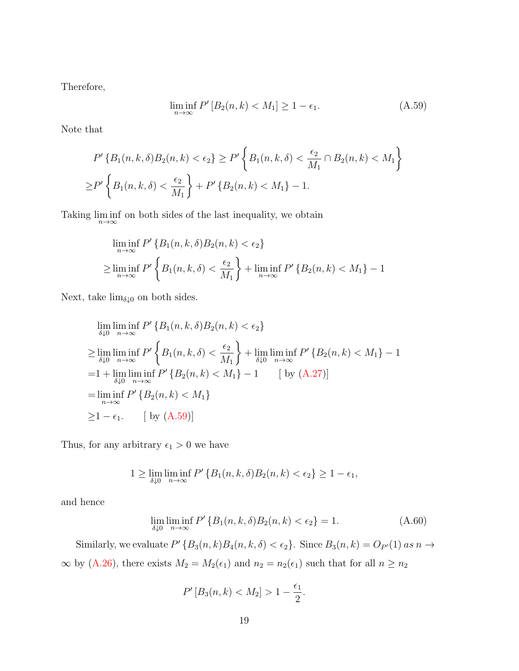Therefore,

<span id="page-34-0"></span>
$$
\liminf_{n \to \infty} P'[B_2(n, k) < M_1] \ge 1 - \epsilon_1. \tag{A.59}
$$

Note that

$$
P'\left\{B_1(n,k,\delta)B_2(n,k) < \epsilon_2\right\} \ge P'\left\{B_1(n,k,\delta) < \frac{\epsilon_2}{M_1} \cap B_2(n,k) < M_1\right\}
$$
\n
$$
\ge P'\left\{B_1(n,k,\delta) < \frac{\epsilon_2}{M_1}\right\} + P'\left\{B_2(n,k) < M_1\right\} - 1.
$$

Taking  $\liminf_{n\to\infty}$  on both sides of the last inequality, we obtain

$$
\liminf_{n \to \infty} P' \{B_1(n, k, \delta) B_2(n, k) < \epsilon_2\}
$$
\n
$$
\geq \liminf_{n \to \infty} P' \left\{ B_1(n, k, \delta) < \frac{\epsilon_2}{M_1} \right\} + \liminf_{n \to \infty} P' \{B_2(n, k) < M_1\} - 1
$$

Next, take  $\lim_{\delta \downarrow 0}$  on both sides.

$$
\lim_{\delta \downarrow 0} \lim_{n \to \infty} f' \{ B_1(n, k, \delta) B_2(n, k) < \epsilon_2 \}
$$
\n
$$
\geq \lim_{\delta \downarrow 0} \lim_{n \to \infty} f' \{ B_1(n, k, \delta) < \frac{\epsilon_2}{M_1} \} + \lim_{\delta \downarrow 0} \lim_{n \to \infty} f' \{ B_2(n, k) < M_1 \} - 1
$$
\n
$$
= 1 + \lim_{\delta \downarrow 0} \lim_{n \to \infty} f' \{ B_2(n, k) < M_1 \} - 1 \qquad \text{[ by (A.27)]}
$$
\n
$$
= \lim_{n \to \infty} f' \{ B_2(n, k) < M_1 \}
$$
\n
$$
\geq 1 - \epsilon_1. \qquad \text{[ by (A.59)]}
$$

Thus, for any arbitrary  $\epsilon_1 > 0$  we have

$$
1 \geq \lim_{\delta \downarrow 0} \liminf_{n \to \infty} P' \left\{ B_1(n, k, \delta) B_2(n, k) < \epsilon_2 \right\} \geq 1 - \epsilon_1,
$$

and hence

<span id="page-34-1"></span>
$$
\lim_{\delta \downarrow 0} \liminf_{n \to \infty} P' \{ B_1(n, k, \delta) B_2(n, k) < \epsilon_2 \} = 1. \tag{A.60}
$$

Similarly, we evaluate  $P'$  { $B_3(n,k)B_4(n,k,\delta) < \epsilon_2$ }. Since  $B_3(n,k) = O_{P'}(1)$  as  $n \to \infty$ ∞ by [\(A.26\)](#page-22-0), there exists  $M_2 = M_2(\epsilon_1)$  and  $n_2 = n_2(\epsilon_1)$  such that for all  $n \ge n_2$ 

$$
P'[B_3(n,k) < M_2] > 1 - \frac{\epsilon_1}{2}.
$$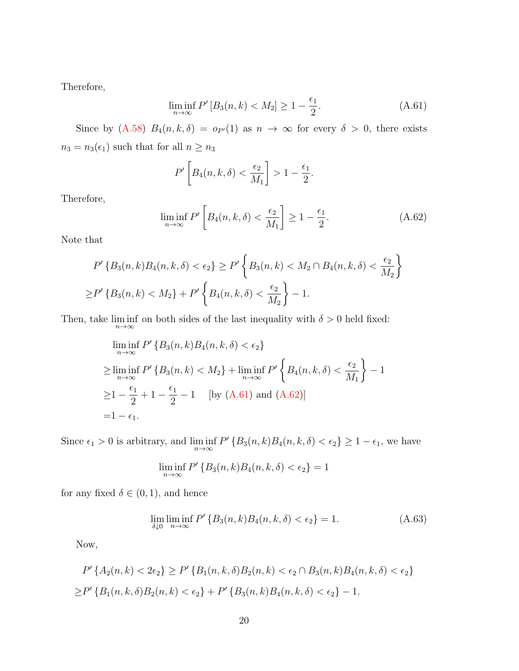Therefore,

<span id="page-35-0"></span>
$$
\liminf_{n \to \infty} P'[B_3(n, k) < M_2] \ge 1 - \frac{\epsilon_1}{2}.\tag{A.61}
$$

.

Since by [\(A.58\)](#page-33-0)  $B_4(n, k, \delta) = o_{P'}(1)$  as  $n \to \infty$  for every  $\delta > 0$ , there exists  $n_3 = n_3(\epsilon_1)$  such that for all  $n \geq n_3$ 

$$
P'\left[B_4(n,k,\delta) < \frac{\epsilon_2}{M_1}\right] > 1 - \frac{\epsilon_1}{2}
$$

Therefore,

<span id="page-35-1"></span>
$$
\liminf_{n \to \infty} P' \left[ B_4(n, k, \delta) < \frac{\epsilon_2}{M_1} \right] \ge 1 - \frac{\epsilon_1}{2}.\tag{A.62}
$$

Note that

$$
P'\left\{B_3(n,k)B_4(n,k,\delta) < \epsilon_2\right\} \ge P'\left\{B_3(n,k) < M_2 \cap B_4(n,k,\delta) < \frac{\epsilon_2}{M_2}\right\}
$$
\n
$$
\ge P'\left\{B_3(n,k) < M_2\right\} + P'\left\{B_4(n,k,\delta) < \frac{\epsilon_2}{M_2}\right\} - 1.
$$

Then, take  $\liminf_{n\to\infty}$  on both sides of the last inequality with  $\delta > 0$  held fixed:

$$
\liminf_{n \to \infty} P' \{ B_3(n, k) B_4(n, k, \delta) < \epsilon_2 \}
$$
\n
$$
\geq \liminf_{n \to \infty} P' \{ B_3(n, k) < M_2 \} + \liminf_{n \to \infty} P' \left\{ B_4(n, k, \delta) < \frac{\epsilon_2}{M_1} \right\} - 1
$$
\n
$$
\geq 1 - \frac{\epsilon_1}{2} + 1 - \frac{\epsilon_1}{2} - 1 \quad \text{[by (A.61) and (A.62)]}
$$
\n
$$
= 1 - \epsilon_1.
$$

Since  $\epsilon_1 > 0$  is arbitrary, and  $\liminf_{n \to \infty} P' \{B_3(n, k)B_4(n, k, \delta) < \epsilon_2\} \ge 1 - \epsilon_1$ , we have

$$
\liminf_{n \to \infty} P' \{B_3(n,k)B_4(n,k,\delta) < \epsilon_2\} = 1
$$

for any fixed  $\delta \in (0,1)$ , and hence

<span id="page-35-2"></span>
$$
\lim_{\delta \downarrow 0} \liminf_{n \to \infty} P' \{ B_3(n, k) B_4(n, k, \delta) < \epsilon_2 \} = 1. \tag{A.63}
$$

Now,

$$
P'\{A_2(n,k) < 2\epsilon_2\} \ge P'\{B_1(n,k,\delta)B_2(n,k) < \epsilon_2 \cap B_3(n,k)B_4(n,k,\delta) < \epsilon_2\}
$$
\n
$$
\ge P'\{B_1(n,k,\delta)B_2(n,k) < \epsilon_2\} + P'\{B_3(n,k)B_4(n,k,\delta) < \epsilon_2\} - 1.
$$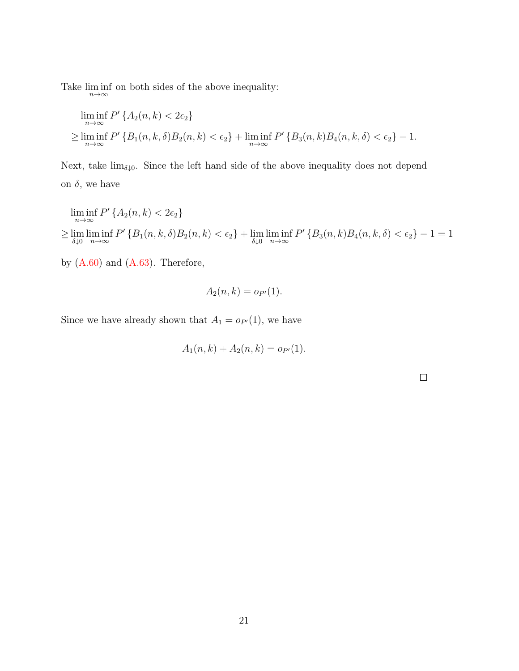Take  $\liminf_{n\to\infty}$  on both sides of the above inequality:

$$
\liminf_{n \to \infty} P' \{ A_2(n, k) < 2\epsilon_2 \}
$$
\n
$$
\geq \liminf_{n \to \infty} P' \{ B_1(n, k, \delta) B_2(n, k) < \epsilon_2 \} + \liminf_{n \to \infty} P' \{ B_3(n, k) B_4(n, k, \delta) < \epsilon_2 \} - 1.
$$

Next, take  $\lim_{\delta \downarrow 0}$ . Since the left hand side of the above inequality does not depend on  $\delta$ , we have

$$
\liminf_{n \to \infty} P' \{ A_2(n, k) < 2\epsilon_2 \}
$$
\n
$$
\geq \lim_{\delta \downarrow 0} \liminf_{n \to \infty} P' \{ B_1(n, k, \delta) B_2(n, k) < \epsilon_2 \} + \lim_{\delta \downarrow 0} \liminf_{n \to \infty} P' \{ B_3(n, k) B_4(n, k, \delta) < \epsilon_2 \} - 1 = 1
$$

by  $(A.60)$  and  $(A.63)$ . Therefore,

$$
A_2(n,k) = o_{P'}(1).
$$

Since we have already shown that  $A_1 = o_{P'}(1)$ , we have

$$
A_1(n,k) + A_2(n,k) = o_{P'}(1).
$$

 $\Box$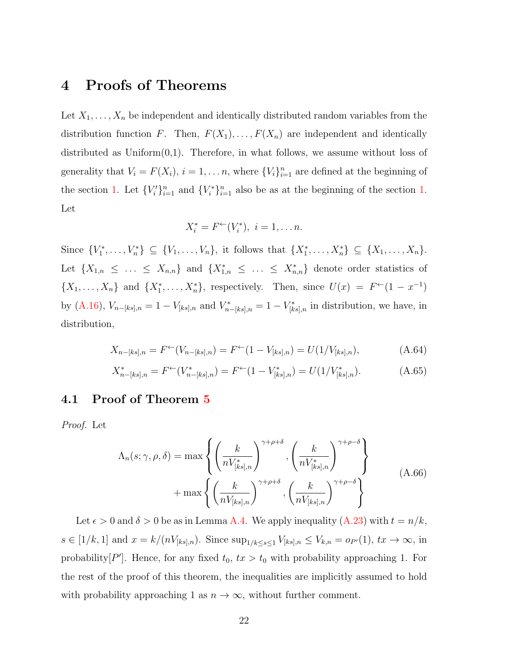### 4 Proofs of Theorems

Let  $X_1, \ldots, X_n$  be independent and identically distributed random variables from the distribution function F. Then,  $F(X_1), \ldots, F(X_n)$  are independent and identically distributed as  $Uniform(0,1)$ . Therefore, in what follows, we assume without loss of generality that  $V_i = F(X_i)$ ,  $i = 1, ..., n$ , where  $\{V_i\}_{i=1}^n$  are defined at the beginning of the section [1.](#page-17-1) Let  ${V_i'}_{i=1}^n$  and  ${V_i^*}_{i=1}^n$  also be as at the beginning of the section 1. Let

$$
X_i^* = F^{\leftarrow}(V_i^*), \ i = 1, \dots n.
$$

Since  $\{V_1^*, \ldots, V_n^*\} \subseteq \{V_1, \ldots, V_n\}$ , it follows that  $\{X_1^*, \ldots, X_n^*\} \subseteq \{X_1, \ldots, X_n\}$ . Let  $\{X_{1,n} \leq \ldots \leq X_{n,n}\}\$  and  $\{X_{1,n}^* \leq \ldots \leq X_{n,n}^*\}\$  denote order statistics of  $\{X_1,\ldots,X_n\}$  and  $\{X_1^*,\ldots,X_n^*\}$ , respectively. Then, since  $U(x) = F^{\leftarrow}(1-x^{-1})$ by [\(A.16\)](#page-20-3),  $V_{n-[ks],n} = 1 - V_{[ks],n}$  and  $V_{n-[ks],n}^* = 1 - V_{[ks],n}^*$  in distribution, we have, in distribution,

<span id="page-37-0"></span>
$$
X_{n-[ks],n} = F^{\leftarrow}(V_{n-[ks],n}) = F^{\leftarrow}(1 - V_{[ks],n}) = U(1/V_{[ks],n}), \tag{A.64}
$$

$$
X_{n-[ks],n}^* = F^{\leftarrow}(V_{n-[ks],n}^*) = F^{\leftarrow}(1 - V_{[ks],n}^*) = U(1/V_{[ks],n}^*).
$$
 (A.65)

#### 4.1 Proof of Theorem [5](#page-16-2)

<span id="page-37-1"></span>Proof. Let

$$
\Lambda_n(s; \gamma, \rho, \delta) = \max \left\{ \left( \frac{k}{n V_{[ks],n}^*} \right)^{\gamma + \rho + \delta}, \left( \frac{k}{n V_{[ks],n}^*} \right)^{\gamma + \rho - \delta} \right\}
$$
\n
$$
+ \max \left\{ \left( \frac{k}{n V_{[ks],n}} \right)^{\gamma + \rho + \delta}, \left( \frac{k}{n V_{[ks],n}} \right)^{\gamma + \rho - \delta} \right\}
$$
\n(A.66)

Let  $\epsilon > 0$  and  $\delta > 0$  be as in Lemma [A.4.](#page-21-1) We apply inequality  $(A.23)$  with  $t = n/k$ ,  $s \in [1/k, 1]$  and  $x = k/(nV_{[ks],n})$ . Since  $\sup_{1/k \le s \le 1} V_{[ks],n} \le V_{k,n} = o_{P'}(1)$ ,  $tx \to \infty$ , in probability  $[P']$ . Hence, for any fixed  $t_0$ ,  $tx > t_0$  with probability approaching 1. For the rest of the proof of this theorem, the inequalities are implicitly assumed to hold with probability approaching 1 as  $n \to \infty$ , without further comment.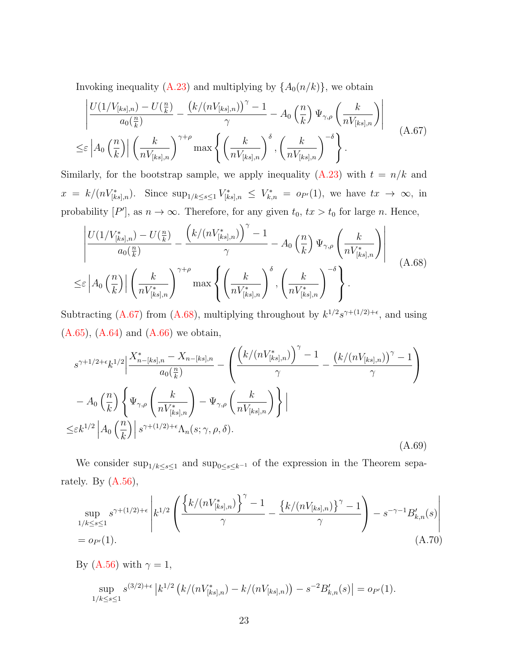Invoking inequality [\(A.23\)](#page-21-2) and multiplying by  $\{A_0(n/k)\}\$ , we obtain

<span id="page-38-0"></span>
$$
\left| \frac{U(1/V_{[ks],n}) - U(\frac{n}{k})}{a_0(\frac{n}{k})} - \frac{\left(k/(nV_{[ks],n})\right)^{\gamma} - 1}{\gamma} - A_0\left(\frac{n}{k}\right) \Psi_{\gamma,\rho}\left(\frac{k}{nV_{[ks],n}}\right) \right|
$$
\n
$$
\leq \varepsilon \left| A_0\left(\frac{n}{k}\right) \right| \left(\frac{k}{nV_{[ks],n}}\right)^{\gamma+\rho} \max \left\{ \left(\frac{k}{nV_{[ks],n}}\right)^{\delta}, \left(\frac{k}{nV_{[ks],n}}\right)^{-\delta} \right\}.
$$
\n(A.67)

Similarly, for the bootstrap sample, we apply inequality [\(A.23\)](#page-21-2) with  $t = n/k$  and  $x = k/(nV^*_{[ks],n}).$  Since  $\sup_{1/k \le s \le 1} V^*_{[ks],n} \le V^*_{k,n} = o_{P'}(1)$ , we have  $tx \to \infty$ , in probability  $[P']$ , as  $n \to \infty$ . Therefore, for any given  $t_0$ ,  $tx > t_0$  for large n. Hence,

<span id="page-38-1"></span>
$$
\frac{\left|U(1/V_{[ks],n}^*) - U(\frac{n}{k})}{a_0(\frac{n}{k})} - \frac{\left(k/(nV_{[ks],n}^*)\right)^{\gamma} - 1}{\gamma} - A_0\left(\frac{n}{k}\right)\Psi_{\gamma,\rho}\left(\frac{k}{nV_{[ks],n}^*}\right) \right|}{\left|\left(\frac{k}{nV_{[ks],n}^*}\right)^{\gamma+\rho} \max\left\{\left(\frac{k}{nV_{[ks],n}^*}\right)^{\delta}, \left(\frac{k}{nV_{[ks],n}^*}\right)^{-\delta}\right\}.
$$
\n(A.68)

Subtracting [\(A.67\)](#page-38-0) from [\(A.68\)](#page-38-1), multiplying throughout by  $k^{1/2}s^{\gamma+(1/2)+\epsilon}$ , and using [\(A.65\)](#page-37-0), [\(A.64\)](#page-37-0) and [\(A.66\)](#page-37-1) we obtain,

<span id="page-38-3"></span>
$$
s^{\gamma+1/2+\epsilon}k^{1/2}\left|\frac{X_{n-[ks],n}^{*}-X_{n-[ks],n}}{a_{0}(\frac{n}{k})}-\left(\frac{\left(k/(nV_{[ks],n}^{*})\right)^{\gamma}-1}{\gamma}-\frac{\left(k/(nV_{[ks],n})\right)^{\gamma}-1}{\gamma}\right)\right|
$$

$$
-A_{0}\left(\frac{n}{k}\right)\left\{\Psi_{\gamma,\rho}\left(\frac{k}{nV_{[ks],n}^{*}}\right)-\Psi_{\gamma,\rho}\left(\frac{k}{nV_{[ks],n}}\right)\right\}\right|
$$

$$
\leq\varepsilon k^{1/2}\left|A_{0}\left(\frac{n}{k}\right)\right|s^{\gamma+(1/2)+\epsilon}\Lambda_{n}(s;\gamma,\rho,\delta).
$$
(A.69)

We consider  $\sup_{1/k \le s \le 1}$  and  $\sup_{0 \le s \le k^{-1}}$  of the expression in the Theorem separately. By  $(A.56)$ ,

<span id="page-38-2"></span>
$$
\sup_{1/k \le s \le 1} s^{\gamma + (1/2) + \epsilon} \left| k^{1/2} \left( \frac{\left\{ k/(nV_{[ks],n}^*) \right\}^{\gamma} - 1}{\gamma} - \frac{\left\{ k/(nV_{[ks],n}) \right\}^{\gamma} - 1}{\gamma} \right) - s^{-\gamma - 1} B'_{k,n}(s) \right|
$$
\n
$$
= o_{P'}(1). \tag{A.70}
$$

By [\(A.56\)](#page-31-0) with  $\gamma = 1$ ,

$$
\sup_{1/k \le s \le 1} s^{(3/2)+\epsilon} |k^{1/2} (k/(nV^*_{[ks],n}) - k/(nV_{[ks],n})) - s^{-2}B'_{k,n}(s)| = o_{P'}(1).
$$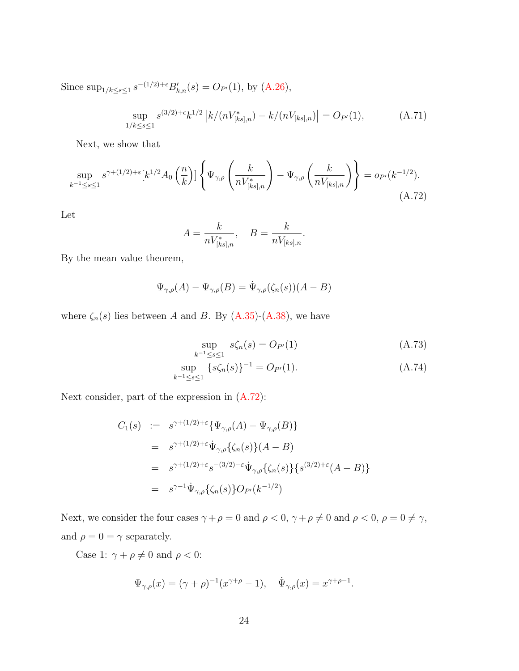Since  $\sup_{1/k \le s \le 1} s^{-(1/2)+\epsilon} B'_{k,n}(s) = O_{P'}(1)$ , by  $(A.26)$ ,

$$
\sup_{1/k \le s \le 1} s^{(3/2) + \epsilon} k^{1/2} |k/(nV^*_{[ks],n}) - k/(nV_{[ks],n})| = O_{P'}(1),
$$
\n(A.71)

Next, we show that

<span id="page-39-0"></span>
$$
\sup_{k^{-1} \le s \le 1} s^{\gamma + (1/2) + \varepsilon} [k^{1/2} A_0 \left( \frac{n}{k} \right)] \left\{ \Psi_{\gamma, \rho} \left( \frac{k}{n V_{[ks], n}} \right) - \Psi_{\gamma, \rho} \left( \frac{k}{n V_{[ks], n}} \right) \right\} = o_{P'}(k^{-1/2}).
$$
\n(A.72)

Let

$$
A = \frac{k}{n V^*_{[ks],n}}, \quad B = \frac{k}{n V_{[ks],n}}.
$$

By the mean value theorem,

$$
\Psi_{\gamma,\rho}(A) - \Psi_{\gamma,\rho}(B) = \dot{\Psi}_{\gamma,\rho}(\zeta_n(s))(A - B)
$$

where  $\zeta_n(s)$  lies between A and B. By [\(A.35\)](#page-26-0)-[\(A.38\)](#page-26-3), we have

<span id="page-39-1"></span>
$$
\sup_{k^{-1} \le s \le 1} s\zeta_n(s) = O_{P'}(1) \tag{A.73}
$$

$$
\sup_{k^{-1} \le s \le 1} \overline{\{s\zeta_n(s)\}}^{-1} = O_{P'}(1). \tag{A.74}
$$

Next consider, part of the expression in [\(A.72\)](#page-39-0):

$$
C_1(s) := s^{\gamma + (1/2) + \varepsilon} \{ \Psi_{\gamma,\rho}(A) - \Psi_{\gamma,\rho}(B) \}
$$
  
\n
$$
= s^{\gamma + (1/2) + \varepsilon} \dot{\Psi}_{\gamma,\rho} \{ \zeta_n(s) \} (A - B)
$$
  
\n
$$
= s^{\gamma + (1/2) + \varepsilon} s^{-(3/2) - \varepsilon} \dot{\Psi}_{\gamma,\rho} \{ \zeta_n(s) \} \{ s^{(3/2) + \varepsilon} (A - B) \}
$$
  
\n
$$
= s^{\gamma - 1} \dot{\Psi}_{\gamma,\rho} \{ \zeta_n(s) \} O_{P'}(k^{-1/2})
$$

Next, we consider the four cases  $\gamma+\rho=0$  and  $\rho<0,$   $\gamma+\rho\neq0$  and  $\rho<0,$   $\rho=0\neq\gamma,$ and  $\rho=0=\gamma$  separately.

Case 1:  $\gamma + \rho \neq 0$  and  $\rho < 0$ :

$$
\Psi_{\gamma,\rho}(x) = (\gamma + \rho)^{-1} (x^{\gamma+\rho} - 1), \quad \dot{\Psi}_{\gamma,\rho}(x) = x^{\gamma+\rho-1}.
$$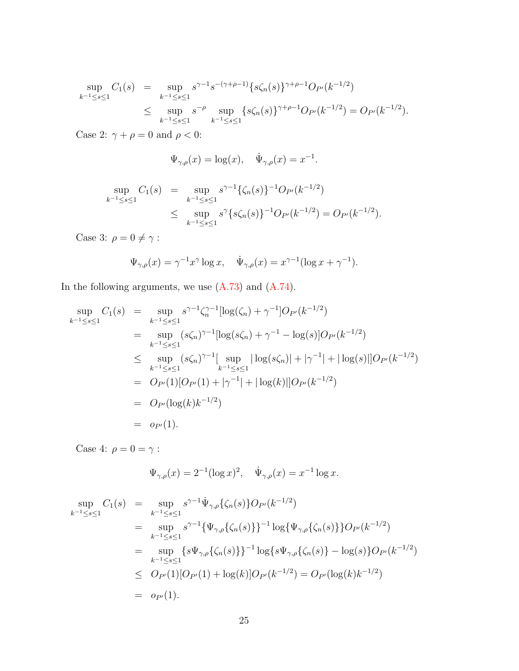$$
\sup_{k^{-1} \le s \le 1} C_1(s) = \sup_{k^{-1} \le s \le 1} s^{\gamma - 1} s^{-(\gamma + \rho - 1)} \{s \zeta_n(s)\}^{\gamma + \rho - 1} O_{P'}(k^{-1/2})
$$
  

$$
\le \sup_{k^{-1} \le s \le 1} s^{-\rho} \sup_{k^{-1} \le s \le 1} \{s \zeta_n(s)\}^{\gamma + \rho - 1} O_{P'}(k^{-1/2}) = O_{P'}(k^{-1/2}).
$$

Case 2:  $\gamma+\rho=0$  and  $\rho<0$  :

$$
\Psi_{\gamma,\rho}(x) = \log(x), \quad \dot{\Psi}_{\gamma,\rho}(x) = x^{-1}.
$$

$$
\sup_{k^{-1} \le s \le 1} C_1(s) = \sup_{k^{-1} \le s \le 1} s^{\gamma - 1} \{ \zeta_n(s) \}^{-1} O_{P'}(k^{-1/2})
$$
  

$$
\le \sup_{k^{-1} \le s \le 1} s^{\gamma} \{ s \zeta_n(s) \}^{-1} O_{P'}(k^{-1/2}) = O_{P'}(k^{-1/2}).
$$

Case 3:  $\rho=0\neq\gamma$  :

$$
\Psi_{\gamma,\rho}(x) = \gamma^{-1} x^{\gamma} \log x, \quad \dot{\Psi}_{\gamma,\rho}(x) = x^{\gamma-1} (\log x + \gamma^{-1}).
$$

In the following arguments, we use [\(A.73\)](#page-39-1) and [\(A.74\)](#page-39-1).

$$
\sup_{k^{-1} \le s \le 1} C_1(s) = \sup_{k^{-1} \le s \le 1} s^{\gamma - 1} \zeta_n^{\gamma - 1} [\log(\zeta_n) + \gamma^{-1}] O_{P'}(k^{-1/2})
$$
  
\n
$$
= \sup_{k^{-1} \le s \le 1} (s\zeta_n)^{\gamma - 1} [\log(s\zeta_n) + \gamma^{-1} - \log(s)] O_{P'}(k^{-1/2})
$$
  
\n
$$
\le \sup_{k^{-1} \le s \le 1} (s\zeta_n)^{\gamma - 1} [\sup_{k^{-1} \le s \le 1} |\log(s\zeta_n)| + |\gamma^{-1}| + |\log(s)|] O_{P'}(k^{-1/2})
$$
  
\n
$$
= O_{P'}(1)[O_{P'}(1) + |\gamma^{-1}| + |\log(k)|] O_{P'}(k^{-1/2})
$$
  
\n
$$
= O_{P'}(\log(k)k^{-1/2})
$$
  
\n
$$
= o_{P'}(1).
$$

Case 4:  $\rho=0=\gamma$  :

$$
\Psi_{\gamma,\rho}(x) = 2^{-1} (\log x)^2, \quad \dot{\Psi}_{\gamma,\rho}(x) = x^{-1} \log x.
$$

$$
\sup_{k^{-1} \le s \le 1} C_1(s) = \sup_{k^{-1} \le s \le 1} s^{\gamma - 1} \dot{\Psi}_{\gamma, \rho} \{ \zeta_n(s) \} O_{P'}(k^{-1/2})
$$
\n
$$
= \sup_{k^{-1} \le s \le 1} s^{\gamma - 1} \{ \Psi_{\gamma, \rho} \{ \zeta_n(s) \} \}^{-1} \log \{ \Psi_{\gamma, \rho} \{ \zeta_n(s) \} \} O_{P'}(k^{-1/2})
$$
\n
$$
= \sup_{k^{-1} \le s \le 1} \{ s \Psi_{\gamma, \rho} \{ \zeta_n(s) \} \}^{-1} \log \{ s \Psi_{\gamma, \rho} \{ \zeta_n(s) \} - \log(s) \} O_{P'}(k^{-1/2})
$$
\n
$$
\le O_{P'}(1) [O_{P'}(1) + \log(k)] O_{P'}(k^{-1/2}) = O_{P'}(\log(k)k^{-1/2})
$$
\n
$$
= o_{P'}(1).
$$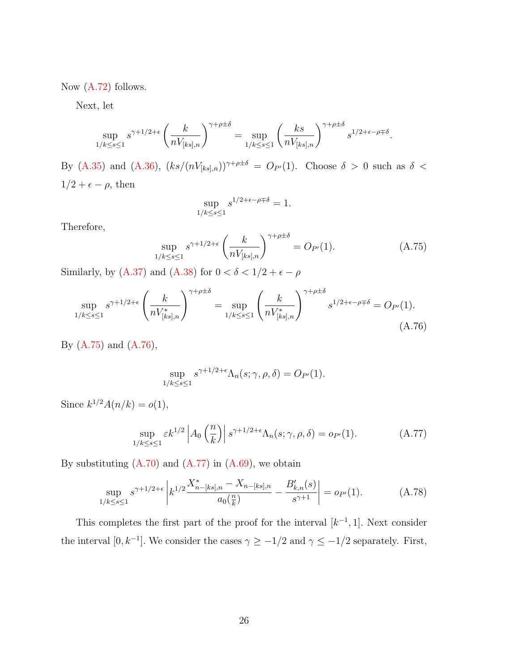Now  $(A.72)$  follows.

Next, let

$$
\sup_{1/k \le s \le 1} s^{\gamma + 1/2 + \epsilon} \left(\frac{k}{nV_{[ks],n}}\right)^{\gamma + \rho \pm \delta} = \sup_{1/k \le s \le 1} \left(\frac{ks}{nV_{[ks],n}}\right)^{\gamma + \rho \pm \delta} s^{1/2 + \epsilon - \rho \mp \delta}
$$

By [\(A.35\)](#page-26-0) and [\(A.36\)](#page-26-2),  $(ks/(nV_{[ks],n}))^{\gamma+\rho\pm\delta} = O_{P'}(1)$ . Choose  $\delta > 0$  such as  $\delta <$  $1/2 + \epsilon - \rho$ , then

$$
\sup_{1/k \le s \le 1} s^{1/2 + \epsilon - \rho \mp \delta} = 1.
$$

Therefore,

<span id="page-41-0"></span>
$$
\sup_{1/k \le s \le 1} s^{\gamma + 1/2 + \epsilon} \left( \frac{k}{n V_{[ks],n}} \right)^{\gamma + \rho \pm \delta} = O_{P'}(1). \tag{A.75}
$$

.

Similarly, by [\(A.37\)](#page-26-1) and [\(A.38\)](#page-26-3) for  $0<\delta<1/2+\epsilon-\rho$ 

<span id="page-41-1"></span>
$$
\sup_{1/k \le s \le 1} s^{\gamma + 1/2 + \epsilon} \left( \frac{k}{n V_{[ks],n}^*} \right)^{\gamma + \rho \pm \delta} = \sup_{1/k \le s \le 1} \left( \frac{k}{n V_{[ks],n}^*} \right)^{\gamma + \rho \pm \delta} s^{1/2 + \epsilon - \rho \mp \delta} = O_{P'}(1).
$$
\n(A.76)

By [\(A.75\)](#page-41-0) and [\(A.76\)](#page-41-1),

$$
\sup_{1/k \le s \le 1} s^{\gamma + 1/2 + \epsilon} \Lambda_n(s; \gamma, \rho, \delta) = O_{P'}(1).
$$

Since  $k^{1/2} A(n/k) = o(1)$ ,

<span id="page-41-2"></span>
$$
\sup_{1/k \le s \le 1} \varepsilon k^{1/2} \left| A_0 \left( \frac{n}{k} \right) \right| s^{\gamma + 1/2 + \epsilon} \Lambda_n(s; \gamma, \rho, \delta) = o_{P'}(1). \tag{A.77}
$$

By substituting  $(A.70)$  and  $(A.77)$  in  $(A.69)$ , we obtain

<span id="page-41-3"></span>
$$
\sup_{1/k \le s \le 1} s^{\gamma + 1/2 + \epsilon} \left| k^{1/2} \frac{X_{n-[ks],n}^* - X_{n-[ks],n}}{a_0(\frac{n}{k})} - \frac{B_{k,n}'(s)}{s^{\gamma+1}} \right| = o_{P'}(1). \tag{A.78}
$$

This completes the first part of the proof for the interval  $[k^{-1}, 1]$ . Next consider the interval [0, k<sup>-1</sup>]. We consider the cases  $\gamma \ge -1/2$  and  $\gamma \le -1/2$  separately. First,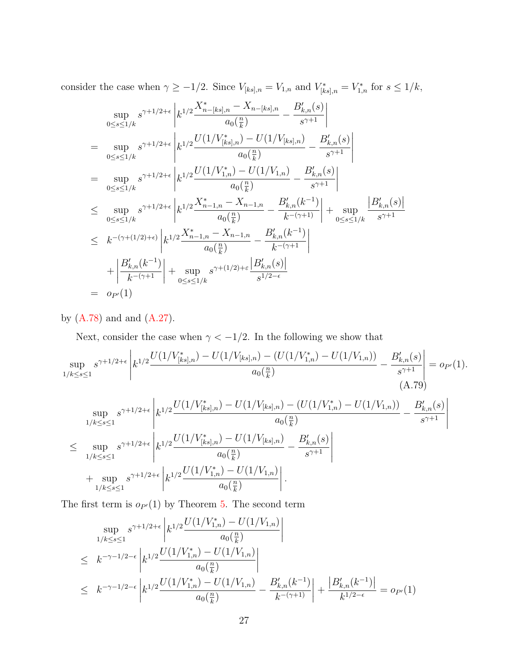consider the case when  $\gamma \ge -1/2$ . Since  $V_{[ks],n} = V_{1,n}$  and  $V_{[ks],n}^* = V_{1,n}^*$  for  $s \le 1/k$ ,

$$
\sup_{0 \le s \le 1/k} s^{\gamma + 1/2 + \epsilon} \left| k^{1/2} \frac{X_{n-[ks],n}^* - X_{n-[ks],n}}{a_0(\frac{n}{k})} - \frac{B'_{k,n}(s)}{s^{\gamma+1}} \right|
$$
\n
$$
= \sup_{0 \le s \le 1/k} s^{\gamma + 1/2 + \epsilon} \left| k^{1/2} \frac{U(1/V_{[ks],n}^*) - U(1/V_{[ks],n})}{a_0(\frac{n}{k})} - \frac{B'_{k,n}(s)}{s^{\gamma+1}} \right|
$$
\n
$$
= \sup_{0 \le s \le 1/k} s^{\gamma + 1/2 + \epsilon} \left| k^{1/2} \frac{U(1/V_{1,n}^*) - U(1/V_{1,n})}{a_0(\frac{n}{k})} - \frac{B'_{k,n}(s)}{s^{\gamma+1}} \right|
$$
\n
$$
\le \sup_{0 \le s \le 1/k} s^{\gamma + 1/2 + \epsilon} \left| k^{1/2} \frac{X_{n-1,n}^* - X_{n-1,n}}{a_0(\frac{n}{k})} - \frac{B'_{k,n}(k^{-1})}{k^{-(\gamma+1)}} \right| + \sup_{0 \le s \le 1/k} \frac{|B'_{k,n}(s)|}{s^{\gamma+1}}
$$
\n
$$
\le k^{-(\gamma + (1/2) + \epsilon)} \left| k^{1/2} \frac{X_{n-1,n}^* - X_{n-1,n}}{a_0(\frac{n}{k})} - \frac{B'_{k,n}(k^{-1})}{k^{-(\gamma+1)}} \right|
$$
\n
$$
+ \left| \frac{B'_{k,n}(k^{-1})}{k^{-(\gamma+1)}} \right| + \sup_{0 \le s \le 1/k} s^{\gamma + (1/2) + \epsilon} \frac{|B'_{k,n}(s)|}{s^{1/2 - \epsilon}}
$$
\n
$$
= o_{P'}(1)
$$

by  $(A.78)$  and and  $(A.27)$ .

Next, consider the case when  $\gamma<-1/2.$  In the following we show that

<span id="page-42-0"></span>
$$
\sup_{1/k \le s \le 1} s^{\gamma + 1/2 + \epsilon} \left| k^{1/2} \frac{U(1/V^*_{[ks],n}) - U(1/V_{[ks],n}) - (U(1/V^*_{1,n}) - U(1/V_{1,n}))}{a_0(\frac{n}{k})} - \frac{B'_{k,n}(s)}{s^{\gamma + 1}} \right| = o_{P'}(1).
$$
\n(A.79)

$$
\sup_{1/k \le s \le 1} s^{\gamma + 1/2 + \epsilon} \left| k^{1/2} \frac{U(1/V_{[ks],n}^*) - U(1/V_{[ks],n}) - (U(1/V_{1,n}^*) - U(1/V_{1,n}))}{a_0(\frac{n}{k})} - \frac{B'_{k,n}(s)}{s^{\gamma+1}} \right|
$$
  
\n
$$
\le \sup_{1/k \le s \le 1} s^{\gamma + 1/2 + \epsilon} \left| k^{1/2} \frac{U(1/V_{[ks],n}^*) - U(1/V_{[ks],n})}{a_0(\frac{n}{k})} - \frac{B'_{k,n}(s)}{s^{\gamma+1}} \right|
$$
  
\n
$$
+ \sup_{1/k \le s \le 1} s^{\gamma + 1/2 + \epsilon} \left| k^{1/2} \frac{U(1/V_{1,n}^*) - U(1/V_{1,n})}{a_0(\frac{n}{k})} \right|.
$$

The first term is  $o_{P'}(1)$  by Theorem [5.](#page-16-2) The second term

$$
\sup_{1/k \le s \le 1} s^{\gamma + 1/2 + \epsilon} \left| k^{1/2} \frac{U(1/V_{1,n}^*) - U(1/V_{1,n})}{a_0(\frac{n}{k})} \right|
$$
\n
$$
\le k^{-\gamma - 1/2 - \epsilon} \left| k^{1/2} \frac{U(1/V_{1,n}^*) - U(1/V_{1,n})}{a_0(\frac{n}{k})} \right|
$$
\n
$$
\le k^{-\gamma - 1/2 - \epsilon} \left| k^{1/2} \frac{U(1/V_{1,n}^*) - U(1/V_{1,n})}{a_0(\frac{n}{k})} - \frac{B'_{k,n}(k^{-1})}{k^{-(\gamma + 1)}} \right| + \frac{|B'_{k,n}(k^{-1})|}{k^{1/2 - \epsilon}} = o_{P'}(1)
$$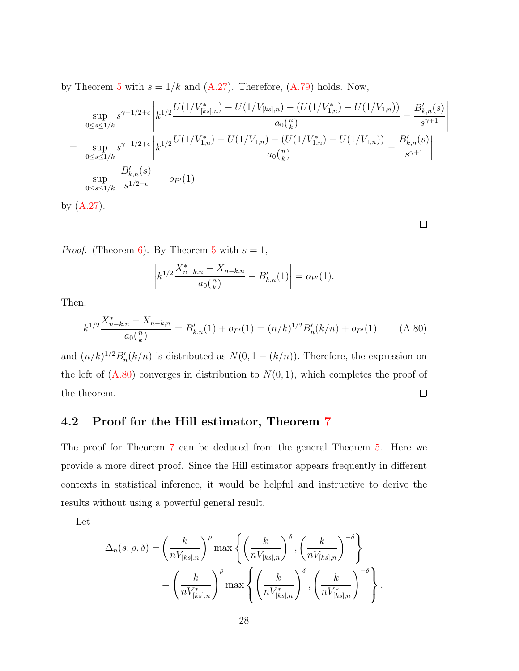by Theorem [5](#page-16-2) with  $s = 1/k$  and  $(A.27)$ . Therefore,  $(A.79)$  holds. Now,

$$
\sup_{0 \le s \le 1/k} s^{\gamma + 1/2 + \epsilon} \left| k^{1/2} \frac{U(1/V_{[ks],n}^*) - U(1/V_{[ks],n}) - (U(1/V_{1,n}^*) - U(1/V_{1,n}))}{a_0(\frac{n}{k})} - \frac{B'_{k,n}(s)}{s^{\gamma+1}} \right|
$$
\n
$$
= \sup_{0 \le s \le 1/k} s^{\gamma + 1/2 + \epsilon} \left| k^{1/2} \frac{U(1/V_{1,n}^*) - U(1/V_{1,n}) - (U(1/V_{1,n}^*) - U(1/V_{1,n}))}{a_0(\frac{n}{k})} - \frac{B'_{k,n}(s)}{s^{\gamma+1}} \right|
$$
\n
$$
= \sup_{0 \le s \le 1/k} \frac{|B'_{k,n}(s)|}{s^{1/2 - \epsilon}} = o_{P'}(1)
$$
\nby (A.27).

 $\bigg\}$  $\overline{\phantom{a}}$  $\overline{\phantom{a}}$  $\mid$  $\begin{array}{c} \hline \end{array}$ 

*Proof.* (Theorem [6\)](#page-16-2). By Theorem [5](#page-16-2) with  $s = 1$ ,

$$
\left| k^{1/2} \frac{X_{n-k,n}^* - X_{n-k,n}}{a_0(\frac{n}{k})} - B'_{k,n}(1) \right| = o_{P'}(1).
$$

Then,

<span id="page-43-0"></span>
$$
k^{1/2} \frac{X_{n-k,n}^* - X_{n-k,n}}{a_0(\frac{n}{k})} = B'_{k,n}(1) + o_{P'}(1) = (n/k)^{1/2} B'_n(k/n) + o_{P'}(1)
$$
 (A.80)

and  $(n/k)^{1/2}B'_n(k/n)$  is distributed as  $N(0, 1 - (k/n))$ . Therefore, the expression on the left of  $(A.80)$  converges in distribution to  $N(0, 1)$ , which completes the proof of the theorem.  $\Box$ 

### 4.2 Proof for the Hill estimator, Theorem [7](#page-16-2)

The proof for Theorem [7](#page-16-2) can be deduced from the general Theorem [5.](#page-16-2) Here we provide a more direct proof. Since the Hill estimator appears frequently in different contexts in statistical inference, it would be helpful and instructive to derive the results without using a powerful general result.

Let

$$
\Delta_n(s; \rho, \delta) = \left(\frac{k}{nV_{[ks],n}}\right)^{\rho} \max \left\{ \left(\frac{k}{nV_{[ks],n}}\right)^{\delta}, \left(\frac{k}{nV_{[ks],n}}\right)^{-\delta} \right\}
$$

$$
+ \left(\frac{k}{nV_{[ks],n}^*}\right)^{\rho} \max \left\{ \left(\frac{k}{nV_{[ks],n}^*}\right)^{\delta}, \left(\frac{k}{nV_{[ks],n}^*}\right)^{-\delta} \right\}.
$$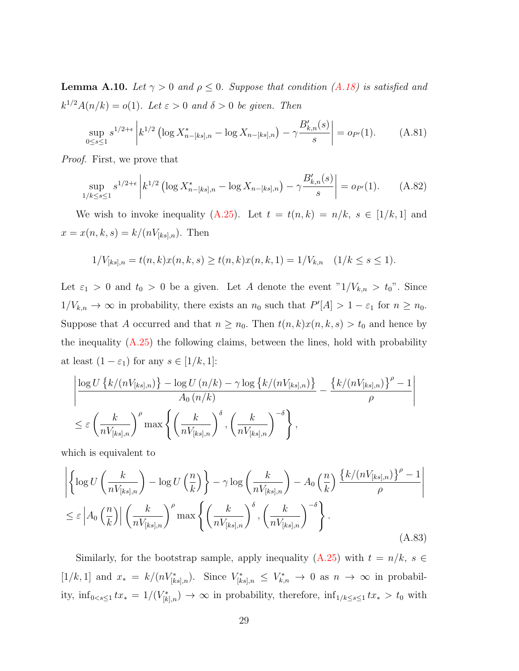<span id="page-44-2"></span>**Lemma A.10.** Let  $\gamma > 0$  and  $\rho \leq 0$ . Suppose that condition [\(A.18\)](#page-20-1) is satisfied and  $k^{1/2}A(n/k) = o(1)$ . Let  $\varepsilon > 0$  and  $\delta > 0$  be given. Then

$$
\sup_{0 \le s \le 1} s^{1/2 + \epsilon} \left| k^{1/2} \left( \log X_{n-[ks],n}^* - \log X_{n-[ks],n} \right) - \gamma \frac{B'_{k,n}(s)}{s} \right| = o_{P'}(1). \tag{A.81}
$$

Proof. First, we prove that

<span id="page-44-1"></span>
$$
\sup_{1/k \le s \le 1} s^{1/2 + \epsilon} \left| k^{1/2} \left( \log X_{n-[ks],n}^* - \log X_{n-[ks],n} \right) - \gamma \frac{B'_{k,n}(s)}{s} \right| = o_{P'}(1). \tag{A.82}
$$

We wish to invoke inequality [\(A.25\)](#page-21-3). Let  $t = t(n, k) = n/k$ ,  $s \in [1/k, 1]$  and  $x = x(n, k, s) = k/(nV_{[ks], n})$ . Then

$$
1/V_{[ks],n} = t(n,k)x(n,k,s) \ge t(n,k)x(n,k,1) = 1/V_{k,n} \quad (1/k \le s \le 1).
$$

Let  $\varepsilon_1 > 0$  and  $t_0 > 0$  be a given. Let A denote the event " $1/V_{k,n} > t_0$ ". Since  $1/V_{k,n} \to \infty$  in probability, there exists an  $n_0$  such that  $P'[A] > 1 - \varepsilon_1$  for  $n \geq n_0$ . Suppose that A occurred and that  $n \ge n_0$ . Then  $t(n, k)x(n, k, s) > t_0$  and hence by the inequality [\(A.25\)](#page-21-3) the following claims, between the lines, hold with probability at least  $(1 - \varepsilon_1)$  for any  $s \in [1/k, 1]$ :

$$
\left| \frac{\log U\left\{k/(nV_{[ks],n})\right\} - \log U\left(n/k\right) - \gamma \log \left\{k/(nV_{[ks],n})\right\}}{A_0\left(n/k\right)} - \frac{\left\{k/(nV_{[ks],n})\right\}^{\rho} - 1}{\rho} \right|
$$
  

$$
\leq \varepsilon \left(\frac{k}{nV_{[ks],n}}\right)^{\rho} \max \left\{\left(\frac{k}{nV_{[ks],n}}\right)^{\delta}, \left(\frac{k}{nV_{[ks],n}}\right)^{-\delta}\right\},
$$

which is equivalent to

<span id="page-44-0"></span>
$$
\left| \left\{ \log U \left( \frac{k}{n V_{[ks],n}} \right) - \log U \left( \frac{n}{k} \right) \right\} - \gamma \log \left( \frac{k}{n V_{[ks],n}} \right) - A_0 \left( \frac{n}{k} \right) \frac{\left\{ k / (n V_{[ks],n}) \right\}^{\rho} - 1}{\rho} \right|
$$
  

$$
\leq \varepsilon \left| A_0 \left( \frac{n}{k} \right) \right| \left( \frac{k}{n V_{[ks],n}} \right)^{\rho} \max \left\{ \left( \frac{k}{n V_{[ks],n}} \right)^{\delta}, \left( \frac{k}{n V_{[ks],n}} \right)^{-\delta} \right\}.
$$
 (A.83)

Similarly, for the bootstrap sample, apply inequality [\(A.25\)](#page-21-3) with  $t = n/k$ ,  $s \in$  $[1/k, 1]$  and  $x_* = k/(nV^*_{[ks],n})$ . Since  $V^*_{[ks],n} \leq V^*_{k,n} \to 0$  as  $n \to \infty$  in probability,  $\inf_{0 \le s \le 1} tx_* = 1/(V^*_{[k],n}) \to \infty$  in probability, therefore,  $\inf_{1/k \le s \le 1} tx_* > t_0$  with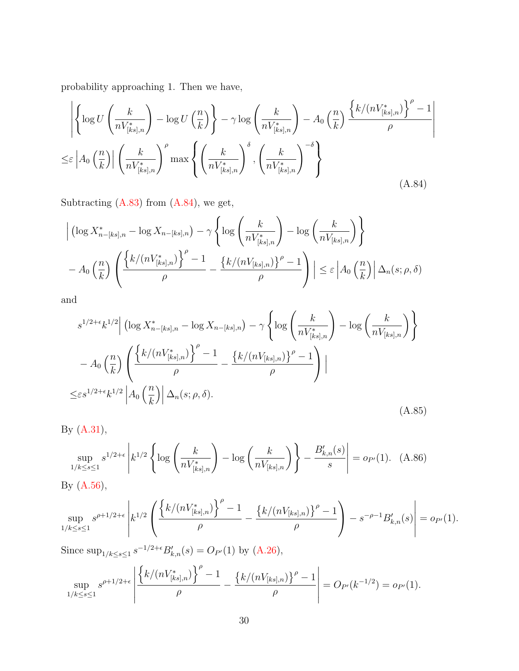probability approaching 1. Then we have,

<span id="page-45-0"></span>
$$
\left| \left\{ \log U \left( \frac{k}{n V_{[ks],n}^*} \right) - \log U \left( \frac{n}{k} \right) \right\} - \gamma \log \left( \frac{k}{n V_{[ks],n}^*} \right) - A_0 \left( \frac{n}{k} \right) \frac{\left\{ k/(n V_{[ks],n}^* \right\}^{\rho} - 1}{\rho} \right|
$$
  

$$
\leq \varepsilon \left| A_0 \left( \frac{n}{k} \right) \right| \left( \frac{k}{n V_{[ks],n}^*} \right)^{\rho} \max \left\{ \left( \frac{k}{n V_{[ks],n}^*} \right)^{\delta}, \left( \frac{k}{n V_{[ks],n}^*} \right)^{-\delta} \right\}
$$
(A.84)

Subtracting [\(A.83\)](#page-44-0) from [\(A.84\)](#page-45-0), we get,

$$
\left| \left( \log X_{n-[ks],n}^* - \log X_{n-[ks],n} \right) - \gamma \left\{ \log \left( \frac{k}{n V_{[ks],n}^*} \right) - \log \left( \frac{k}{n V_{[ks],n}} \right) \right\} \right|
$$
  
-  $A_0 \left( \frac{n}{k} \right) \left( \frac{\left\{ k/(n V_{[ks],n}^*) \right\}^{\rho} - 1}{\rho} - \frac{\left\{ k/(n V_{[ks],n}) \right\}^{\rho} - 1}{\rho} \right) \left| \le \varepsilon \left| A_0 \left( \frac{n}{k} \right) \right| \Delta_n(s;\rho,\delta)$ 

and

<span id="page-45-2"></span>
$$
s^{1/2+\epsilon}k^{1/2}\left(\log X_{n-[ks],n}^* - \log X_{n-[ks],n}\right) - \gamma \left\{ \log \left(\frac{k}{nV_{[ks],n}^*}\right) - \log \left(\frac{k}{nV_{[ks],n}^*}\right) \right\}
$$

$$
- A_0 \left(\frac{n}{k}\right) \left(\frac{\left\{k/(nV_{[ks],n}^*)\right\}^{\rho} - 1}{\rho} - \frac{\left\{k/(nV_{[ks],n})\right\}^{\rho} - 1}{\rho}\right) \Big|
$$

$$
\leq \epsilon s^{1/2+\epsilon}k^{1/2} \left| A_0 \left(\frac{n}{k}\right) \right| \Delta_n(s;\rho,\delta). \tag{A.85}
$$

By [\(A.31\)](#page-25-3),

<span id="page-45-1"></span>
$$
\sup_{1/k \le s \le 1} s^{1/2 + \epsilon} \left| k^{1/2} \left\{ \log \left( \frac{k}{n V_{[ks],n}^*} \right) - \log \left( \frac{k}{n V_{[ks],n}} \right) \right\} - \frac{B'_{k,n}(s)}{s} \right| = o_{P'}(1). \tag{A.86}
$$

By [\(A.56\)](#page-31-0),

$$
\sup_{1/k \le s \le 1} s^{\rho + 1/2 + \epsilon} \left| k^{1/2} \left( \frac{\left\{ k/(nV_{[ks],n}^*) \right\}^\rho - 1}{\rho} - \frac{\left\{ k/(nV_{[ks],n}) \right\}^\rho - 1}{\rho} \right) - s^{-\rho - 1} B'_{k,n}(s) \right| = o_{P'}(1).
$$

Since  $\sup_{1/k \le s \le 1} s^{-1/2+\epsilon} B'_{k,n}(s) = O_{P'}(1)$  by  $(A.26)$ ,

$$
\sup_{1/k \leq s \leq 1} s^{\rho+1/2+\epsilon} \left| \frac{\left\{k/(nV^*_{[ks],n})\right\}^{\rho}-1}{\rho} - \frac{\left\{k/(nV_{[ks],n})\right\}^{\rho}-1}{\rho} \right| = O_{P'}(k^{-1/2}) = o_{P'}(1).
$$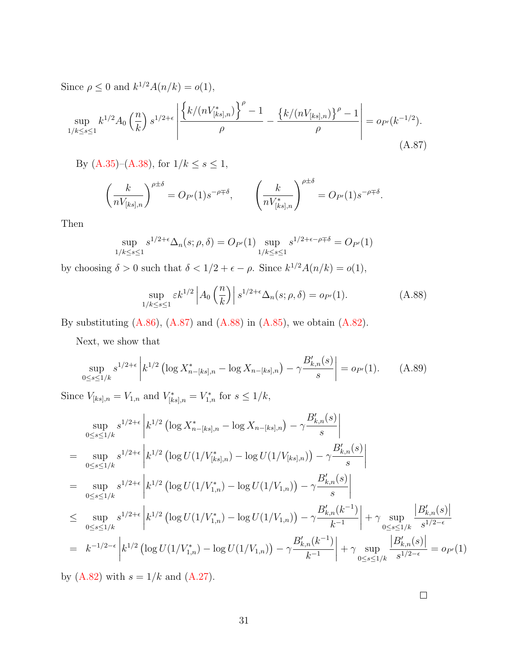Since  $\rho \leq 0$  and  $k^{1/2}A(n/k) = o(1)$ ,

<span id="page-46-0"></span>
$$
\sup_{1/k \le s \le 1} k^{1/2} A_0 \left(\frac{n}{k}\right) s^{1/2+\epsilon} \left| \frac{\left\{k/(nV_{[ks],n}^*)\right\}^\rho - 1}{\rho} - \frac{\left\{k/(nV_{[ks],n})\right\}^\rho - 1}{\rho} \right| = o_{P'}(k^{-1/2}).
$$
\n(A.87)

By [\(A.35\)](#page-26-0)–[\(A.38\)](#page-26-3), for  $1/k \leq s \leq 1,$ 

$$
\left(\frac{k}{nV_{[ks],n}}\right)^{\rho\pm\delta} = O_{P'}(1)s^{-\rho\mp\delta}, \qquad \left(\frac{k}{nV_{[ks],n}^*}\right)^{\rho\pm\delta} = O_{P'}(1)s^{-\rho\mp\delta}.
$$

Then

$$
\sup_{1/k \le s \le 1} s^{1/2 + \epsilon} \Delta_n(s; \rho, \delta) = O_{P'}(1) \sup_{1/k \le s \le 1} s^{1/2 + \epsilon - \rho + \delta} = O_{P'}(1)
$$

by choosing  $\delta > 0$  such that  $\delta < 1/2 + \epsilon - \rho$ . Since  $k^{1/2}A(n/k) = o(1)$ ,

<span id="page-46-1"></span>
$$
\sup_{1/k \le s \le 1} \varepsilon k^{1/2} \left| A_0 \left( \frac{n}{k} \right) \right| s^{1/2 + \epsilon} \Delta_n(s; \rho, \delta) = o_{P'}(1). \tag{A.88}
$$

By substituting  $(A.86)$ ,  $(A.87)$  and  $(A.88)$  in  $(A.85)$ , we obtain  $(A.82)$ .

Next, we show that

$$
\sup_{0 \le s \le 1/k} s^{1/2 + \epsilon} \left| k^{1/2} \left( \log X_{n-[ks],n}^* - \log X_{n-[ks],n} \right) - \gamma \frac{B'_{k,n}(s)}{s} \right| = o_{P'}(1). \tag{A.89}
$$

Since  $V_{[ks],n} = V_{1,n}$  and  $V_{[ks],n}^* = V_{1,n}^*$  for  $s \le 1/k$ ,

$$
\sup_{0 \le s \le 1/k} s^{1/2 + \epsilon} \left| k^{1/2} \left( \log X_{n-[ks],n}^* - \log X_{n-[ks],n} \right) - \gamma \frac{B'_{k,n}(s)}{s} \right|
$$
\n
$$
= \sup_{0 \le s \le 1/k} s^{1/2 + \epsilon} \left| k^{1/2} \left( \log U(1/V_{[ks],n}^*) - \log U(1/V_{[ks],n} \right) \right| - \gamma \frac{B'_{k,n}(s)}{s} \right|
$$
\n
$$
= \sup_{0 \le s \le 1/k} s^{1/2 + \epsilon} \left| k^{1/2} \left( \log U(1/V_{1,n}^*) - \log U(1/V_{1,n}) \right) - \gamma \frac{B'_{k,n}(s)}{s} \right|
$$
\n
$$
\le \sup_{0 \le s \le 1/k} s^{1/2 + \epsilon} \left| k^{1/2} \left( \log U(1/V_{1,n}^*) - \log U(1/V_{1,n}) \right) - \gamma \frac{B'_{k,n}(k^{-1})}{k^{-1}} \right| + \gamma \sup_{0 \le s \le 1/k} \frac{|B'_{k,n}(s)|}{s^{1/2 - \epsilon}}
$$
\n
$$
= k^{-1/2 - \epsilon} \left| k^{1/2} \left( \log U(1/V_{1,n}^*) - \log U(1/V_{1,n}) \right) - \gamma \frac{B'_{k,n}(k^{-1})}{k^{-1}} \right| + \gamma \sup_{0 \le s \le 1/k} \frac{|B'_{k,n}(s)|}{s^{1/2 - \epsilon}} = o_{P'}(1)
$$

by [\(A.82\)](#page-44-1) with  $s = 1/k$  and [\(A.27\)](#page-22-0).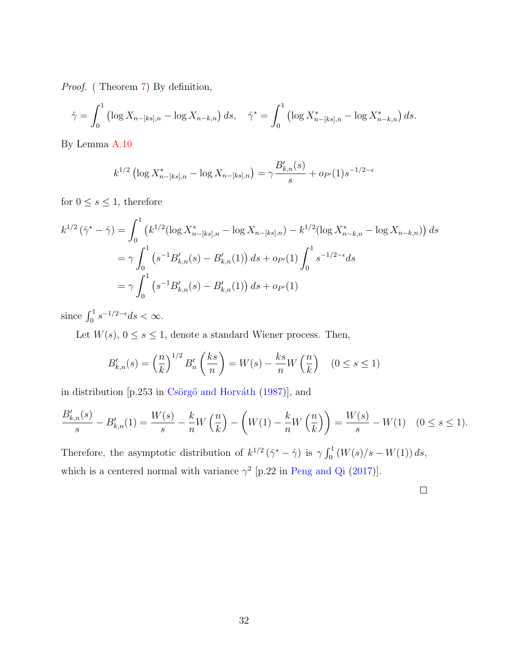Proof. ( Theorem [7\)](#page-16-2) By definition,

$$
\hat{\gamma} = \int_0^1 \left( \log X_{n-[ks],n} - \log X_{n-k,n} \right) ds, \quad \hat{\gamma}^* = \int_0^1 \left( \log X_{n-[ks],n}^* - \log X_{n-k,n}^* \right) ds.
$$

By Lemma [A.10](#page-44-2)

$$
k^{1/2} \left( \log X_{n-[ks],n}^* - \log X_{n-[ks],n} \right) = \gamma \frac{B'_{k,n}(s)}{s} + o_{P'}(1) s^{-1/2 - \epsilon}
$$

for  $0\leq s\leq 1,$  therefore

$$
k^{1/2}(\hat{\gamma}^* - \hat{\gamma}) = \int_0^1 (k^{1/2} (\log X_{n-[ks],n}^* - \log X_{n-[ks],n}) - k^{1/2} (\log X_{n-k,n}^* - \log X_{n-k,n})) ds
$$
  
=  $\gamma \int_0^1 (s^{-1} B_{k,n}'(s) - B_{k,n}'(1)) ds + o_{P'}(1) \int_0^1 s^{-1/2-\epsilon} ds$   
=  $\gamma \int_0^1 (s^{-1} B_{k,n}'(s) - B_{k,n}'(1)) ds + o_{P'}(1)$ 

since  $\int_0^1 s^{-1/2-\epsilon} ds < \infty$ .

Let  $W(s)$ ,  $0 \le s \le 1$ , denote a standard Wiener process. Then,

$$
B'_{k,n}(s) = \left(\frac{n}{k}\right)^{1/2} B'_n\left(\frac{ks}{n}\right) = W(s) - \frac{ks}{n}W\left(\frac{n}{k}\right) \quad (0 \le s \le 1)
$$

in distribution [p.253 in Csörgő and Horváth  $(1987)$ ], and

$$
\frac{B'_{k,n}(s)}{s} - B'_{k,n}(1) = \frac{W(s)}{s} - \frac{k}{n}W\left(\frac{n}{k}\right) - \left(W(1) - \frac{k}{n}W\left(\frac{n}{k}\right)\right) = \frac{W(s)}{s} - W(1) \quad (0 \le s \le 1).
$$

Therefore, the asymptotic distribution of  $k^{1/2} (\hat{\gamma}^* - \hat{\gamma})$  is  $\gamma \int_0^1 (W(s)/s - W(1)) ds$ , which is a centered normal with variance  $\gamma^2$  [p.22 in [Peng and Qi](#page-56-3) [\(2017\)](#page-56-3)].

 $\Box$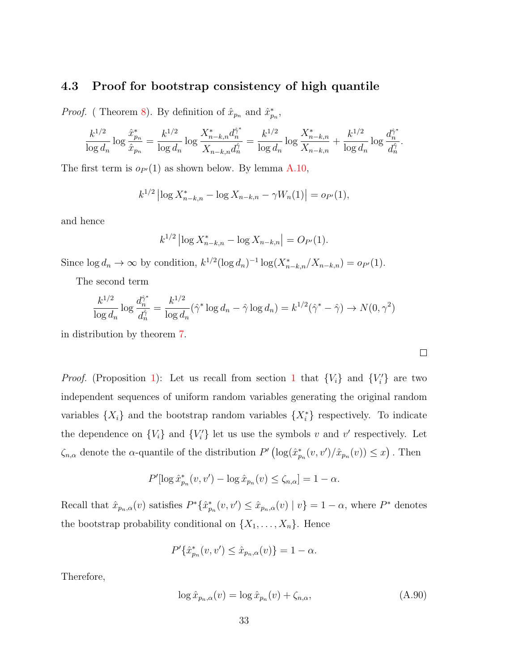### 4.3 Proof for bootstrap consistency of high quantile

*Proof.* (Theorem [8\)](#page-16-2). By definition of  $\hat{x}_{p_n}$  and  $\hat{x}_{p_n}^*$ ,

$$
\frac{k^{1/2}}{\log d_n} \log \frac{\hat{x}_{p_n}^*}{\hat{x}_{p_n}} = \frac{k^{1/2}}{\log d_n} \log \frac{X_{n-k,n}^* d_n^{\hat{\gamma}^*}}{X_{n-k,n} d_n^{\hat{\gamma}}} = \frac{k^{1/2}}{\log d_n} \log \frac{X_{n-k,n}^*}{X_{n-k,n}} + \frac{k^{1/2}}{\log d_n} \log \frac{d_n^{\hat{\gamma}^*}}{d_n^{\hat{\gamma}}}.
$$

The first term is  $o_{P'}(1)$  as shown below. By lemma [A.10,](#page-44-2)

$$
k^{1/2} \left| \log X_{n-k,n}^* - \log X_{n-k,n} - \gamma W_n(1) \right| = o_{P'}(1),
$$

and hence

$$
k^{1/2} |\log X_{n-k,n}^* - \log X_{n-k,n}| = O_{P'}(1).
$$

Since  $\log d_n \to \infty$  by condition,  $k^{1/2} (\log d_n)^{-1} \log(X_{n-k,n}^*/X_{n-k,n}) = o_{P'}(1)$ .

The second term

$$
\frac{k^{1/2}}{\log d_n} \log \frac{d_n^{\hat{\gamma}^*}}{d_n^{\hat{\gamma}}} = \frac{k^{1/2}}{\log d_n} (\hat{\gamma}^* \log d_n - \hat{\gamma} \log d_n) = k^{1/2} (\hat{\gamma}^* - \hat{\gamma}) \to N(0, \gamma^2)
$$

in distribution by theorem [7.](#page-16-2)

*Proof.* (Proposition [1\)](#page-21-4): Let us recall from section [1](#page-17-1) that  $\{V_i\}$  and  $\{V'_i\}$  are two independent sequences of uniform random variables generating the original random variables  $\{X_i\}$  and the bootstrap random variables  $\{X_i^*\}$  respectively. To indicate the dependence on  $\{V_i\}$  and  $\{V'_i\}$  let us use the symbols v and v' respectively. Let  $\zeta_{n,\alpha}$  denote the  $\alpha$ -quantile of the distribution  $P'(\log(\hat{x}_{p_n}^*(v, v')/\hat{x}_{p_n}(v)) \leq x)$ . Then

$$
P'[\log \hat{x}_{p_n}^*(v, v') - \log \hat{x}_{p_n}(v) \le \zeta_{n,\alpha}] = 1 - \alpha.
$$

Recall that  $\hat{x}_{p_n,\alpha}(v)$  satisfies  $P^*\{\hat{x}_{p_n}(v,v') \leq \hat{x}_{p_n,\alpha}(v) \mid v\} = 1 - \alpha$ , where  $P^*$  denotes the bootstrap probability conditional on  $\{X_1, \ldots, X_n\}$ . Hence

$$
P'\{\hat{x}_{p_n}^*(v, v') \le \hat{x}_{p_n,\alpha}(v)\} = 1 - \alpha.
$$

Therefore,

<span id="page-48-0"></span>
$$
\log \hat{x}_{p_n,\alpha}(v) = \log \hat{x}_{p_n}(v) + \zeta_{n,\alpha},\tag{A.90}
$$

 $\Box$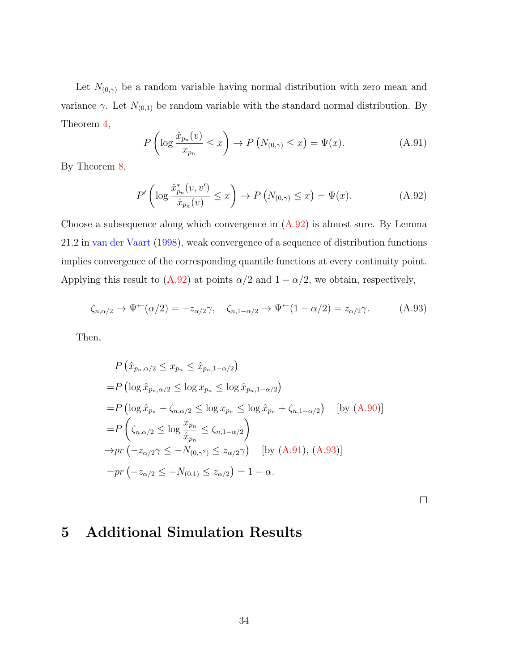Let  $N_{(0,\gamma)}$  be a random variable having normal distribution with zero mean and variance  $\gamma$ . Let  $N_{(0,1)}$  be random variable with the standard normal distribution. By Theorem [4,](#page-16-2)

<span id="page-49-1"></span>
$$
P\left(\log \frac{\hat{x}_{p_n}(v)}{x_{p_n}} \le x\right) \to P\left(N_{(0,\gamma)} \le x\right) = \Psi(x). \tag{A.91}
$$

By Theorem [8,](#page-16-2)

<span id="page-49-0"></span>
$$
P'\left(\log \frac{\hat{x}_{p_n}^*(v, v')}{\hat{x}_{p_n}(v)} \le x\right) \to P\left(N_{(0, \gamma)} \le x\right) = \Psi(x). \tag{A.92}
$$

Choose a subsequence along which convergence in  $(A.92)$  is almost sure. By Lemma 21.2 in [van der Vaart](#page-56-5) [\(1998\)](#page-56-5), weak convergence of a sequence of distribution functions implies convergence of the corresponding quantile functions at every continuity point. Applying this result to [\(A.92\)](#page-49-0) at points  $\alpha/2$  and  $1 - \alpha/2$ , we obtain, respectively,

<span id="page-49-2"></span>
$$
\zeta_{n,\alpha/2} \to \Psi^{\leftarrow}(\alpha/2) = -z_{\alpha/2}\gamma, \quad \zeta_{n,1-\alpha/2} \to \Psi^{\leftarrow}(1-\alpha/2) = z_{\alpha/2}\gamma. \tag{A.93}
$$

Then,

$$
P\left(\hat{x}_{p_n,\alpha/2} \le x_{p_n} \le \hat{x}_{p_n,1-\alpha/2}\right)
$$
  
\n
$$
= P\left(\log \hat{x}_{p_n,\alpha/2} \le \log x_{p_n} \le \log \hat{x}_{p_n,1-\alpha/2}\right)
$$
  
\n
$$
= P\left(\log \hat{x}_{p_n} + \zeta_{n,\alpha/2} \le \log x_{p_n} \le \log \hat{x}_{p_n} + \zeta_{n,1-\alpha/2}\right) \quad \text{[by (A.90)]}
$$
  
\n
$$
= P\left(\zeta_{n,\alpha/2} \le \log \frac{x_{p_n}}{\hat{x}_{p_n}} \le \zeta_{n,1-\alpha/2}\right)
$$
  
\n
$$
\to pr\left(-z_{\alpha/2}\gamma \le -N_{(0,\gamma^2)} \le z_{\alpha/2}\gamma\right) \quad \text{[by (A.91), (A.93)]}
$$
  
\n
$$
= pr\left(-z_{\alpha/2} \le -N_{(0,1)} \le z_{\alpha/2}\right) = 1 - \alpha.
$$

 $\Box$ 

### 5 Additional Simulation Results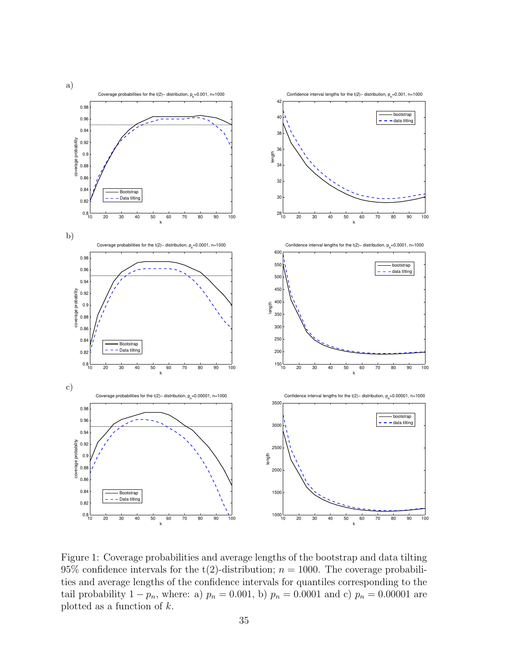

Figure 1: Coverage probabilities and average lengths of the bootstrap and data tilting 95% confidence intervals for the t(2)-distribution;  $n = 1000$ . The coverage probabilities and average lengths of the confidence intervals for quantiles corresponding to the tail probability  $1 - p_n$ , where: a)  $p_n = 0.001$ , b)  $p_n = 0.0001$  and c)  $p_n = 0.00001$  are plotted as a function of  $k$ .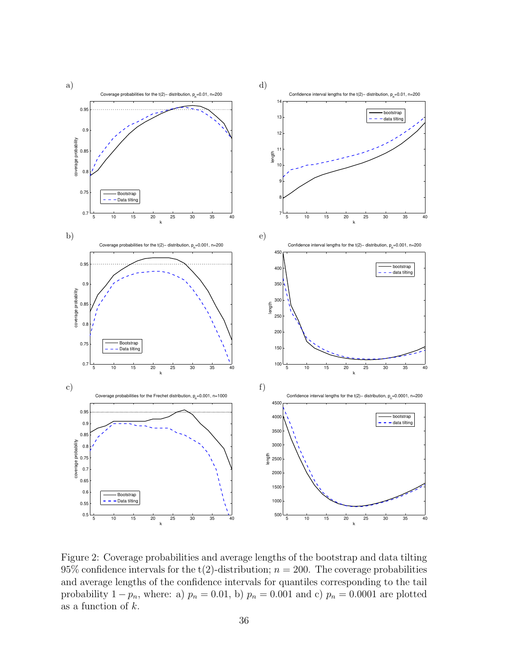

Figure 2: Coverage probabilities and average lengths of the bootstrap and data tilting 95% confidence intervals for the t(2)-distribution;  $n = 200$ . The coverage probabilities and average lengths of the confidence intervals for quantiles corresponding to the tail probability  $1 - p_n$ , where: a)  $p_n = 0.01$ , b)  $p_n = 0.001$  and c)  $p_n = 0.0001$  are plotted as a function of  $k$ .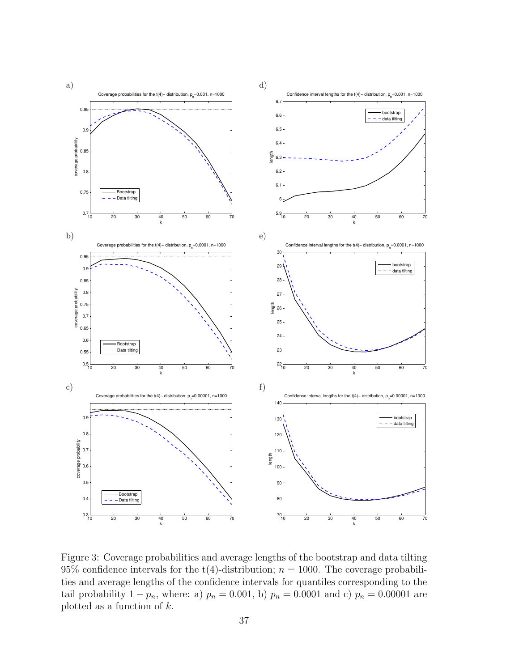

Figure 3: Coverage probabilities and average lengths of the bootstrap and data tilting 95% confidence intervals for the t(4)-distribution;  $n = 1000$ . The coverage probabilities and average lengths of the confidence intervals for quantiles corresponding to the tail probability  $1 - p_n$ , where: a)  $p_n = 0.001$ , b)  $p_n = 0.0001$  and c)  $p_n = 0.00001$  are plotted as a function of  $k$ .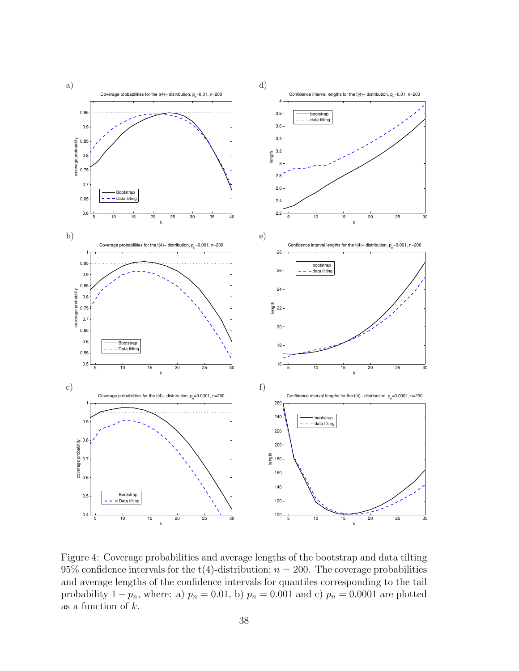

Figure 4: Coverage probabilities and average lengths of the bootstrap and data tilting 95% confidence intervals for the t(4)-distribution;  $n = 200$ . The coverage probabilities and average lengths of the confidence intervals for quantiles corresponding to the tail probability  $1 - p_n$ , where: a)  $p_n = 0.01$ , b)  $p_n = 0.001$  and c)  $p_n = 0.0001$  are plotted as a function of  $k$ .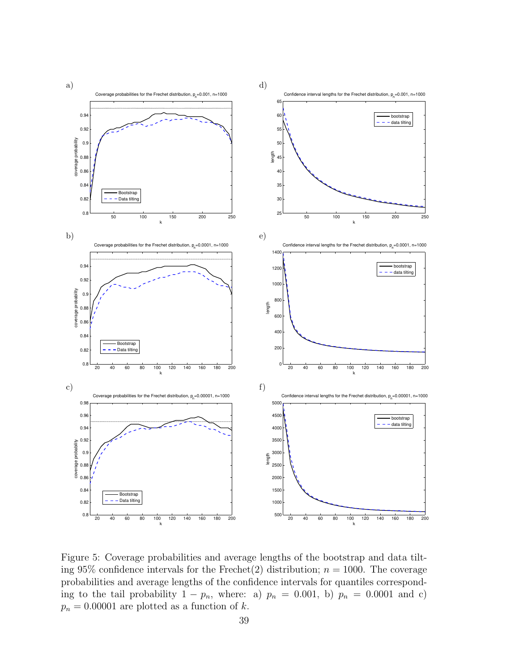

Figure 5: Coverage probabilities and average lengths of the bootstrap and data tilting 95% confidence intervals for the Frechet(2) distribution;  $n = 1000$ . The coverage probabilities and average lengths of the confidence intervals for quantiles corresponding to the tail probability  $1 - p_n$ , where: a)  $p_n = 0.001$ , b)  $p_n = 0.0001$  and c)  $p_n = 0.00001$  are plotted as a function of k.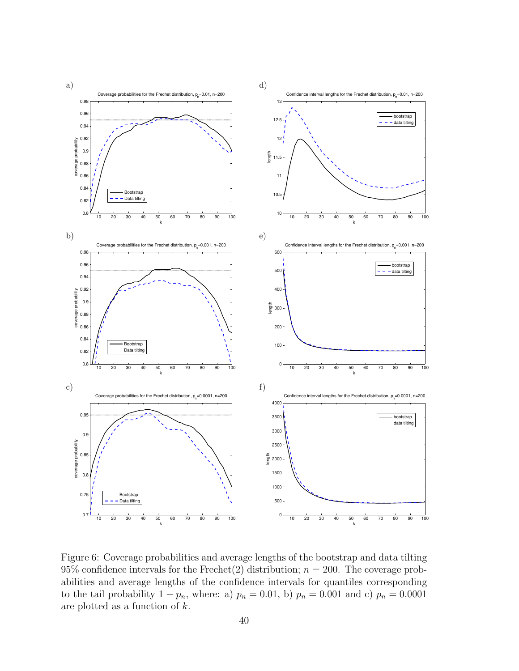

Figure 6: Coverage probabilities and average lengths of the bootstrap and data tilting 95% confidence intervals for the Frechet (2) distribution;  $n = 200$ . The coverage probabilities and average lengths of the confidence intervals for quantiles corresponding to the tail probability  $1 - p_n$ , where: a)  $p_n = 0.01$ , b)  $p_n = 0.001$  and c)  $p_n = 0.0001$ are plotted as a function of  $k$ .